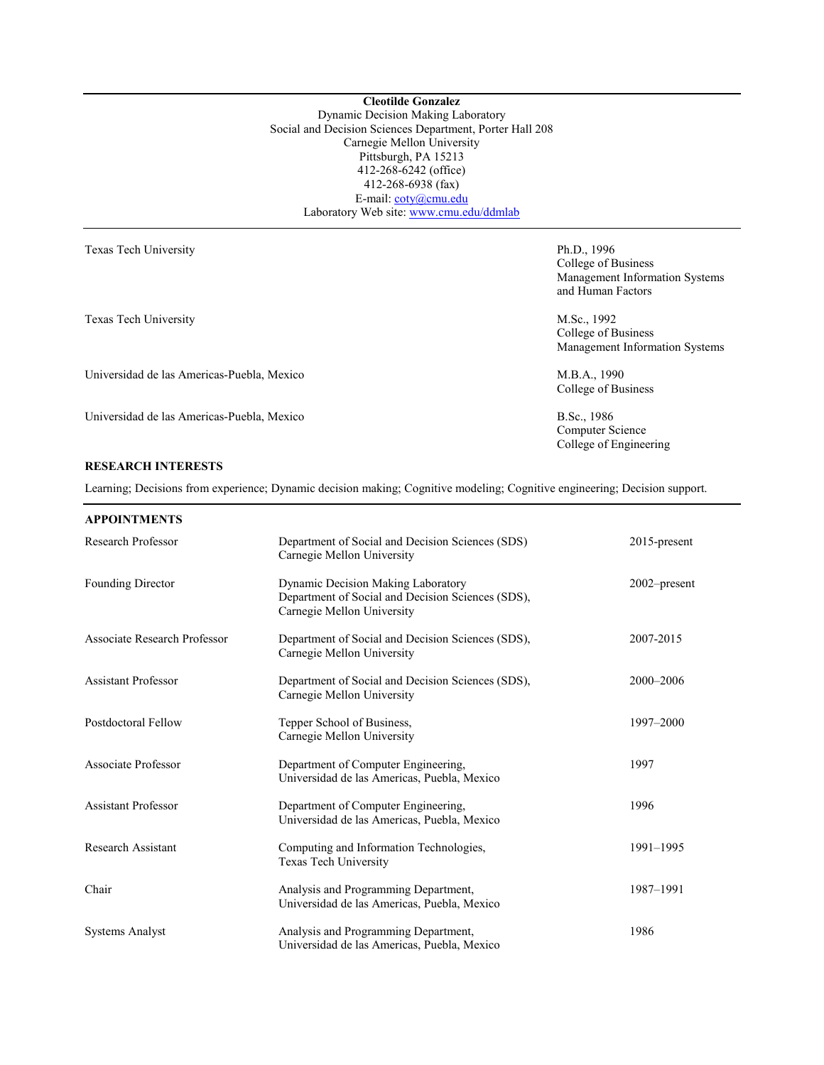**Cleotilde Gonzalez** Dynamic Decision Making Laboratory Social and Decision Sciences Department, Porter Hall 208 Carnegie Mellon University Pittsburgh, PA 15213 412-268-6242 (office) 412-268-6938 (fax) E-mail: [coty@cmu.edu](mailto:coty@cmu.edu) Laboratory Web site[: www.cmu.edu/ddmlab](http://www.cmu.edu/ddmlab)

| Texas Tech University                      | Ph.D., 1996                    |  |
|--------------------------------------------|--------------------------------|--|
|                                            | College of Business            |  |
|                                            | Management Information Systems |  |
|                                            | and Human Factors              |  |
| Texas Tech University                      | M.Sc., 1992                    |  |
|                                            | College of Business            |  |
|                                            | Management Information Systems |  |
| Universidad de las Americas-Puebla, Mexico | M.B.A., 1990                   |  |
|                                            | College of Business            |  |
| Universidad de las Americas-Puebla, Mexico | B.Sc., 1986                    |  |
|                                            | Computer Science               |  |
|                                            | College of Engineering         |  |

# **RESEARCH INTERESTS**

Learning; Decisions from experience; Dynamic decision making; Cognitive modeling; Cognitive engineering; Decision support.

## **APPOINTMENTS**

| Research Professor           | Department of Social and Decision Sciences (SDS)<br>Carnegie Mellon University                                        | $2015$ -present |
|------------------------------|-----------------------------------------------------------------------------------------------------------------------|-----------------|
| Founding Director            | Dynamic Decision Making Laboratory<br>Department of Social and Decision Sciences (SDS),<br>Carnegie Mellon University | $2002$ -present |
| Associate Research Professor | Department of Social and Decision Sciences (SDS),<br>Carnegie Mellon University                                       | 2007-2015       |
| <b>Assistant Professor</b>   | Department of Social and Decision Sciences (SDS),<br>Carnegie Mellon University                                       | 2000-2006       |
| Postdoctoral Fellow          | Tepper School of Business,<br>Carnegie Mellon University                                                              | 1997-2000       |
| Associate Professor          | Department of Computer Engineering,<br>Universidad de las Americas, Puebla, Mexico                                    | 1997            |
| <b>Assistant Professor</b>   | Department of Computer Engineering,<br>Universidad de las Americas, Puebla, Mexico                                    | 1996            |
| Research Assistant           | Computing and Information Technologies,<br>Texas Tech University                                                      | 1991-1995       |
| Chair                        | Analysis and Programming Department,<br>Universidad de las Americas, Puebla, Mexico                                   | 1987-1991       |
| <b>Systems Analyst</b>       | Analysis and Programming Department,<br>Universidad de las Americas, Puebla, Mexico                                   | 1986            |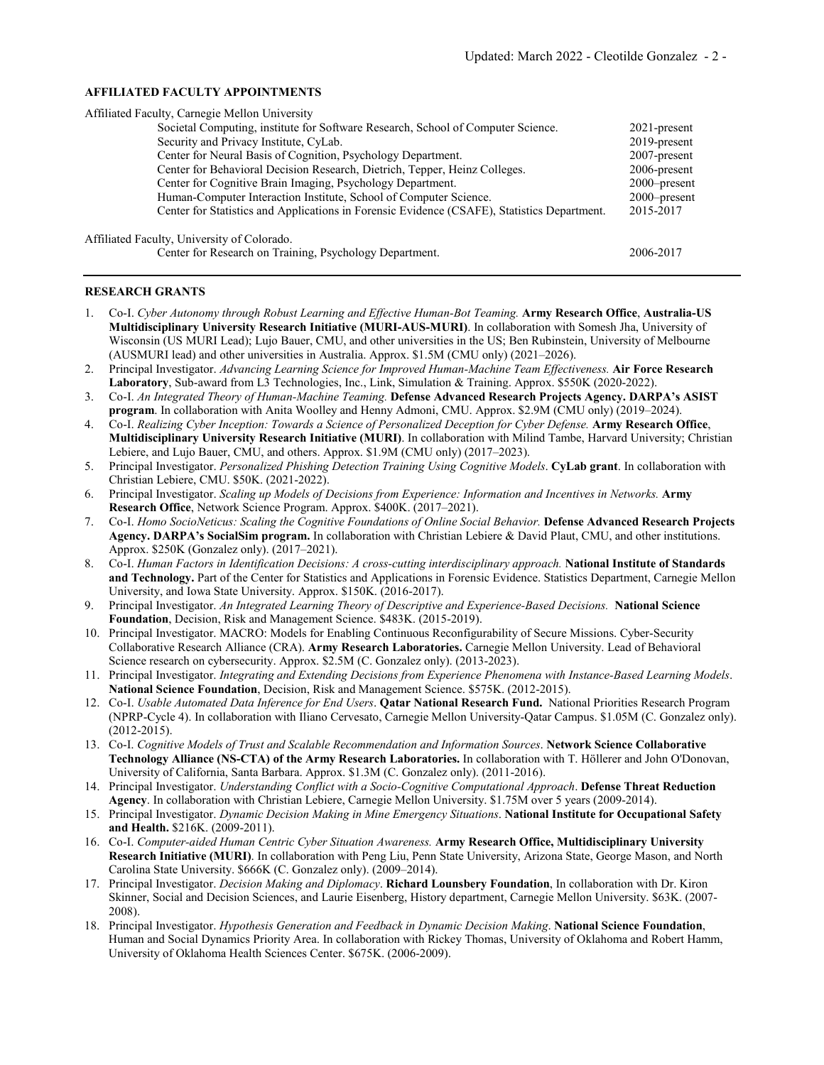## **AFFILIATED FACULTY APPOINTMENTS**

| Affiliated Faculty, Carnegie Mellon University                                              |                 |
|---------------------------------------------------------------------------------------------|-----------------|
| Societal Computing, institute for Software Research, School of Computer Science.            | $2021$ -present |
| Security and Privacy Institute, CyLab.                                                      | $2019$ -present |
| Center for Neural Basis of Cognition, Psychology Department.                                | $2007$ -present |
| Center for Behavioral Decision Research, Dietrich, Tepper, Heinz Colleges.                  | $2006$ -present |
| Center for Cognitive Brain Imaging, Psychology Department.                                  | $2000$ -present |
| Human-Computer Interaction Institute, School of Computer Science.                           | $2000$ -present |
| Center for Statistics and Applications in Forensic Evidence (CSAFE), Statistics Department. | 2015-2017       |
| Affiliated Faculty, University of Colorado.                                                 |                 |
| Center for Research on Training, Psychology Department.                                     | 2006-2017       |

## **RESEARCH GRANTS**

- 1. Co-I. *Cyber Autonomy through Robust Learning and Effective Human-Bot Teaming.* **Army Research Office**, **Australia-US Multidisciplinary University Research Initiative (MURI-AUS-MURI)**. In collaboration with Somesh Jha, University of Wisconsin (US MURI Lead); Lujo Bauer, CMU, and other universities in the US; Ben Rubinstein, University of Melbourne (AUSMURI lead) and other universities in Australia. Approx. \$1.5M (CMU only) (2021–2026).
- 2. Principal Investigator. *Advancing Learning Science for Improved Human-Machine Team Effectiveness.* **Air Force Research Laboratory**, Sub-award from L3 Technologies, Inc., Link, Simulation & Training. Approx. \$550K (2020-2022).
- 3. Co-I. *An Integrated Theory of Human-Machine Teaming.* **Defense Advanced Research Projects Agency. DARPA's ASIST program**. In collaboration with Anita Woolley and Henny Admoni, CMU. Approx. \$2.9M (CMU only) (2019–2024).
- 4. Co-I. *Realizing Cyber Inception: Towards a Science of Personalized Deception for Cyber Defense.* **Army Research Office**, **Multidisciplinary University Research Initiative (MURI)**. In collaboration with Milind Tambe, Harvard University; Christian Lebiere, and Lujo Bauer, CMU, and others. Approx. \$1.9M (CMU only) (2017–2023).
- 5. Principal Investigator. *Personalized Phishing Detection Training Using Cognitive Models*. **CyLab grant**. In collaboration with Christian Lebiere, CMU. \$50K. (2021-2022).
- 6. Principal Investigator. *Scaling up Models of Decisions from Experience: Information and Incentives in Networks.* **Army Research Office**, Network Science Program. Approx. \$400K. (2017–2021).
- 7. Co-I. *Homo SocioNeticus: Scaling the Cognitive Foundations of Online Social Behavior.* **Defense Advanced Research Projects Agency. DARPA's SocialSim program.** In collaboration with Christian Lebiere & David Plaut, CMU, and other institutions. Approx. \$250K (Gonzalez only). (2017–2021).
- 8. Co-I. *Human Factors in Identification Decisions: A cross-cutting interdisciplinary approach.* **National Institute of Standards and Technology.** Part of the Center for Statistics and Applications in Forensic Evidence. Statistics Department, Carnegie Mellon University, and Iowa State University. Approx. \$150K. (2016-2017).
- 9. Principal Investigator. *An Integrated Learning Theory of Descriptive and Experience-Based Decisions.* **National Science Foundation**, Decision, Risk and Management Science. \$483K. (2015-2019).
- 10. Principal Investigator. MACRO: Models for Enabling Continuous Reconfigurability of Secure Missions. Cyber-Security Collaborative Research Alliance (CRA). **Army Research Laboratories.** Carnegie Mellon University. Lead of Behavioral Science research on cybersecurity. Approx. \$2.5M (C. Gonzalez only). (2013-2023).
- 11. Principal Investigator. *Integrating and Extending Decisions from Experience Phenomena with Instance-Based Learning Models*. **National Science Foundation**, Decision, Risk and Management Science. \$575K. (2012-2015).
- 12. Co-I. *Usable Automated Data Inference for End Users*. **Qatar National Research Fund.** National Priorities Research Program (NPRP-Cycle 4). In collaboration with Iliano Cervesato, Carnegie Mellon University-Qatar Campus. \$1.05M (C. Gonzalez only). (2012-2015).
- 13. Co-I. *Cognitive Models of Trust and Scalable Recommendation and Information Sources*. **Network Science Collaborative Technology Alliance (NS-CTA) of the Army Research Laboratories.** In collaboration with T. Höllerer and John O'Donovan, University of California, Santa Barbara. Approx. \$1.3M (C. Gonzalez only). (2011-2016).
- 14. Principal Investigator. *Understanding Conflict with a Socio-Cognitive Computational Approach*. **Defense Threat Reduction Agency**. In collaboration with Christian Lebiere, Carnegie Mellon University. \$1.75M over 5 years (2009-2014).
- 15. Principal Investigator. *Dynamic Decision Making in Mine Emergency Situations*. **National Institute for Occupational Safety and Health.** \$216K. (2009-2011).
- 16. Co-I. *Computer-aided Human Centric Cyber Situation Awareness.* **Army Research Office, Multidisciplinary University Research Initiative (MURI)**. In collaboration with Peng Liu, Penn State University, Arizona State, George Mason, and North Carolina State University. \$666K (C. Gonzalez only). (2009–2014).
- 17. Principal Investigator. *Decision Making and Diplomacy*. **Richard Lounsbery Foundation**, In collaboration with Dr. Kiron Skinner, Social and Decision Sciences, and Laurie Eisenberg, History department, Carnegie Mellon University. \$63K. (2007- 2008).
- 18. Principal Investigator. *Hypothesis Generation and Feedback in Dynamic Decision Making*. **National Science Foundation**, Human and Social Dynamics Priority Area. In collaboration with Rickey Thomas, University of Oklahoma and Robert Hamm, University of Oklahoma Health Sciences Center. \$675K. (2006-2009).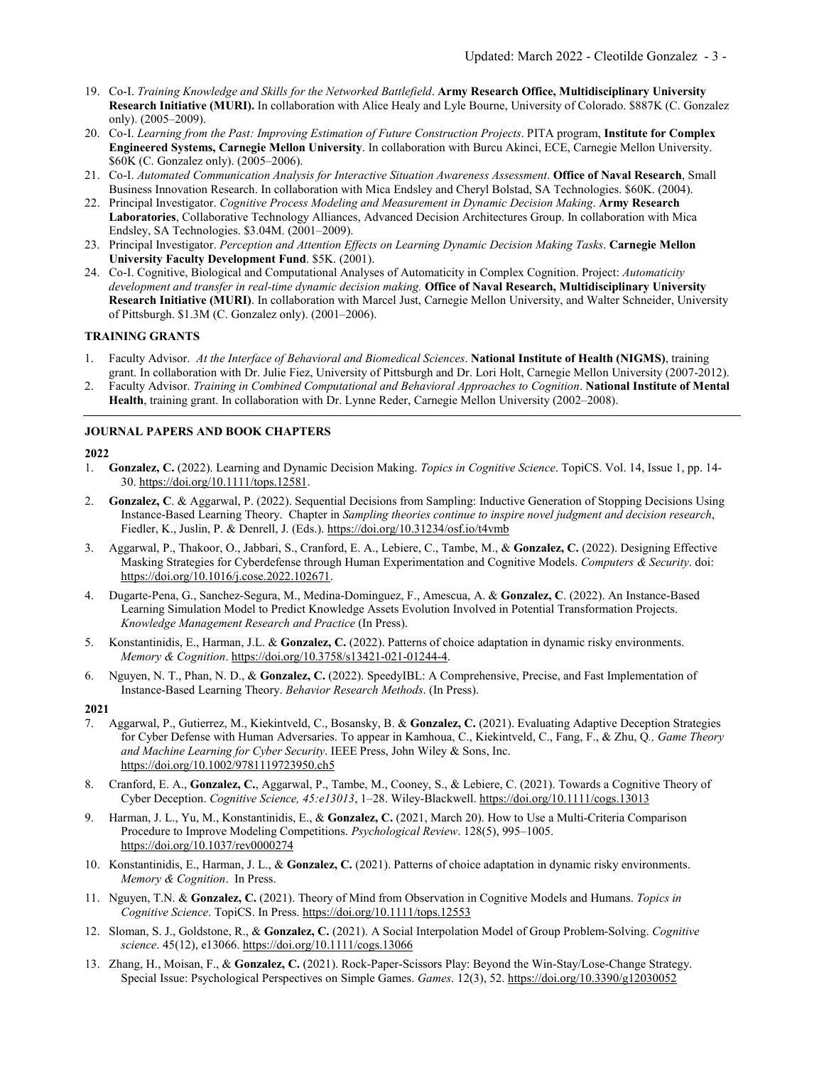- 19. Co-I. *Training Knowledge and Skills for the Networked Battlefield*. **Army Research Office, Multidisciplinary University Research Initiative (MURI).** In collaboration with Alice Healy and Lyle Bourne, University of Colorado. \$887K (C. Gonzalez only). (2005–2009).
- 20. Co-I. *Learning from the Past: Improving Estimation of Future Construction Projects*. PITA program, **Institute for Complex Engineered Systems, Carnegie Mellon University**. In collaboration with Burcu Akinci, ECE, Carnegie Mellon University. \$60K (C. Gonzalez only). (2005–2006).
- 21. Co-I. *Automated Communication Analysis for Interactive Situation Awareness Assessment*. **Office of Naval Research**, Small Business Innovation Research. In collaboration with Mica Endsley and Cheryl Bolstad, SA Technologies. \$60K. (2004).
- 22. Principal Investigator. *Cognitive Process Modeling and Measurement in Dynamic Decision Making*. **Army Research Laboratories**, Collaborative Technology Alliances, Advanced Decision Architectures Group. In collaboration with Mica Endsley, SA Technologies. \$3.04M. (2001–2009).
- 23. Principal Investigator. *Perception and Attention Effects on Learning Dynamic Decision Making Tasks*. **Carnegie Mellon University Faculty Development Fund**. \$5K. (2001).
- 24. Co-I. Cognitive, Biological and Computational Analyses of Automaticity in Complex Cognition. Project: *Automaticity development and transfer in real-time dynamic decision making.* **Office of Naval Research, Multidisciplinary University Research Initiative (MURI)**. In collaboration with Marcel Just, Carnegie Mellon University, and Walter Schneider, University of Pittsburgh. \$1.3M (C. Gonzalez only). (2001–2006).

## **TRAINING GRANTS**

- 1. Faculty Advisor. *At the Interface of Behavioral and Biomedical Sciences*. **National Institute of Health (NIGMS)**, training grant. In collaboration with Dr. Julie Fiez, University of Pittsburgh and Dr. Lori Holt, Carnegie Mellon University (2007-2012).
- 2. Faculty Advisor. *Training in Combined Computational and Behavioral Approaches to Cognition*. **National Institute of Mental Health**, training grant. In collaboration with Dr. Lynne Reder, Carnegie Mellon University (2002–2008).

## **JOURNAL PAPERS AND BOOK CHAPTERS**

## **2022**

- 1. **Gonzalez, C.** (2022). Learning and Dynamic Decision Making. *Topics in Cognitive Science*. TopiCS. Vol. 14, Issue 1, pp. 14- 30[. https://doi.org/10.1111/tops.12581.](https://doi.org/10.1111/tops.12581)
- 2. **Gonzalez, C**. & Aggarwal, P. (2022). Sequential Decisions from Sampling: Inductive Generation of Stopping Decisions Using Instance-Based Learning Theory. Chapter in *Sampling theories continue to inspire novel judgment and decision research*, Fiedler, K., Juslin, P. & Denrell, J. (Eds.). https://doi.org/10.31234/osf.io/t4vmb
- 3. Aggarwal, P., Thakoor, O., Jabbari, S., Cranford, E. A., Lebiere, C., Tambe, M., & **Gonzalez, C.** (2022). Designing Effective Masking Strategies for Cyberdefense through Human Experimentation and Cognitive Models. *Computers & Security*. doi: [https://doi.org/10.1016/j.cose.2022.102671.](https://doi.org/10.1016/j.cose.2022.102671)
- 4. Dugarte-Pena, G., Sanchez-Segura, M., Medina-Dominguez, F., Amescua, A. & **Gonzalez, C**. (2022). An Instance-Based Learning Simulation Model to Predict Knowledge Assets Evolution Involved in Potential Transformation Projects. *Knowledge Management Research and Practice* (In Press).
- 5. Konstantinidis, E., Harman, J.L. & **Gonzalez, C.** (2022). Patterns of choice adaptation in dynamic risky environments. *Memory & Cognition*. [https://doi.org/10.3758/s13421-021-01244-4.](https://doi.org/10.3758/s13421-021-01244-4)
- 6. Nguyen, N. T., Phan, N. D., & **Gonzalez, C.** (2022). SpeedyIBL: A Comprehensive, Precise, and Fast Implementation of Instance-Based Learning Theory. *Behavior Research Methods*. (In Press).

- 7. Aggarwal, P., Gutierrez, M., Kiekintveld, C., Bosansky, B. & **Gonzalez, C.** (2021). Evaluating Adaptive Deception Strategies for Cyber Defense with Human Adversaries. To appear in Kamhoua, C., Kiekintveld, C., Fang, F., & Zhu, Q*., Game Theory and Machine Learning for Cyber Security*. IEEE Press, John Wiley & Sons, Inc. https://doi.org/10.1002/9781119723950.ch5
- 8. Cranford, E. A., **Gonzalez, C.**, Aggarwal, P., Tambe, M., Cooney, S., & Lebiere, C. (2021). Towards a Cognitive Theory of Cyber Deception. *Cognitive Science, 45:e13013*, 1–28. Wiley-Blackwell[. https://doi.org/10.1111/cogs.13013](https://doi.org/10.1111/cogs.13013)
- 9. Harman, J. L., Yu, M., Konstantinidis, E., & **Gonzalez, C.** (2021, March 20). How to Use a Multi-Criteria Comparison Procedure to Improve Modeling Competitions. *Psychological Review*. 128(5), 995–1005. <https://doi.org/10.1037/rev0000274>
- 10. Konstantinidis, E., Harman, J. L., & **Gonzalez, C.** (2021). Patterns of choice adaptation in dynamic risky environments. *Memory & Cognition*. In Press.
- 11. Nguyen, T.N. & **Gonzalez, C.** (2021). Theory of Mind from Observation in Cognitive Models and Humans. *Topics in Cognitive Science*. TopiCS. In Press. https://doi.org/10.1111/tops.12553
- 12. Sloman, S. J., Goldstone, R., & **Gonzalez, C.** (2021). A Social Interpolation Model of Group Problem-Solving. *Cognitive science*. 45(12), e13066. https://doi.org/10.1111/cogs.13066
- 13. Zhang, H., Moisan, F., & **Gonzalez, C.** (2021). Rock-Paper-Scissors Play: Beyond the Win-Stay/Lose-Change Strategy. Special Issue: Psychological Perspectives on Simple Games. *Games*. 12(3), 52. https://doi.org/10.3390/g12030052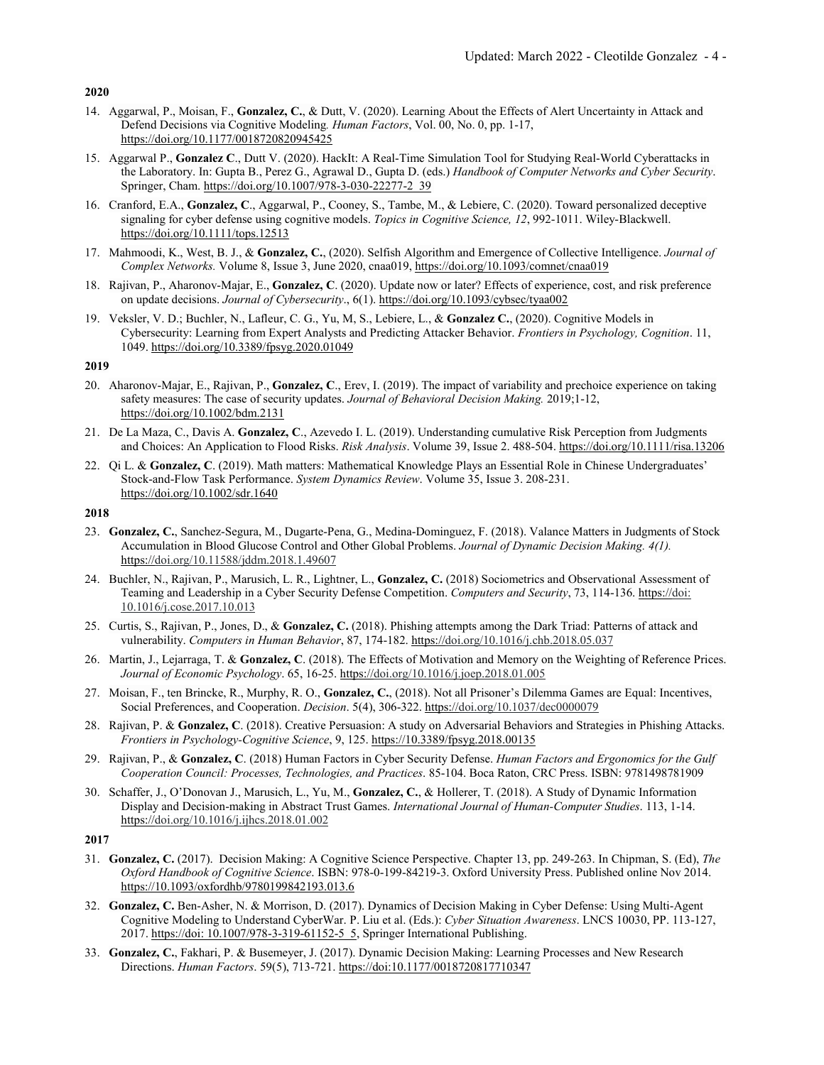- 14. Aggarwal, P., Moisan, F., **Gonzalez, C.**, & Dutt, V. (2020). Learning About the Effects of Alert Uncertainty in Attack and Defend Decisions via Cognitive Modeling*. Human Factors*, Vol. 00, No. 0, pp. 1-17, https://doi.org/10.1177/0018720820945425
- 15. Aggarwal P., **Gonzalez C**., Dutt V. (2020). HackIt: A Real-Time Simulation Tool for Studying Real-World Cyberattacks in the Laboratory. In: Gupta B., Perez G., Agrawal D., Gupta D. (eds.) *Handbook of Computer Networks and Cyber Security*. Springer, Cham. https://doi.org/10.1007/978-3-030-22277-2\_39
- 16. Cranford, E.A., **Gonzalez, C**., Aggarwal, P., Cooney, S., Tambe, M., & Lebiere, C. (2020). Toward personalized deceptive signaling for cyber defense using cognitive models. *Topics in Cognitive Science, 12*, 992-1011. Wiley-Blackwell. <https://doi.org/10.1111/tops.12513>
- 17. Mahmoodi, K., West, B. J., & **Gonzalez, C.**, (2020). Selfish Algorithm and Emergence of Collective Intelligence. *Journal of Complex Networks.* Volume 8, Issue 3, June 2020, cnaa019[, https://doi.org/10.1093/comnet/cnaa019](https://doi.org/10.1093/comnet/cnaa019)
- 18. Rajivan, P., Aharonov-Majar, E., **Gonzalez, C**. (2020). Update now or later? Effects of experience, cost, and risk preference on update decisions. *Journal of Cybersecurity*., 6(1). https://doi.org/10.1093/cybsec/tyaa002
- 19. Veksler, V. D.; Buchler, N., Lafleur, C. G., Yu, M, S., Lebiere, L., & **Gonzalez C.**, (2020). Cognitive Models in Cybersecurity: Learning from Expert Analysts and Predicting Attacker Behavior. *Frontiers in Psychology, Cognition*. 11, 1049. https://doi.org/10.3389/fpsyg.2020.01049

### **2019**

- 20. Aharonov-Majar, E., Rajivan, P., **Gonzalez, C**., Erev, I. (2019). The impact of variability and prechoice experience on taking safety measures: The case of security updates. *Journal of Behavioral Decision Making.* 2019;1-12, <https://doi.org/10.1002/bdm.2131>
- 21. De La Maza, C., Davis A. **Gonzalez, C**., Azevedo I. L. (2019). Understanding cumulative Risk Perception from Judgments and Choices: An Application to Flood Risks. *Risk Analysis*. Volume 39, Issue 2. 488-504. https://doi.org/10.1111/risa.13206
- 22. Qi L. & **Gonzalez, C**. (2019). Math matters: Mathematical Knowledge Plays an Essential Role in Chinese Undergraduates' Stock-and-Flow Task Performance. *System Dynamics Review*. Volume 35, Issue 3. 208-231. https://doi.org/10.1002/sdr.1640

### **2018**

- 23. **Gonzalez, C.**, Sanchez-Segura, M., Dugarte-Pena, G., Medina-Dominguez, F. (2018). Valance Matters in Judgments of Stock Accumulation in Blood Glucose Control and Other Global Problems. *Journal of Dynamic Decision Making. 4(1).*  https://doi.org/10.11588/jddm.2018.1.49607
- 24. Buchler, N., Rajivan, P., Marusich, L. R., Lightner, L., **Gonzalez, C.** (2018) Sociometrics and Observational Assessment of Teaming and Leadership in a Cyber Security Defense Competition. *Computers and Security*, 73, 114-136. https://doi: 10.1016/j.cose.2017.10.013
- 25. Curtis, S., Rajivan, P., Jones, D., & **Gonzalez, C.** (2018). Phishing attempts among the Dark Triad: Patterns of attack and vulnerability. *Computers in Human Behavior*, 87, 174-182. https://doi.org/10.1016/j.chb.2018.05.037
- 26. Martin, J., Lejarraga, T. & **Gonzalez, C**. (2018). The Effects of Motivation and Memory on the Weighting of Reference Prices. *Journal of Economic Psychology*. 65, 16-25. https://doi.org/10.1016/j.joep.2018.01.005
- 27. Moisan, F., ten Brincke, R., Murphy, R. O., **Gonzalez, C.**, (2018). Not all Prisoner's Dilemma Games are Equal: Incentives, Social Preferences, and Cooperation. *Decision*. 5(4), 306-322. https://doi.org/10.1037/dec0000079
- 28. Rajivan, P. & **Gonzalez, C**. (2018). Creative Persuasion: A study on Adversarial Behaviors and Strategies in Phishing Attacks. *Frontiers in Psychology-Cognitive Science*, 9, 125. https://10.3389/fpsyg.2018.00135
- 29. Rajivan, P., & **Gonzalez, C**. (2018) Human Factors in Cyber Security Defense. *Human Factors and Ergonomics for the Gulf Cooperation Council: Processes, Technologies, and Practices*. 85-104. Boca Raton, CRC Press. ISBN: 9781498781909
- 30. Schaffer, J., O'Donovan J., Marusich, L., Yu, M., **Gonzalez, C.**, & Hollerer, T. (2018). A Study of Dynamic Information Display and Decision-making in Abstract Trust Games. *International Journal of Human-Computer Studies*. 113, 1-14. https://doi.org/10.1016/j.ijhcs.2018.01.002

- 31. **Gonzalez, C.** (2017). Decision Making: A Cognitive Science Perspective. Chapter 13, pp. 249-263. In Chipman, S. (Ed), *The Oxford Handbook of Cognitive Science*. ISBN: 978-0-199-84219-3. Oxford University Press. Published online Nov 2014. https://10.1093/oxfordhb/9780199842193.013.6
- 32. **Gonzalez, C.** Ben-Asher, N. & Morrison, D. (2017). Dynamics of Decision Making in Cyber Defense: Using Multi-Agent Cognitive Modeling to Understand CyberWar. P. Liu et al. (Eds.): *Cyber Situation Awareness*. LNCS 10030, PP. 113-127, 2017. https://doi: 10.1007/978-3-319-61152-5\_5, Springer International Publishing.
- 33. **Gonzalez, C.**, Fakhari, P. & Busemeyer, J. (2017). Dynamic Decision Making: Learning Processes and New Research Directions. *Human Factors*. 59(5), 713-721. https://doi:10.1177/0018720817710347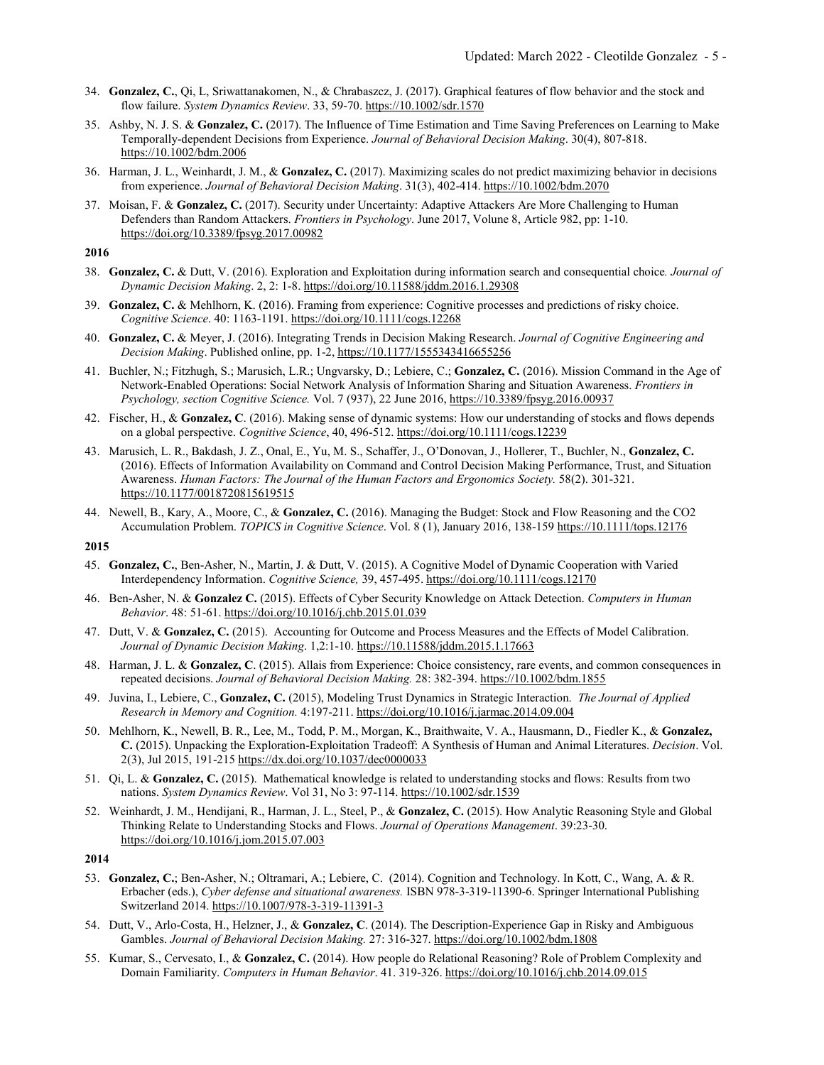- 34. **Gonzalez, C.**, Qi, L, Sriwattanakomen, N., & Chrabaszcz, J. (2017). Graphical features of flow behavior and the stock and flow failure. *System Dynamics Review*. 33, 59-70. https://10.1002/sdr.1570
- 35. Ashby, N. J. S. & **Gonzalez, C.** (2017). The Influence of Time Estimation and Time Saving Preferences on Learning to Make Temporally-dependent Decisions from Experience. *Journal of Behavioral Decision Making*. 30(4), 807-818. https://10.1002/bdm.2006
- 36. Harman, J. L., Weinhardt, J. M., & **Gonzalez, C.** (2017). Maximizing scales do not predict maximizing behavior in decisions from experience. *Journal of Behavioral Decision Making*. 31(3), 402-414. https://10.1002/bdm.2070
- 37. Moisan, F. & **Gonzalez, C.** (2017). Security under Uncertainty: Adaptive Attackers Are More Challenging to Human Defenders than Random Attackers. *Frontiers in Psychology*. June 2017, Volune 8, Article 982, pp: 1-10. https://doi.org/10.3389/fpsyg.2017.00982

- 38. **Gonzalez, C.** & Dutt, V. (2016). Exploration and Exploitation during information search and consequential choice*. Journal of Dynamic Decision Making*. 2, 2: 1-8. https://doi.org/10.11588/jddm.2016.1.29308
- 39. **Gonzalez, C.** & Mehlhorn, K. (2016). Framing from experience: Cognitive processes and predictions of risky choice. *Cognitive Science*. 40: 1163-1191. https://doi.org/10.1111/cogs.12268
- 40. **Gonzalez, C.** & Meyer, J. (2016). Integrating Trends in Decision Making Research. *Journal of Cognitive Engineering and Decision Making*. Published online, pp. 1-2, https://10.1177/1555343416655256
- 41. Buchler, N.; Fitzhugh, S.; Marusich, L.R.; Ungvarsky, D.; Lebiere, C.; **Gonzalez, C.** (2016). Mission Command in the Age of Network-Enabled Operations: Social Network Analysis of Information Sharing and Situation Awareness. *Frontiers in Psychology, section Cognitive Science.* Vol. 7 (937), 22 June 2016, https://10.3389/fpsyg.2016.00937
- 42. Fischer, H., & **Gonzalez, C**. (2016). Making sense of dynamic systems: How our understanding of stocks and flows depends on a global perspective. *Cognitive Science*, 40, 496-512. https://doi.org/10.1111/cogs.12239
- 43. Marusich, L. R., Bakdash, J. Z., Onal, E., Yu, M. S., Schaffer, J., O'Donovan, J., Hollerer, T., Buchler, N., **Gonzalez, C.** (2016). Effects of Information Availability on Command and Control Decision Making Performance, Trust, and Situation Awareness. *Human Factors: The Journal of the Human Factors and Ergonomics Society.* 58(2). 301-321. https://10.1177/0018720815619515
- 44. Newell, B., Kary, A., Moore, C., & **Gonzalez, C.** (2016). Managing the Budget: Stock and Flow Reasoning and the CO2 Accumulation Problem. *TOPICS in Cognitive Science*. Vol. 8 (1), January 2016, 138-159 https://10.1111/tops.12176

- 45. **Gonzalez, C.**, Ben-Asher, N., Martin, J. & Dutt, V. (2015). A Cognitive Model of Dynamic Cooperation with Varied Interdependency Information. *Cognitive Science,* 39, 457-495. https://doi.org/10.1111/cogs.12170
- 46. Ben-Asher, N. & **Gonzalez C.** (2015). Effects of Cyber Security Knowledge on Attack Detection. *Computers in Human Behavior*. 48: 51-61. https://doi.org/10.1016/j.chb.2015.01.039
- 47. Dutt, V. & **Gonzalez, C.** (2015). Accounting for Outcome and Process Measures and the Effects of Model Calibration. *Journal of Dynamic Decision Making*. 1,2:1-10. https://10.11588/jddm.2015.1.17663
- 48. Harman, J. L. & **Gonzalez, C**. (2015). Allais from Experience: Choice consistency, rare events, and common consequences in repeated decisions. *Journal of Behavioral Decision Making.* 28: 382-394. https://10.1002/bdm.1855
- 49. Juvina, I., Lebiere, C., **Gonzalez, C.** (2015), Modeling Trust Dynamics in Strategic Interaction. *The Journal of Applied Research in Memory and Cognition.* 4:197-211. https://doi.org/10.1016/j.jarmac.2014.09.004
- 50. Mehlhorn, K., Newell, B. R., Lee, M., Todd, P. M., Morgan, K., Braithwaite, V. A., Hausmann, D., Fiedler K., & **Gonzalez, C.** (2015). Unpacking the Exploration-Exploitation Tradeoff: A Synthesis of Human and Animal Literatures. *Decision*. Vol. 2(3), Jul 2015, 191-215 https://dx.doi.org/10.1037/dec0000033
- 51. Qi, L. & **Gonzalez, C.** (2015). Mathematical knowledge is related to understanding stocks and flows: Results from two nations. *System Dynamics Review*. Vol 31, No 3: 97-114. https://10.1002/sdr.1539
- 52. Weinhardt, J. M., Hendijani, R., Harman, J. L., Steel, P., & **Gonzalez, C.** (2015). How Analytic Reasoning Style and Global Thinking Relate to Understanding Stocks and Flows. *Journal of Operations Management*. 39:23-30. https://doi.org/10.1016/j.jom.2015.07.003
- **2014**
- 53. **Gonzalez, C.**; Ben-Asher, N.; Oltramari, A.; Lebiere, C. (2014). Cognition and Technology. In Kott, C., Wang, A. & R. Erbacher (eds.), *Cyber defense and situational awareness.* ISBN 978-3-319-11390-6. Springer International Publishing Switzerland 2014. https://10.1007/978-3-319-11391-3
- 54. Dutt, V., Arlo-Costa, H., Helzner, J., & **Gonzalez, C**. (2014). The Description-Experience Gap in Risky and Ambiguous Gambles. *Journal of Behavioral Decision Making.* 27: 316-327. https://doi.org/10.1002/bdm.1808
- 55. Kumar, S., Cervesato, I., & **Gonzalez, C.** (2014). How people do Relational Reasoning? Role of Problem Complexity and Domain Familiarity. *Computers in Human Behavior*. 41. 319-326. https://doi.org/10.1016/j.chb.2014.09.015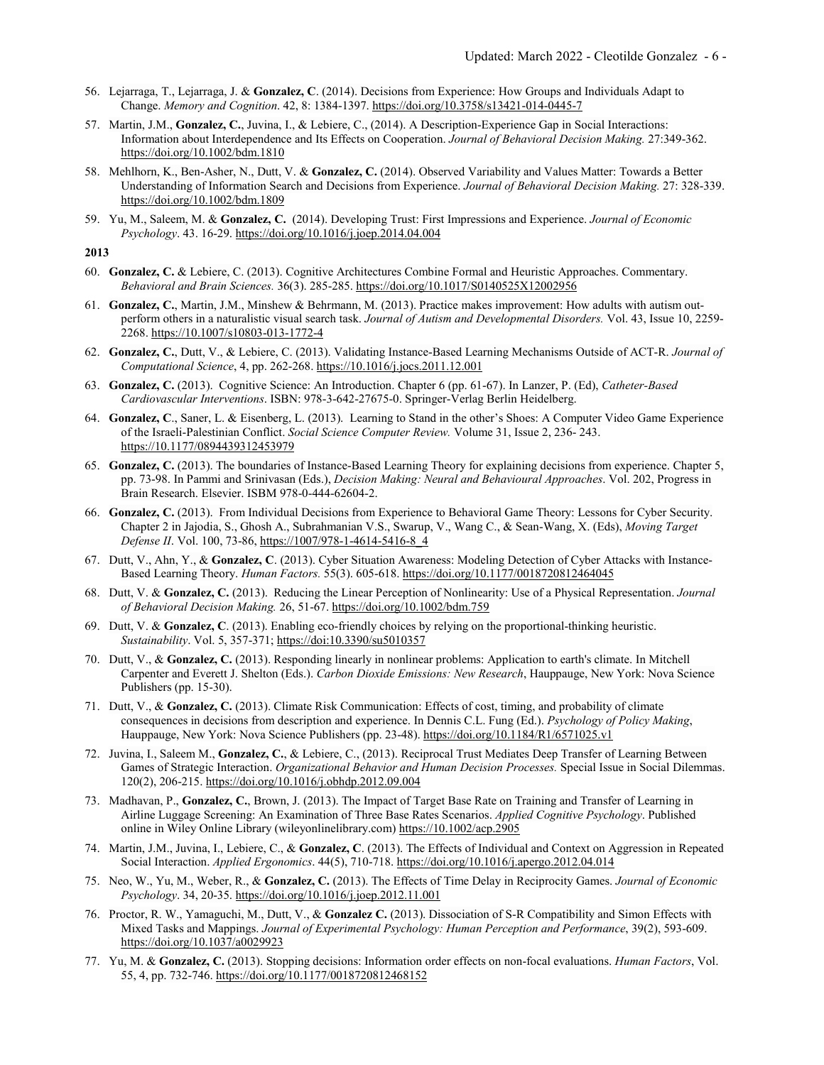- 56. Lejarraga, T., Lejarraga, J. & **Gonzalez, C**. (2014). Decisions from Experience: How Groups and Individuals Adapt to Change. *Memory and Cognition*. 42, 8: 1384-1397. https://doi.org/10.3758/s13421-014-0445-7
- 57. Martin, J.M., **Gonzalez, C.**, Juvina, I., & Lebiere, C., (2014). A Description-Experience Gap in Social Interactions: Information about Interdependence and Its Effects on Cooperation. *Journal of Behavioral Decision Making.* 27:349-362. https://doi.org/10.1002/bdm.1810
- 58. Mehlhorn, K., Ben-Asher, N., Dutt, V. & **Gonzalez, C.** (2014). Observed Variability and Values Matter: Towards a Better Understanding of Information Search and Decisions from Experience. *Journal of Behavioral Decision Making.* 27: 328-339. https://doi.org/10.1002/bdm.1809
- 59. Yu, M., Saleem, M. & **Gonzalez, C.** (2014). Developing Trust: First Impressions and Experience. *Journal of Economic Psychology*. 43. 16-29. https://doi.org/10.1016/j.joep.2014.04.004

- 60. **Gonzalez, C.** & Lebiere, C. (2013). Cognitive Architectures Combine Formal and Heuristic Approaches. Commentary. *Behavioral and Brain Sciences.* 36(3). 285-285. https://doi.org/10.1017/S0140525X12002956
- 61. **Gonzalez, C.**, Martin, J.M., Minshew & Behrmann, M. (2013). Practice makes improvement: How adults with autism outperform others in a naturalistic visual search task. *Journal of Autism and Developmental Disorders.* Vol. 43, Issue 10, 2259- 2268. https://10.1007/s10803-013-1772-4
- 62. **Gonzalez, C.**, Dutt, V., & Lebiere, C. (2013). Validating Instance-Based Learning Mechanisms Outside of ACT-R. *Journal of Computational Science*, 4, pp. 262-268. https://10.1016/j.jocs.2011.12.001
- 63. **Gonzalez, C.** (2013). Cognitive Science: An Introduction. Chapter 6 (pp. 61-67). In Lanzer, P. (Ed), *Catheter-Based Cardiovascular Interventions*. ISBN: 978-3-642-27675-0. Springer-Verlag Berlin Heidelberg.
- 64. **Gonzalez, C**., Saner, L. & Eisenberg, L. (2013). Learning to Stand in the other's Shoes: A Computer Video Game Experience of the Israeli-Palestinian Conflict. *Social Science Computer Review.* Volume 31, Issue 2, 236- 243. https://10.1177/0894439312453979
- 65. **Gonzalez, C.** (2013). The boundaries of Instance-Based Learning Theory for explaining decisions from experience. Chapter 5, pp. 73-98. In Pammi and Srinivasan (Eds.), *Decision Making: Neural and Behavioural Approaches*. Vol. 202, Progress in Brain Research. Elsevier. ISBM 978-0-444-62604-2.
- 66. **Gonzalez, C.** (2013). From Individual Decisions from Experience to Behavioral Game Theory: Lessons for Cyber Security. Chapter 2 in Jajodia, S., Ghosh A., Subrahmanian V.S., Swarup, V., Wang C., & Sean-Wang, X. (Eds), *Moving Target Defense II*. Vol. 100, 73-86, https://1007/978-1-4614-5416-8\_4
- 67. Dutt, V., Ahn, Y., & **Gonzalez, C**. (2013). Cyber Situation Awareness: Modeling Detection of Cyber Attacks with Instance-Based Learning Theory. *Human Factors.* 55(3). 605-618. https://doi.org/10.1177/0018720812464045
- 68. Dutt, V. & **Gonzalez, C.** (2013). Reducing the Linear Perception of Nonlinearity: Use of a Physical Representation. *Journal of Behavioral Decision Making.* 26, 51-67. https://doi.org/10.1002/bdm.759
- 69. Dutt, V. & **Gonzalez, C**. (2013). Enabling eco-friendly choices by relying on the proportional-thinking heuristic. *Sustainability*. Vol. 5, 357-371; https://doi:10.3390/su5010357
- 70. Dutt, V., & **Gonzalez, C.** (2013). Responding linearly in nonlinear problems: Application to earth's climate. In Mitchell Carpenter and Everett J. Shelton (Eds.). *Carbon Dioxide Emissions: New Research*, Hauppauge, New York: Nova Science Publishers (pp. 15-30).
- 71. Dutt, V., & **Gonzalez, C.** (2013). Climate Risk Communication: Effects of cost, timing, and probability of climate consequences in decisions from description and experience. In Dennis C.L. Fung (Ed.). *Psychology of Policy Making*, Hauppauge, New York: Nova Science Publishers (pp. 23-48). https://doi.org/10.1184/R1/6571025.v1
- 72. Juvina, I., Saleem M., **Gonzalez, C.**, & Lebiere, C., (2013). Reciprocal Trust Mediates Deep Transfer of Learning Between Games of Strategic Interaction. *Organizational Behavior and Human Decision Processes.* Special Issue in Social Dilemmas. 120(2), 206-215. https://doi.org/10.1016/j.obhdp.2012.09.004
- 73. Madhavan, P., **Gonzalez, C.**, Brown, J. (2013). The Impact of Target Base Rate on Training and Transfer of Learning in Airline Luggage Screening: An Examination of Three Base Rates Scenarios. *Applied Cognitive Psychology*. Published online in Wiley Online Library (wileyonlinelibrary.com) https://10.1002/acp.2905
- 74. Martin, J.M., Juvina, I., Lebiere, C., & **Gonzalez, C**. (2013). The Effects of Individual and Context on Aggression in Repeated Social Interaction. *Applied Ergonomics*. 44(5), 710-718. https://doi.org/10.1016/j.apergo.2012.04.014
- 75. Neo, W., Yu, M., Weber, R., & **Gonzalez, C.** (2013). The Effects of Time Delay in Reciprocity Games. *Journal of Economic Psychology*. 34, 20-35. https://doi.org/10.1016/j.joep.2012.11.001
- 76. Proctor, R. W., Yamaguchi, M., Dutt, V., & **Gonzalez C.** (2013). Dissociation of S-R Compatibility and Simon Effects with Mixed Tasks and Mappings. *Journal of Experimental Psychology: Human Perception and Performance*, 39(2), 593-609. https://doi.org/10.1037/a0029923
- 77. Yu, M. & **Gonzalez, C.** (2013). Stopping decisions: Information order effects on non-focal evaluations. *Human Factors*, Vol. 55, 4, pp. 732-746. https://doi.org/10.1177/0018720812468152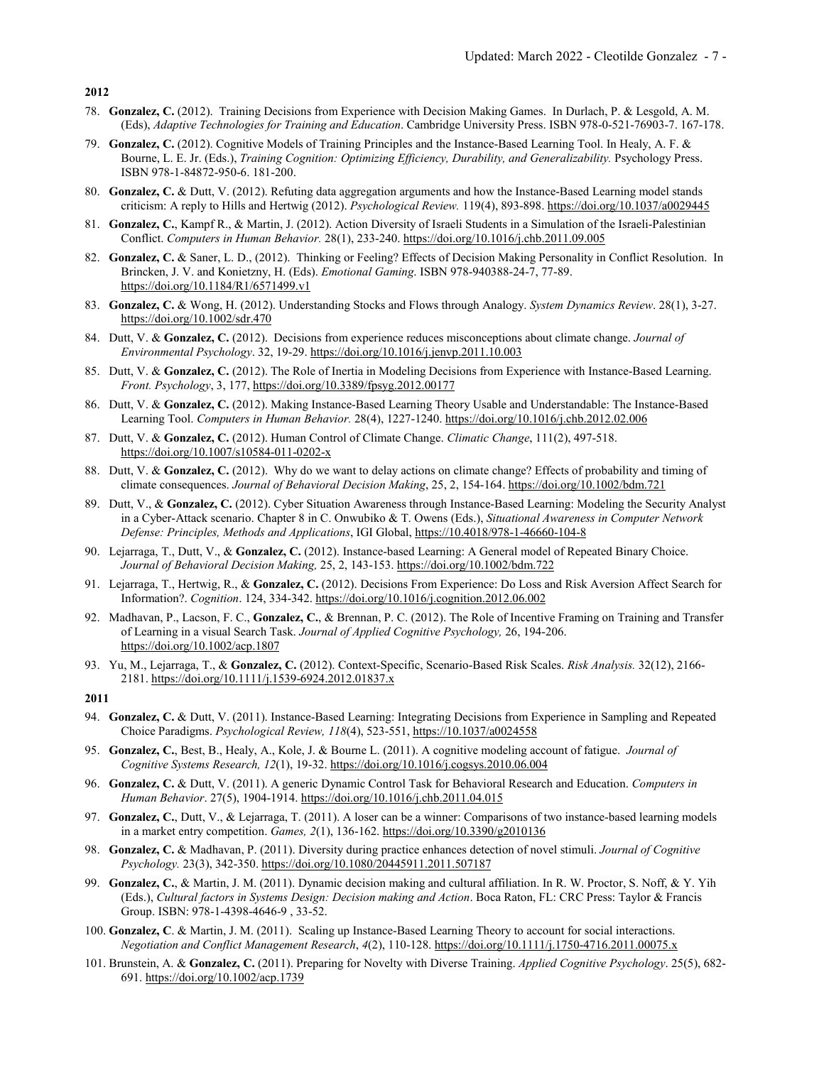- 78. **Gonzalez, C.** (2012). Training Decisions from Experience with Decision Making Games. In Durlach, P. & Lesgold, A. M. (Eds), *Adaptive Technologies for Training and Education*. Cambridge University Press. ISBN 978-0-521-76903-7. 167-178.
- 79. **Gonzalez, C.** (2012). Cognitive Models of Training Principles and the Instance-Based Learning Tool. In Healy, A. F. & Bourne, L. E. Jr. (Eds.), *Training Cognition: Optimizing Efficiency, Durability, and Generalizability.* Psychology Press. ISBN 978-1-84872-950-6. 181-200.
- 80. **Gonzalez, C.** & Dutt, V. (2012). Refuting data aggregation arguments and how the Instance-Based Learning model stands criticism: A reply to Hills and Hertwig (2012). *Psychological Review.* 119(4), 893-898. https://doi.org/10.1037/a0029445
- 81. **Gonzalez, C.**, Kampf R., & Martin, J. (2012). Action Diversity of Israeli Students in a Simulation of the Israeli-Palestinian Conflict. *Computers in Human Behavior.* 28(1), 233-240. https://doi.org/10.1016/j.chb.2011.09.005
- 82. **Gonzalez, C.** & Saner, L. D., (2012). Thinking or Feeling? Effects of Decision Making Personality in Conflict Resolution. In Brincken, J. V. and Konietzny, H. (Eds). *Emotional Gaming*. ISBN 978-940388-24-7, 77-89. https://doi.org/10.1184/R1/6571499.v1
- 83. **Gonzalez, C.** & Wong, H. (2012). Understanding Stocks and Flows through Analogy. *System Dynamics Review*. 28(1), 3-27. https://doi.org/10.1002/sdr.470
- 84. Dutt, V. & **Gonzalez, C.** (2012). Decisions from experience reduces misconceptions about climate change. *Journal of Environmental Psychology*. 32, 19-29. https://doi.org/10.1016/j.jenvp.2011.10.003
- 85. Dutt, V. & **Gonzalez, C.** (2012). The Role of Inertia in Modeling Decisions from Experience with Instance-Based Learning. *Front. Psychology*, 3, 177, https://doi.org/10.3389/fpsyg.2012.00177
- 86. Dutt, V. & **Gonzalez, C.** (2012). Making Instance-Based Learning Theory Usable and Understandable: The Instance-Based Learning Tool. *Computers in Human Behavior.* 28(4), 1227-1240. https://doi.org/10.1016/j.chb.2012.02.006
- 87. Dutt, V. & **Gonzalez, C.** (2012). Human Control of Climate Change. *Climatic Change*, 111(2), 497-518. https://doi.org/10.1007/s10584-011-0202-x
- 88. Dutt, V. & **Gonzalez, C.** (2012). Why do we want to delay actions on climate change? Effects of probability and timing of climate consequences. *Journal of Behavioral Decision Making*, 25, 2, 154-164. https://doi.org/10.1002/bdm.721
- 89. Dutt, V., & **Gonzalez, C.** (2012). Cyber Situation Awareness through Instance-Based Learning: Modeling the Security Analyst in a Cyber-Attack scenario. Chapter 8 in C. Onwubiko & T. Owens (Eds.), *Situational Awareness in Computer Network Defense: Principles, Methods and Applications*, IGI Global, https://10.4018/978-1-46660-104-8
- 90. Lejarraga, T., Dutt, V., & **Gonzalez, C.** (2012). Instance-based Learning: A General model of Repeated Binary Choice. *Journal of Behavioral Decision Making,* 25, 2, 143-153. https://doi.org/10.1002/bdm.722
- 91. Lejarraga, T., Hertwig, R., & **Gonzalez, C.** (2012). Decisions From Experience: Do Loss and Risk Aversion Affect Search for Information?. *Cognition*. 124, 334-342. https://doi.org/10.1016/j.cognition.2012.06.002
- 92. Madhavan, P., Lacson, F. C., **Gonzalez, C.**, & Brennan, P. C. (2012). The Role of Incentive Framing on Training and Transfer of Learning in a visual Search Task. *Journal of Applied Cognitive Psychology,* 26, 194-206. https://doi.org/10.1002/acp.1807
- 93. Yu, M., Lejarraga, T., & **Gonzalez, C.** (2012). Context-Specific, Scenario-Based Risk Scales. *Risk Analysis.* 32(12), 2166- 2181. https://doi.org/10.1111/j.1539-6924.2012.01837.x

- 94. **Gonzalez, C.** & Dutt, V. (2011). Instance-Based Learning: Integrating Decisions from Experience in Sampling and Repeated Choice Paradigms. *Psychological Review, 118*(4), 523-551, https://10.1037/a0024558
- 95. **Gonzalez, C.**, Best, B., Healy, A., Kole, J. & Bourne L. (2011). A cognitive modeling account of fatigue. *Journal of Cognitive Systems Research, 12*(1), 19-32. https://doi.org/10.1016/j.cogsys.2010.06.004
- 96. **Gonzalez, C.** & Dutt, V. (2011). A generic Dynamic Control Task for Behavioral Research and Education. *Computers in Human Behavior*. 27(5), 1904-1914. https://doi.org/10.1016/j.chb.2011.04.015
- 97. **Gonzalez, C.**, Dutt, V., & Lejarraga, T. (2011). A loser can be a winner: Comparisons of two instance-based learning models in a market entry competition. *Games, 2*(1), 136-162. https://doi.org/10.3390/g2010136
- 98. **Gonzalez, C.** & Madhavan, P. (2011). Diversity during practice enhances detection of novel stimuli. *Journal of Cognitive Psychology.* 23(3), 342-350. https://doi.org/10.1080/20445911.2011.507187
- 99. **Gonzalez, C.**, & Martin, J. M. (2011). Dynamic decision making and cultural affiliation. In R. W. Proctor, S. Noff, & Y. Yih (Eds.), *Cultural factors in Systems Design: Decision making and Action*. Boca Raton, FL: CRC Press: Taylor & Francis Group. ISBN: 978-1-4398-4646-9 , 33-52.
- 100. **Gonzalez, C**. & Martin, J. M. (2011). Scaling up Instance-Based Learning Theory to account for social interactions. *Negotiation and Conflict Management Research*, *4*(2), 110-128. https://doi.org/10.1111/j.1750-4716.2011.00075.x
- 101. Brunstein, A. & **Gonzalez, C.** (2011). Preparing for Novelty with Diverse Training. *Applied Cognitive Psychology*. 25(5), 682- 691. https://doi.org/10.1002/acp.1739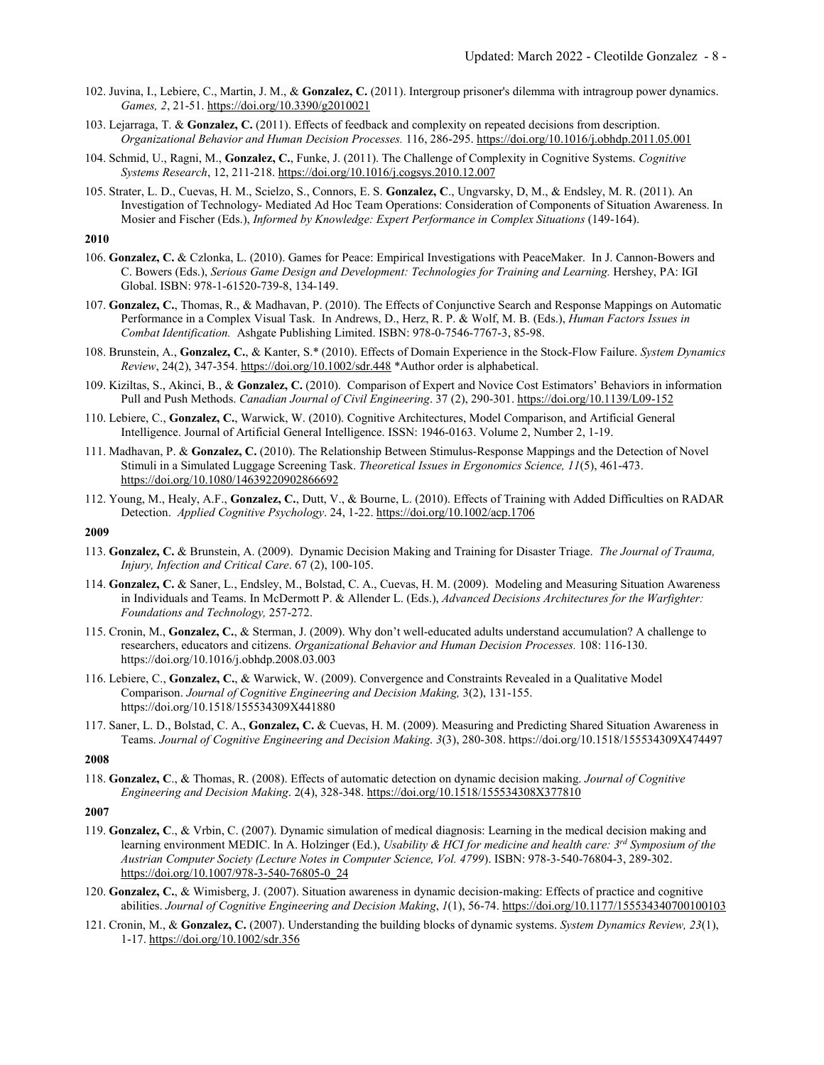- 102. Juvina, I., Lebiere, C., Martin, J. M., & **Gonzalez, C.** (2011). Intergroup prisoner's dilemma with intragroup power dynamics. *Games, 2*, 21-51. https://doi.org/10.3390/g2010021
- 103. Lejarraga, T. & **Gonzalez, C.** (2011). Effects of feedback and complexity on repeated decisions from description. *Organizational Behavior and Human Decision Processes.* 116, 286-295. https://doi.org/10.1016/j.obhdp.2011.05.001
- 104. Schmid, U., Ragni, M., **Gonzalez, C.**, Funke, J. (2011). The Challenge of Complexity in Cognitive Systems. *Cognitive Systems Research*, 12, 211-218. https://doi.org/10.1016/j.cogsys.2010.12.007
- 105. Strater, L. D., Cuevas, H. M., Scielzo, S., Connors, E. S. **Gonzalez, C**., Ungvarsky, D, M., & Endsley, M. R. (2011). An Investigation of Technology- Mediated Ad Hoc Team Operations: Consideration of Components of Situation Awareness. In Mosier and Fischer (Eds.), *Informed by Knowledge: Expert Performance in Complex Situations* (149-164).

- 106. **Gonzalez, C.** & Czlonka, L. (2010). Games for Peace: Empirical Investigations with PeaceMaker. In J. Cannon-Bowers and C. Bowers (Eds.), *Serious Game Design and Development: Technologies for Training and Learning.* Hershey, PA: IGI Global. ISBN: 978-1-61520-739-8, 134-149.
- 107. **Gonzalez, C.**, Thomas, R., & Madhavan, P. (2010). The Effects of Conjunctive Search and Response Mappings on Automatic Performance in a Complex Visual Task. In Andrews, D., Herz, R. P. & Wolf, M. B. (Eds.), *Human Factors Issues in Combat Identification.* Ashgate Publishing Limited. ISBN: 978-0-7546-7767-3, 85-98.
- 108. Brunstein, A., **Gonzalez, C.**, & Kanter, S.\* (2010). Effects of Domain Experience in the Stock-Flow Failure. *System Dynamics Review*, 24(2), 347-354. https://doi.org/10.1002/sdr.448 \*Author order is alphabetical.
- 109. Kiziltas, S., Akinci, B., & **Gonzalez, C.** (2010). Comparison of Expert and Novice Cost Estimators' Behaviors in information Pull and Push Methods. *Canadian Journal of Civil Engineering*. 37 (2), 290-301. https://doi.org/10.1139/L09-152
- 110. Lebiere, C., **Gonzalez, C.**, Warwick, W. (2010). Cognitive Architectures, Model Comparison, and Artificial General Intelligence. Journal of Artificial General Intelligence. ISSN: 1946-0163. Volume 2, Number 2, 1-19.
- 111. Madhavan, P. & **Gonzalez, C.** (2010). The Relationship Between Stimulus-Response Mappings and the Detection of Novel Stimuli in a Simulated Luggage Screening Task. *Theoretical Issues in Ergonomics Science, 11*(5), 461-473. https://doi.org/10.1080/14639220902866692
- 112. Young, M., Healy, A.F., **Gonzalez, C.**, Dutt, V., & Bourne, L. (2010). Effects of Training with Added Difficulties on RADAR Detection. *Applied Cognitive Psychology*. 24, 1-22. https://doi.org/10.1002/acp.1706

### **2009**

- 113. **Gonzalez, C.** & Brunstein, A. (2009). Dynamic Decision Making and Training for Disaster Triage. *The Journal of Trauma, Injury, Infection and Critical Care*. 67 (2), 100-105.
- 114. **Gonzalez, C.** & Saner, L., Endsley, M., Bolstad, C. A., Cuevas, H. M. (2009). Modeling and Measuring Situation Awareness in Individuals and Teams. In McDermott P. & Allender L. (Eds.), *Advanced Decisions Architectures for the Warfighter: Foundations and Technology,* 257-272.
- 115. Cronin, M., **Gonzalez, C.**, & Sterman, J. (2009). Why don't well-educated adults understand accumulation? A challenge to researchers, educators and citizens. *Organizational Behavior and Human Decision Processes.* 108: 116-130. https://doi.org/10.1016/j.obhdp.2008.03.003
- 116. Lebiere, C., **Gonzalez, C.**, & Warwick, W. (2009). Convergence and Constraints Revealed in a Qualitative Model Comparison. *Journal of Cognitive Engineering and Decision Making,* 3(2), 131-155. https://doi.org/10.1518/155534309X441880
- 117. Saner, L. D., Bolstad, C. A., **Gonzalez, C.** & Cuevas, H. M. (2009). Measuring and Predicting Shared Situation Awareness in Teams. *Journal of Cognitive Engineering and Decision Making*. *3*(3), 280-308. https://doi.org/10.1518/155534309X474497

#### **2008**

118. **Gonzalez, C**., & Thomas, R. (2008). Effects of automatic detection on dynamic decision making. *Journal of Cognitive Engineering and Decision Making*. 2(4), 328-348. https://doi.org/10.1518/155534308X377810

- 119. **Gonzalez, C**., & Vrbin, C. (2007). Dynamic simulation of medical diagnosis: Learning in the medical decision making and learning environment MEDIC. In A. Holzinger (Ed.), *Usability & HCI for medicine and health care: 3rd Symposium of the Austrian Computer Society (Lecture Notes in Computer Science, Vol. 4799*). ISBN: 978-3-540-76804-3, 289-302. https://doi.org/10.1007/978-3-540-76805-0\_24
- 120. **Gonzalez, C.**, & Wimisberg, J. (2007). Situation awareness in dynamic decision-making: Effects of practice and cognitive abilities. *Journal of Cognitive Engineering and Decision Making*, *1*(1), 56-74. https://doi.org/10.1177/155534340700100103
- 121. Cronin, M., & **Gonzalez, C.** (2007). Understanding the building blocks of dynamic systems. *System Dynamics Review, 23*(1), 1-17. https://doi.org/10.1002/sdr.356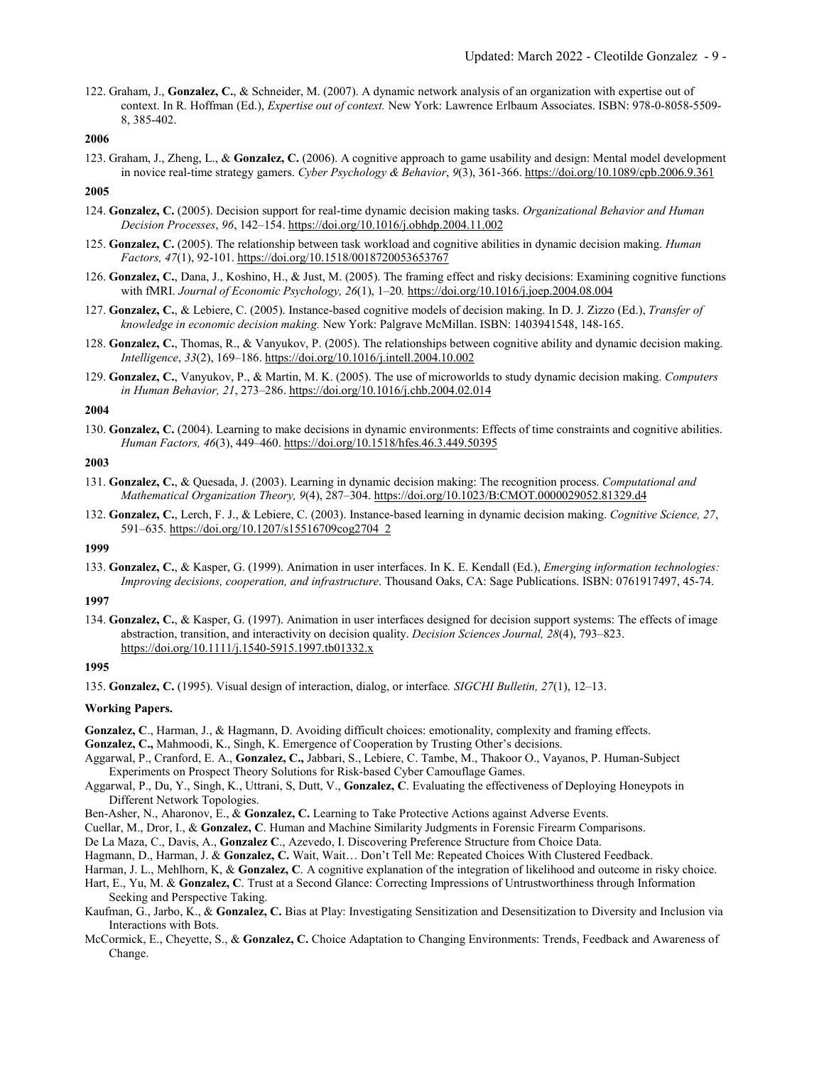122. Graham, J., **Gonzalez, C.**, & Schneider, M. (2007). A dynamic network analysis of an organization with expertise out of context. In R. Hoffman (Ed.), *Expertise out of context.* New York: Lawrence Erlbaum Associates. ISBN: 978-0-8058-5509- 8, 385-402.

## **2006**

123. Graham, J., Zheng, L., & **Gonzalez, C.** (2006). A cognitive approach to game usability and design: Mental model development in novice real-time strategy gamers. *Cyber Psychology & Behavior*, *9*(3), 361-366. https://doi.org/10.1089/cpb.2006.9.361

## **2005**

- 124. **Gonzalez, C.** (2005). Decision support for real-time dynamic decision making tasks. *Organizational Behavior and Human Decision Processes*, *96*, 142–154. https://doi.org/10.1016/j.obhdp.2004.11.002
- 125. **Gonzalez, C.** (2005). The relationship between task workload and cognitive abilities in dynamic decision making. *Human Factors, 47*(1), 92-101. https://doi.org/10.1518/0018720053653767
- 126. **Gonzalez, C.**, Dana, J., Koshino, H., & Just, M. (2005). The framing effect and risky decisions: Examining cognitive functions with fMRI. *Journal of Economic Psychology, 26*(1), 1–20*.* https://doi.org/10.1016/j.joep.2004.08.004
- 127. **Gonzalez, C.**, & Lebiere, C. (2005). Instance-based cognitive models of decision making. In D. J. Zizzo (Ed.), *Transfer of knowledge in economic decision making.* New York: Palgrave McMillan. ISBN: 1403941548, 148-165.
- 128. **Gonzalez, C.**, Thomas, R., & Vanyukov, P. (2005). The relationships between cognitive ability and dynamic decision making. *Intelligence*, *33*(2), 169–186. https://doi.org/10.1016/j.intell.2004.10.002
- 129. **Gonzalez, C.**, Vanyukov, P., & Martin, M. K. (2005). The use of microworlds to study dynamic decision making. *Computers in Human Behavior, 21*, 273–286. https://doi.org/10.1016/j.chb.2004.02.014

### **2004**

130. **Gonzalez, C.** (2004). Learning to make decisions in dynamic environments: Effects of time constraints and cognitive abilities. *Human Factors, 46*(3), 449–460. https://doi.org/10.1518/hfes.46.3.449.50395

## **2003**

- 131. **Gonzalez, C.**, & Quesada, J. (2003). Learning in dynamic decision making: The recognition process. *Computational and Mathematical Organization Theory, 9*(4), 287–304. https://doi.org/10.1023/B:CMOT.0000029052.81329.d4
- 132. **Gonzalez, C.**, Lerch, F. J., & Lebiere, C. (2003). Instance-based learning in dynamic decision making. *Cognitive Science, 27*, 591–635. https://doi.org/10.1207/s15516709cog2704\_2

### **1999**

133. **Gonzalez, C.**, & Kasper, G. (1999). Animation in user interfaces. In K. E. Kendall (Ed.), *Emerging information technologies: Improving decisions, cooperation, and infrastructure*. Thousand Oaks, CA: Sage Publications. ISBN: 0761917497, 45-74.

### **1997**

134. **Gonzalez, C.**, & Kasper, G. (1997). Animation in user interfaces designed for decision support systems: The effects of image abstraction, transition, and interactivity on decision quality. *Decision Sciences Journal, 28*(4), 793–823. https://doi.org/10.1111/j.1540-5915.1997.tb01332.x

### **1995**

### **Working Papers.**

- **Gonzalez, C**., Harman, J., & Hagmann, D. Avoiding difficult choices: emotionality, complexity and framing effects.
- **Gonzalez, C.,** Mahmoodi, K., Singh, K. Emergence of Cooperation by Trusting Other's decisions.
- Aggarwal, P., Cranford, E. A., **Gonzalez, C.,** Jabbari, S., Lebiere, C. Tambe, M., Thakoor O., Vayanos, P. Human-Subject Experiments on Prospect Theory Solutions for Risk-based Cyber Camouflage Games.
- Aggarwal, P., Du, Y., Singh, K., Uttrani, S, Dutt, V., **Gonzalez, C**. Evaluating the effectiveness of Deploying Honeypots in Different Network Topologies.
- Ben-Asher, N., Aharonov, E., & **Gonzalez, C.** Learning to Take Protective Actions against Adverse Events.
- Cuellar, M., Dror, I., & **Gonzalez, C**. Human and Machine Similarity Judgments in Forensic Firearm Comparisons.
- De La Maza, C., Davis, A., **Gonzalez C**., Azevedo, I. Discovering Preference Structure from Choice Data.
- Hagmann, D., Harman, J. & **Gonzalez, C.** Wait, Wait… Don't Tell Me: Repeated Choices With Clustered Feedback.
- Harman, J. L., Mehlhorn, K, & **Gonzalez, C**. A cognitive explanation of the integration of likelihood and outcome in risky choice.

Hart, E., Yu, M. & **Gonzalez, C**. Trust at a Second Glance: Correcting Impressions of Untrustworthiness through Information Seeking and Perspective Taking.

- Kaufman, G., Jarbo, K., & **Gonzalez, C.** Bias at Play: Investigating Sensitization and Desensitization to Diversity and Inclusion via Interactions with Bots.
- McCormick, E., Cheyette, S., & **Gonzalez, C.** Choice Adaptation to Changing Environments: Trends, Feedback and Awareness of Change.

<sup>135.</sup> **Gonzalez, C.** (1995). Visual design of interaction, dialog, or interface*. SIGCHI Bulletin, 27*(1), 12–13.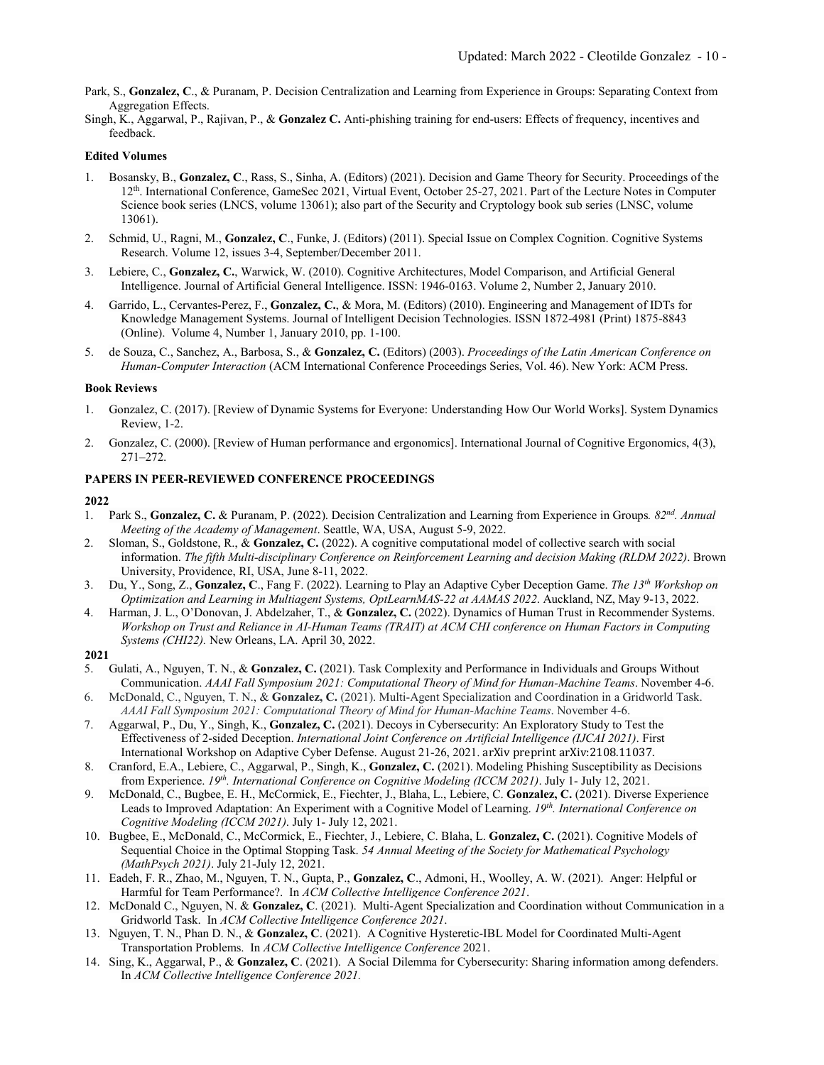- Park, S., **Gonzalez, C**., & Puranam, P. Decision Centralization and Learning from Experience in Groups: Separating Context from Aggregation Effects.
- Singh, K., Aggarwal, P., Rajivan, P., & **Gonzalez C.** Anti-phishing training for end-users: Effects of frequency, incentives and feedback.

### **Edited Volumes**

- 1. Bosansky, B., **Gonzalez, C**., Rass, S., Sinha, A. (Editors) (2021). Decision and Game Theory for Security. Proceedings of the 12th. International Conference, GameSec 2021, Virtual Event, October 25-27, 2021. Part of the Lecture Notes in Computer Science book series (LNCS, volume 13061); also part of the Security and Cryptology book sub series (LNSC, volume 13061).
- 2. Schmid, U., Ragni, M., **Gonzalez, C**., Funke, J. (Editors) (2011). Special Issue on Complex Cognition. Cognitive Systems Research. Volume 12, issues 3-4, September/December 2011.
- 3. Lebiere, C., **Gonzalez, C.**, Warwick, W. (2010). Cognitive Architectures, Model Comparison, and Artificial General Intelligence. Journal of Artificial General Intelligence. ISSN: 1946-0163. Volume 2, Number 2, January 2010.
- 4. Garrido, L., Cervantes-Perez, F., **Gonzalez, C.**, & Mora, M. (Editors) (2010). Engineering and Management of IDTs for Knowledge Management Systems. Journal of Intelligent Decision Technologies. ISSN 1872-4981 (Print) 1875-8843 (Online). Volume 4, Number 1, January 2010, pp. 1-100.
- 5. de Souza, C., Sanchez, A., Barbosa, S., & **Gonzalez, C.** (Editors) (2003). *Proceedings of the Latin American Conference on Human-Computer Interaction* (ACM International Conference Proceedings Series, Vol. 46). New York: ACM Press.

### **Book Reviews**

- 1. Gonzalez, C. (2017). [Review of Dynamic Systems for Everyone: Understanding How Our World Works]. System Dynamics Review, 1-2.
- 2. Gonzalez, C. (2000). [Review of Human performance and ergonomics]. International Journal of Cognitive Ergonomics, 4(3), 271–272.

### **PAPERS IN PEER-REVIEWED CONFERENCE PROCEEDINGS**

- 1. Park S., **Gonzalez, C.** & Puranam, P. (2022). Decision Centralization and Learning from Experience in Groups*. 82nd. Annual Meeting of the Academy of Management*. Seattle, WA, USA, August 5-9, 2022.
- 2. Sloman, S., Goldstone, R., & **Gonzalez, C.** (2022). A cognitive computational model of collective search with social information. *The fifth Multi-disciplinary Conference on Reinforcement Learning and decision Making (RLDM 2022)*. Brown University, Providence, RI, USA, June 8-11, 2022.
- 3. Du, Y., Song, Z., **Gonzalez, C**., Fang F. (2022). Learning to Play an Adaptive Cyber Deception Game. *The 13th Workshop on Optimization and Learning in Multiagent Systems, OptLearnMAS-22 at AAMAS 2022*. Auckland, NZ, May 9-13, 2022.
- 4. Harman, J. L., O'Donovan, J. Abdelzaher, T., & **Gonzalez, C.** (2022). Dynamics of Human Trust in Recommender Systems. *Workshop on Trust and Reliance in AI-Human Teams (TRAIT) at ACM CHI conference on Human Factors in Computing Systems (CHI22).* New Orleans, LA. April 30, 2022.
- **2021**
- 5. Gulati, A., Nguyen, T. N., & **Gonzalez, C.** (2021). Task Complexity and Performance in Individuals and Groups Without Communication. *AAAI Fall Symposium 2021: Computational Theory of Mind for Human-Machine Teams*. November 4-6.
- 6. McDonald, C., Nguyen, T. N., & **Gonzalez, C.** (2021). Multi-Agent Specialization and Coordination in a Gridworld Task. *AAAI Fall Symposium 2021: Computational Theory of Mind for Human-Machine Teams*. November 4-6.
- 7. Aggarwal, P., Du, Y., Singh, K., **Gonzalez, C.** (2021). Decoys in Cybersecurity: An Exploratory Study to Test the Effectiveness of 2-sided Deception. *International Joint Conference on Artificial Intelligence (IJCAI 2021)*. First International Workshop on Adaptive Cyber Defense. August 21-26, 2021. arXiv preprint arXiv:2108.11037.
- 8. Cranford, E.A., Lebiere, C., Aggarwal, P., Singh, K., **Gonzalez, C.** (2021). Modeling Phishing Susceptibility as Decisions from Experience. *19th. International Conference on Cognitive Modeling (ICCM 2021)*. July 1- July 12, 2021.
- 9. McDonald, C., Bugbee, E. H., McCormick, E., Fiechter, J., Blaha, L., Lebiere, C. **Gonzalez, C.** (2021). Diverse Experience Leads to Improved Adaptation: An Experiment with a Cognitive Model of Learning. *19th. International Conference on Cognitive Modeling (ICCM 2021)*. July 1- July 12, 2021.
- 10. Bugbee, E., McDonald, C., McCormick, E., Fiechter, J., Lebiere, C. Blaha, L. **Gonzalez, C.** (2021). Cognitive Models of Sequential Choice in the Optimal Stopping Task. *54 Annual Meeting of the Society for Mathematical Psychology (MathPsych 2021)*. July 21-July 12, 2021.
- 11. Eadeh, F. R., Zhao, M., Nguyen, T. N., Gupta, P., **Gonzalez, C**., Admoni, H., Woolley, A. W. (2021). Anger: Helpful or Harmful for Team Performance?. In *ACM Collective Intelligence Conference 2021*.
- 12. McDonald C., Nguyen, N. & **Gonzalez, C**. (2021). Multi-Agent Specialization and Coordination without Communication in a Gridworld Task. In *ACM Collective Intelligence Conference 2021*.
- 13. Nguyen, T. N., Phan D. N., & **Gonzalez, C**. (2021). A Cognitive Hysteretic-IBL Model for Coordinated Multi-Agent Transportation Problems. In *ACM Collective Intelligence Conference* 2021.
- 14. Sing, K., Aggarwal, P., & **Gonzalez, C**. (2021). A Social Dilemma for Cybersecurity: Sharing information among defenders. In *ACM Collective Intelligence Conference 2021.*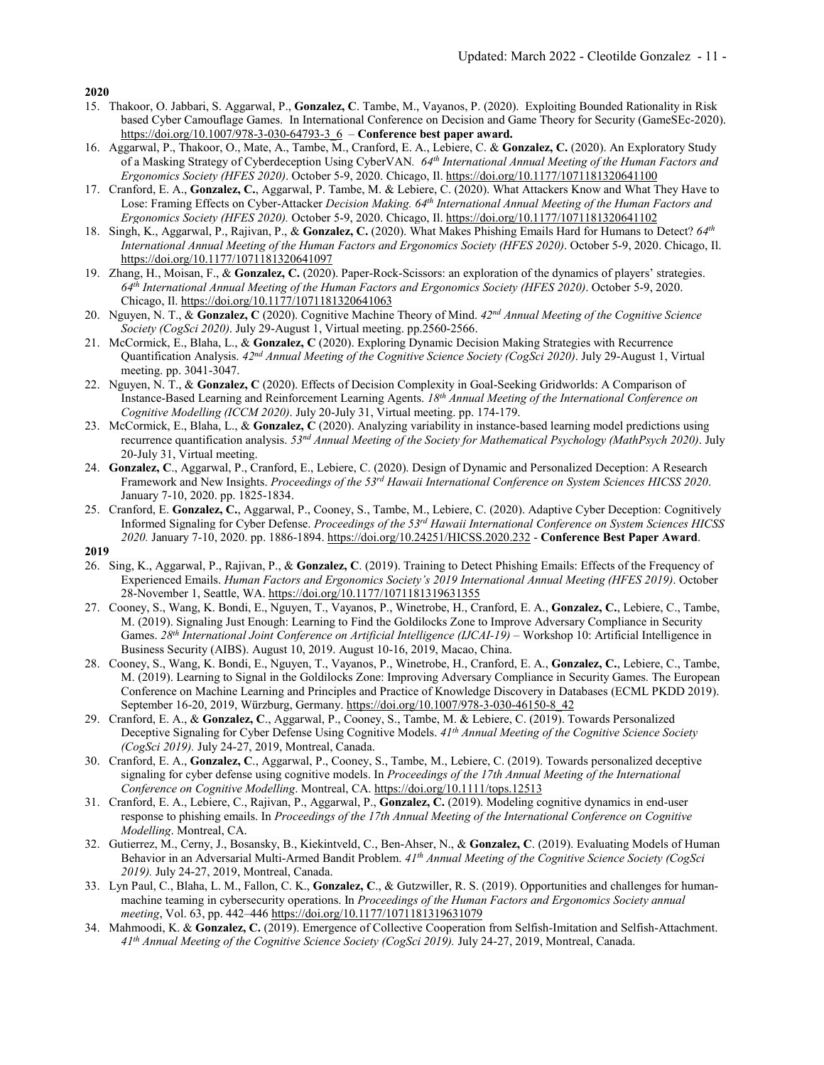- 15. Thakoor, O. Jabbari, S. Aggarwal, P., **Gonzalez, C**. Tambe, M., Vayanos, P. (2020). Exploiting Bounded Rationality in Risk based Cyber Camouflage Games. In International Conference on Decision and Game Theory for Security (GameSEc-2020). https://doi.org/10.1007/978-3-030-64793-3\_6 – **Conference best paper award.**
- 16. Aggarwal, P., Thakoor, O., Mate, A., Tambe, M., Cranford, E. A., Lebiere, C. & **Gonzalez, C.** (2020). An Exploratory Study of a Masking Strategy of Cyberdeception Using CyberVAN*. 64th International Annual Meeting of the Human Factors and Ergonomics Society (HFES 2020)*. October 5-9, 2020. Chicago, Il. https://doi.org/10.1177/1071181320641100
- 17. Cranford, E. A., **Gonzalez, C.**, Aggarwal, P. Tambe, M. & Lebiere, C. (2020). What Attackers Know and What They Have to Lose: Framing Effects on Cyber-Attacker *Decision Making. 64th International Annual Meeting of the Human Factors and Ergonomics Society (HFES 2020).* October 5-9, 2020. Chicago, Il. https://doi.org/10.1177/1071181320641102
- 18. Singh, K., Aggarwal, P., Rajivan, P., & **Gonzalez, C.** (2020). What Makes Phishing Emails Hard for Humans to Detect? *64th International Annual Meeting of the Human Factors and Ergonomics Society (HFES 2020)*. October 5-9, 2020. Chicago, Il. https://doi.org/10.1177/1071181320641097
- 19. Zhang, H., Moisan, F., & **Gonzalez, C.** (2020). Paper-Rock-Scissors: an exploration of the dynamics of players' strategies. *64th International Annual Meeting of the Human Factors and Ergonomics Society (HFES 2020)*. October 5-9, 2020. Chicago, Il. https://doi.org/10.1177/1071181320641063
- 20. Nguyen, N. T., & **Gonzalez, C** (2020). Cognitive Machine Theory of Mind. *42nd Annual Meeting of the Cognitive Science Society (CogSci 2020)*. July 29-August 1, Virtual meeting. pp.2560-2566.
- 21. McCormick, E., Blaha, L., & **Gonzalez, C** (2020). Exploring Dynamic Decision Making Strategies with Recurrence Quantification Analysis. *42nd Annual Meeting of the Cognitive Science Society (CogSci 2020)*. July 29-August 1, Virtual meeting. pp. 3041-3047.
- 22. Nguyen, N. T., & **Gonzalez, C** (2020). Effects of Decision Complexity in Goal-Seeking Gridworlds: A Comparison of Instance-Based Learning and Reinforcement Learning Agents. *18th Annual Meeting of the International Conference on Cognitive Modelling (ICCM 2020)*. July 20-July 31, Virtual meeting. pp. 174-179.
- 23. McCormick, E., Blaha, L., & **Gonzalez, C** (2020). Analyzing variability in instance-based learning model predictions using recurrence quantification analysis. *53nd Annual Meeting of the Society for Mathematical Psychology (MathPsych 2020)*. July 20-July 31, Virtual meeting.
- 24. **Gonzalez, C**., Aggarwal, P., Cranford, E., Lebiere, C. (2020). Design of Dynamic and Personalized Deception: A Research Framework and New Insights. *Proceedings of the 53rd Hawaii International Conference on System Sciences HICSS 2020*. January 7-10, 2020. pp. 1825-1834.
- 25. Cranford, E. **Gonzalez, C.**, Aggarwal, P., Cooney, S., Tambe, M., Lebiere, C. (2020). Adaptive Cyber Deception: Cognitively Informed Signaling for Cyber Defense. *Proceedings of the 53rd Hawaii International Conference on System Sciences HICSS 2020.* January 7-10, 2020. pp. 1886-1894. https://doi.org/10.24251/HICSS.2020.232 - **Conference Best Paper Award**.

- 26. Sing, K., Aggarwal, P., Rajivan, P., & **Gonzalez, C**. (2019). Training to Detect Phishing Emails: Effects of the Frequency of Experienced Emails. *Human Factors and Ergonomics Society's 2019 International Annual Meeting (HFES 2019)*. October 28-November 1, Seattle, WA. https://doi.org/10.1177/1071181319631355
- 27. Cooney, S., Wang, K. Bondi, E., Nguyen, T., Vayanos, P., Winetrobe, H., Cranford, E. A., **Gonzalez, C.**, Lebiere, C., Tambe, M. (2019). Signaling Just Enough: Learning to Find the Goldilocks Zone to Improve Adversary Compliance in Security Games. *28th International Joint Conference on Artificial Intelligence (IJCAI-19)* – Workshop 10: Artificial Intelligence in Business Security (AIBS). August 10, 2019. August 10-16, 2019, Macao, China.
- 28. Cooney, S., Wang, K. Bondi, E., Nguyen, T., Vayanos, P., Winetrobe, H., Cranford, E. A., **Gonzalez, C.**, Lebiere, C., Tambe, M. (2019). Learning to Signal in the Goldilocks Zone: Improving Adversary Compliance in Security Games. The European Conference on Machine Learning and Principles and Practice of Knowledge Discovery in Databases (ECML PKDD 2019). September 16-20, 2019, Würzburg, Germany. https://doi.org/10.1007/978-3-030-46150-8\_42
- 29. Cranford, E. A., & **Gonzalez, C**., Aggarwal, P., Cooney, S., Tambe, M. & Lebiere, C. (2019). Towards Personalized Deceptive Signaling for Cyber Defense Using Cognitive Models. *41th Annual Meeting of the Cognitive Science Society (CogSci 2019).* July 24-27, 2019, Montreal, Canada.
- 30. Cranford, E. A., **Gonzalez, C**., Aggarwal, P., Cooney, S., Tambe, M., Lebiere, C. (2019). Towards personalized deceptive signaling for cyber defense using cognitive models. In *Proceedings of the 17th Annual Meeting of the International Conference on Cognitive Modelling*. Montreal, CA. https://doi.org/10.1111/tops.12513
- 31. Cranford, E. A., Lebiere, C., Rajivan, P., Aggarwal, P., **Gonzalez, C.** (2019). Modeling cognitive dynamics in end-user response to phishing emails. In *Proceedings of the 17th Annual Meeting of the International Conference on Cognitive Modelling*. Montreal, CA.
- 32. Gutierrez, M., Cerny, J., Bosansky, B., Kiekintveld, C., Ben-Ahser, N., & **Gonzalez, C**. (2019). Evaluating Models of Human Behavior in an Adversarial Multi-Armed Bandit Problem. *41th Annual Meeting of the Cognitive Science Society (CogSci 2019).* July 24-27, 2019, Montreal, Canada.
- 33. Lyn Paul, C., Blaha, L. M., Fallon, C. K., **Gonzalez, C**., & Gutzwiller, R. S. (2019). Opportunities and challenges for humanmachine teaming in cybersecurity operations. In *Proceedings of the Human Factors and Ergonomics Society annual meeting*, Vol. 63, pp. 442–446 https://doi.org/10.1177/1071181319631079
- 34. Mahmoodi, K. & **Gonzalez, C.** (2019). Emergence of Collective Cooperation from Selfish-Imitation and Selfish-Attachment. *41th Annual Meeting of the Cognitive Science Society (CogSci 2019).* July 24-27, 2019, Montreal, Canada.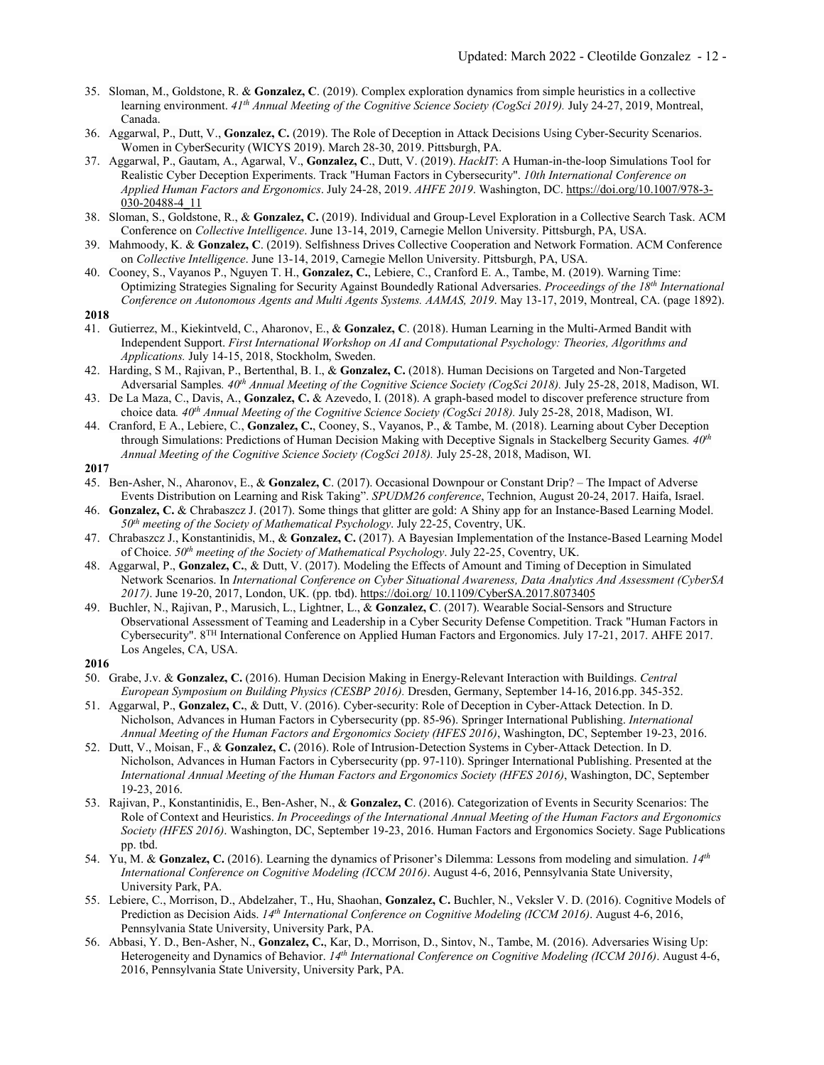- 35. Sloman, M., Goldstone, R. & **Gonzalez, C**. (2019). Complex exploration dynamics from simple heuristics in a collective learning environment. *41th Annual Meeting of the Cognitive Science Society (CogSci 2019).* July 24-27, 2019, Montreal, Canada.
- 36. Aggarwal, P., Dutt, V., **Gonzalez, C.** (2019). The Role of Deception in Attack Decisions Using Cyber-Security Scenarios. Women in CyberSecurity (WICYS 2019). March 28-30, 2019. Pittsburgh, PA.
- 37. Aggarwal, P., Gautam, A., Agarwal, V., **Gonzalez, C**., Dutt, V. (2019). *HackIT*: A Human-in-the-loop Simulations Tool for Realistic Cyber Deception Experiments. Track "Human Factors in Cybersecurity". *10th International Conference on Applied Human Factors and Ergonomics*. July 24-28, 2019. *AHFE 2019*. Washington, DC. https://doi.org/10.1007/978-3- 030-20488-4\_11
- 38. Sloman, S., Goldstone, R., & **Gonzalez, C.** (2019). Individual and Group-Level Exploration in a Collective Search Task. ACM Conference on *Collective Intelligence*. June 13-14, 2019, Carnegie Mellon University. Pittsburgh, PA, USA.
- 39. Mahmoody, K. & **Gonzalez, C**. (2019). Selfishness Drives Collective Cooperation and Network Formation. ACM Conference on *Collective Intelligence*. June 13-14, 2019, Carnegie Mellon University. Pittsburgh, PA, USA.
- 40. Cooney, S., Vayanos P., Nguyen T. H., **Gonzalez, C.**, Lebiere, C., Cranford E. A., Tambe, M. (2019). Warning Time: Optimizing Strategies Signaling for Security Against Boundedly Rational Adversaries. *Proceedings of the 18th International Conference on Autonomous Agents and Multi Agents Systems. AAMAS, 2019*. May 13-17, 2019, Montreal, CA. (page 1892). **2018**
- 41. Gutierrez, M., Kiekintveld, C., Aharonov, E., & **Gonzalez, C**. (2018). Human Learning in the Multi-Armed Bandit with Independent Support. *First International Workshop on AI and Computational Psychology: Theories, Algorithms and Applications.* July 14-15, 2018, Stockholm, Sweden.
- 42. Harding, S M., Rajivan, P., Bertenthal, B. I., & **Gonzalez, C.** (2018). Human Decisions on Targeted and Non-Targeted Adversarial Samples*. 40th Annual Meeting of the Cognitive Science Society (CogSci 2018).* July 25-28, 2018, Madison, WI.
- 43. De La Maza, C., Davis, A., **Gonzalez, C.** & Azevedo, I. (2018). A graph-based model to discover preference structure from choice data*. 40th Annual Meeting of the Cognitive Science Society (CogSci 2018).* July 25-28, 2018, Madison, WI.
- 44. Cranford, E A., Lebiere, C., **Gonzalez, C.**, Cooney, S., Vayanos, P., & Tambe, M. (2018). Learning about Cyber Deception through Simulations: Predictions of Human Decision Making with Deceptive Signals in Stackelberg Security Games*. 40th Annual Meeting of the Cognitive Science Society (CogSci 2018).* July 25-28, 2018, Madison, WI.
- **2017**
- 45. Ben-Asher, N., Aharonov, E., & **Gonzalez, C**. (2017). Occasional Downpour or Constant Drip? The Impact of Adverse Events Distribution on Learning and Risk Taking". *SPUDM26 conference*, Technion, August 20-24, 2017. Haifa, Israel.
- 46. **Gonzalez, C.** & Chrabaszcz J. (2017). Some things that glitter are gold: A Shiny app for an Instance-Based Learning Model. *50th meeting of the Society of Mathematical Psychology*. July 22-25, Coventry, UK.
- 47. Chrabaszcz J., Konstantinidis, M., & **Gonzalez, C.** (2017). A Bayesian Implementation of the Instance-Based Learning Model of Choice. *50th meeting of the Society of Mathematical Psychology*. July 22-25, Coventry, UK.
- 48. Aggarwal, P., **Gonzalez, C.**, & Dutt, V. (2017). Modeling the Effects of Amount and Timing of Deception in Simulated Network Scenarios. In *International Conference on Cyber Situational Awareness, Data Analytics And Assessment (CyberSA 2017)*. June 19-20, 2017, London, UK. (pp. tbd). https://doi.org/ 10.1109/CyberSA.2017.8073405
- 49. Buchler, N., Rajivan, P., Marusich, L., Lightner, L., & **Gonzalez, C**. (2017). Wearable Social-Sensors and Structure Observational Assessment of Teaming and Leadership in a Cyber Security Defense Competition. Track "Human Factors in Cybersecurity". 8TH International Conference on Applied Human Factors and Ergonomics. July 17-21, 2017. AHFE 2017. Los Angeles, CA, USA.
- **2016**
- 50. Grabe, J.v. & **Gonzalez, C.** (2016). Human Decision Making in Energy-Relevant Interaction with Buildings. *Central European Symposium on Building Physics (CESBP 2016).* Dresden, Germany, September 14-16, 2016.pp. 345-352.
- 51. Aggarwal, P., **Gonzalez, C.**, & Dutt, V. (2016). Cyber-security: Role of Deception in Cyber-Attack Detection. In D. Nicholson, Advances in Human Factors in Cybersecurity (pp. 85-96). Springer International Publishing. *International Annual Meeting of the Human Factors and Ergonomics Society (HFES 2016)*, Washington, DC, September 19-23, 2016.
- 52. Dutt, V., Moisan, F., & **Gonzalez, C.** (2016). Role of Intrusion-Detection Systems in Cyber-Attack Detection. In D. Nicholson, Advances in Human Factors in Cybersecurity (pp. 97-110). Springer International Publishing. Presented at the *International Annual Meeting of the Human Factors and Ergonomics Society (HFES 2016)*, Washington, DC, September 19-23, 2016.
- 53. Rajivan, P., Konstantinidis, E., Ben-Asher, N., & **Gonzalez, C**. (2016). Categorization of Events in Security Scenarios: The Role of Context and Heuristics. *In Proceedings of the International Annual Meeting of the Human Factors and Ergonomics Society (HFES 2016)*. Washington, DC, September 19-23, 2016. Human Factors and Ergonomics Society. Sage Publications pp. tbd.
- 54. Yu, M. & **Gonzalez, C.** (2016). Learning the dynamics of Prisoner's Dilemma: Lessons from modeling and simulation. *14th International Conference on Cognitive Modeling (ICCM 2016)*. August 4-6, 2016, Pennsylvania State University, University Park, PA.
- 55. Lebiere, C., Morrison, D., Abdelzaher, T., Hu, Shaohan, **Gonzalez, C.** Buchler, N., Veksler V. D. (2016). Cognitive Models of Prediction as Decision Aids. *14th International Conference on Cognitive Modeling (ICCM 2016)*. August 4-6, 2016, Pennsylvania State University, University Park, PA.
- 56. Abbasi, Y. D., Ben-Asher, N., **Gonzalez, C.**, Kar, D., Morrison, D., Sintov, N., Tambe, M. (2016). Adversaries Wising Up: Heterogeneity and Dynamics of Behavior. *14th International Conference on Cognitive Modeling (ICCM 2016)*. August 4-6, 2016, Pennsylvania State University, University Park, PA.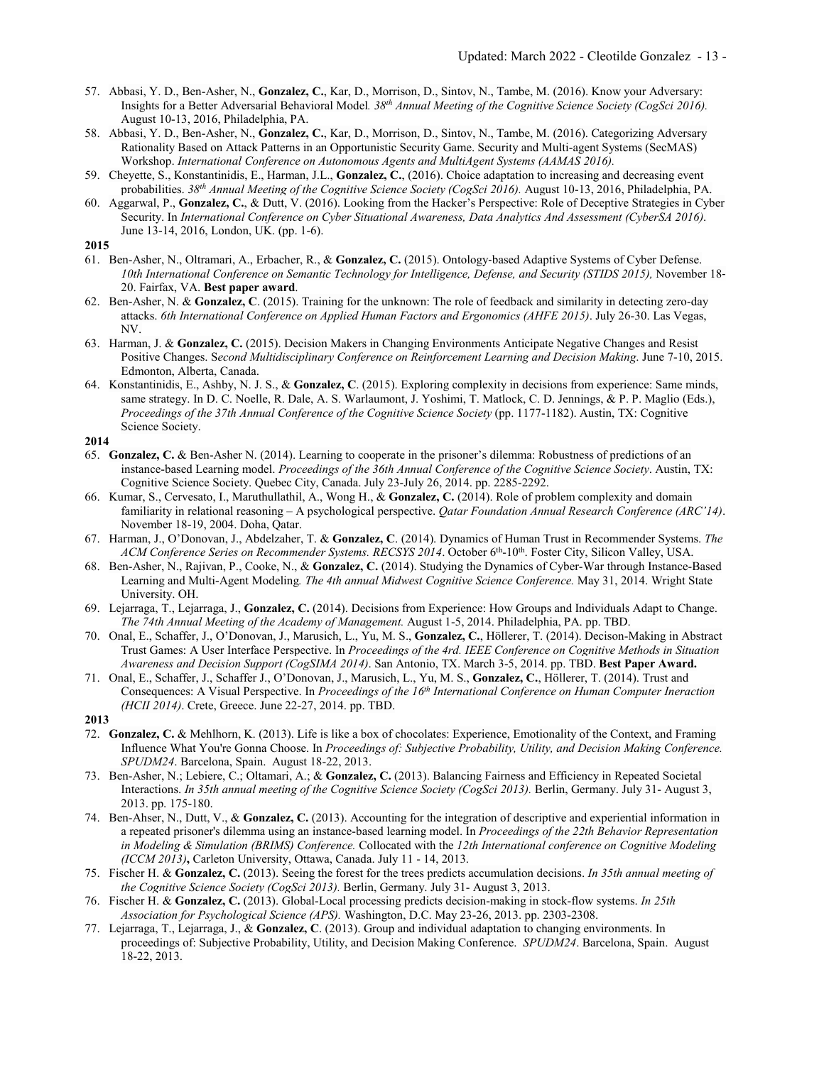- 57. Abbasi, Y. D., Ben-Asher, N., **Gonzalez, C.**, Kar, D., Morrison, D., Sintov, N., Tambe, M. (2016). Know your Adversary: Insights for a Better Adversarial Behavioral Model*. 38th Annual Meeting of the Cognitive Science Society (CogSci 2016).* August 10-13, 2016, Philadelphia, PA.
- 58. Abbasi, Y. D., Ben-Asher, N., **Gonzalez, C.**, Kar, D., Morrison, D., Sintov, N., Tambe, M. (2016). Categorizing Adversary Rationality Based on Attack Patterns in an Opportunistic Security Game. Security and Multi-agent Systems (SecMAS) Workshop. *International Conference on Autonomous Agents and MultiAgent Systems (AAMAS 2016).*
- 59. Cheyette, S., Konstantinidis, E., Harman, J.L., **Gonzalez, C.**, (2016). Choice adaptation to increasing and decreasing event probabilities. *38th Annual Meeting of the Cognitive Science Society (CogSci 2016).* August 10-13, 2016, Philadelphia, PA.
- 60. Aggarwal, P., **Gonzalez, C.**, & Dutt, V. (2016). Looking from the Hacker's Perspective: Role of Deceptive Strategies in Cyber Security. In *International Conference on Cyber Situational Awareness, Data Analytics And Assessment (CyberSA 2016)*. June 13-14, 2016, London, UK. (pp. 1-6).

- 61. Ben-Asher, N., Oltramari, A., Erbacher, R., & **Gonzalez, C.** (2015). Ontology‐based Adaptive Systems of Cyber Defense. *10th International Conference on Semantic Technology for Intelligence, Defense, and Security (STIDS 2015),* November 18‐ 20. Fairfax, VA. **Best paper award**.
- 62. Ben-Asher, N. & **Gonzalez, C**. (2015). Training for the unknown: The role of feedback and similarity in detecting zero-day attacks. *6th International Conference on Applied Human Factors and Ergonomics (AHFE 2015)*. July 26-30. Las Vegas, NV.
- 63. Harman, J. & **Gonzalez, C.** (2015). Decision Makers in Changing Environments Anticipate Negative Changes and Resist Positive Changes. S*econd Multidisciplinary Conference on Reinforcement Learning and Decision Making*. June 7-10, 2015. Edmonton, Alberta, Canada.
- 64. Konstantinidis, E., Ashby, N. J. S., & **Gonzalez, C**. (2015). Exploring complexity in decisions from experience: Same minds, same strategy. In D. C. Noelle, R. Dale, A. S. Warlaumont, J. Yoshimi, T. Matlock, C. D. Jennings, & P. P. Maglio (Eds.), *Proceedings of the 37th Annual Conference of the Cognitive Science Society* (pp. 1177-1182). Austin, TX: Cognitive Science Society.
- **2014**
- 65. **Gonzalez, C.** & Ben-Asher N. (2014). Learning to cooperate in the prisoner's dilemma: Robustness of predictions of an instance-based Learning model. *Proceedings of the 36th Annual Conference of the Cognitive Science Society*. Austin, TX: Cognitive Science Society. Quebec City, Canada. July 23-July 26, 2014. pp. 2285-2292.
- 66. Kumar, S., Cervesato, I., Maruthullathil, A., Wong H., & **Gonzalez, C.** (2014). Role of problem complexity and domain familiarity in relational reasoning – A psychological perspective. *Qatar Foundation Annual Research Conference (ARC'14)*. November 18-19, 2004. Doha, Qatar.
- 67. Harman, J., O'Donovan, J., Abdelzaher, T. & **Gonzalez, C**. (2014). Dynamics of Human Trust in Recommender Systems. *The ACM Conference Series on Recommender Systems. RECSYS 2014*. October 6th-10th. Foster City, Silicon Valley, USA.
- 68. Ben-Asher, N., Rajivan, P., Cooke, N., & **Gonzalez, C.** (2014). Studying the Dynamics of Cyber-War through Instance-Based Learning and Multi-Agent Modeling*. The 4th annual Midwest Cognitive Science Conference.* May 31, 2014. Wright State University. OH.
- 69. Lejarraga, T., Lejarraga, J., **Gonzalez, C.** (2014). Decisions from Experience: How Groups and Individuals Adapt to Change. *The 74th Annual Meeting of the Academy of Management.* August 1-5, 2014. Philadelphia, PA. pp. TBD.
- 70. Onal, E., Schaffer, J., O'Donovan, J., Marusich, L., Yu, M. S., **Gonzalez, C.**, Höllerer, T. (2014). Decison-Making in Abstract Trust Games: A User Interface Perspective. In *Proceedings of the 4rd. IEEE Conference on Cognitive Methods in Situation Awareness and Decision Support (CogSIMA 2014)*. San Antonio, TX. March 3-5, 2014. pp. TBD. **Best Paper Award.**
- 71. Onal, E., Schaffer, J., Schaffer J., O'Donovan, J., Marusich, L., Yu, M. S., **Gonzalez, C.**, Höllerer, T. (2014). Trust and Consequences: A Visual Perspective. In *Proceedings of the 16th International Conference on Human Computer Ineraction (HCII 2014)*. Crete, Greece. June 22-27, 2014. pp. TBD.
- **2013**
- 72. **Gonzalez, C.** & Mehlhorn, K. (2013). Life is like a box of chocolates: Experience, Emotionality of the Context, and Framing Influence What You're Gonna Choose. In *Proceedings of: Subjective Probability, Utility, and Decision Making Conference. SPUDM24*. Barcelona, Spain. August 18-22, 2013.
- 73. Ben-Asher, N.; Lebiere, C.; Oltamari, A.; & **Gonzalez, C.** (2013). Balancing Fairness and Efficiency in Repeated Societal Interactions. *In 35th annual meeting of the Cognitive Science Society (CogSci 2013).* Berlin, Germany. July 31- August 3, 2013. pp. 175-180.
- 74. Ben-Ahser, N., Dutt, V., & **Gonzalez, C.** (2013). Accounting for the integration of descriptive and experiential information in a repeated prisoner's dilemma using an instance-based learning model. In *Proceedings of the 22th Behavior Representation in Modeling & Simulation (BRIMS) Conference.* Collocated with the *12th International conference on Cognitive Modeling (ICCM 2013)***,** Carleton University, Ottawa, Canada. July 11 - 14, 2013.
- 75. Fischer H. & **Gonzalez, C.** (2013). Seeing the forest for the trees predicts accumulation decisions. *In 35th annual meeting of the Cognitive Science Society (CogSci 2013).* Berlin, Germany. July 31- August 3, 2013.
- 76. Fischer H. & **Gonzalez, C.** (2013). Global-Local processing predicts decision-making in stock-flow systems. *In 25th Association for Psychological Science (APS).* Washington, D.C. May 23-26, 2013. pp. 2303-2308.
- 77. Lejarraga, T., Lejarraga, J., & **Gonzalez, C**. (2013). Group and individual adaptation to changing environments. In proceedings of: Subjective Probability, Utility, and Decision Making Conference. *SPUDM24*. Barcelona, Spain. August 18-22, 2013.

**<sup>2015</sup>**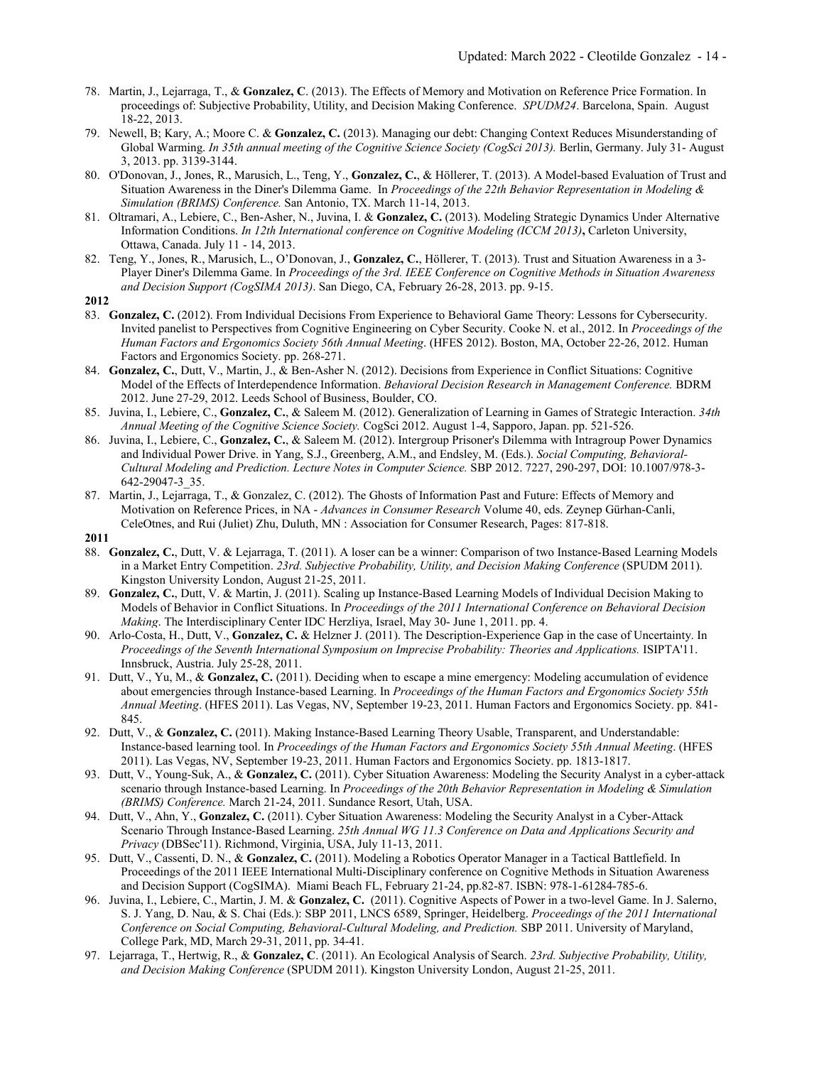- 78. Martin, J., Lejarraga, T., & **Gonzalez, C**. (2013). The Effects of Memory and Motivation on Reference Price Formation. In proceedings of: Subjective Probability, Utility, and Decision Making Conference. *SPUDM24*. Barcelona, Spain. August 18-22, 2013.
- 79. Newell, B; Kary, A.; Moore C. & **Gonzalez, C.** (2013). Managing our debt: Changing Context Reduces Misunderstanding of Global Warming. *In 35th annual meeting of the Cognitive Science Society (CogSci 2013).* Berlin, Germany. July 31- August 3, 2013. pp. 3139-3144.
- 80. O'Donovan, J., Jones, R., Marusich, L., Teng, Y., **Gonzalez, C.**, & Höllerer, T. (2013). A Model-based Evaluation of Trust and Situation Awareness in the Diner's Dilemma Game. In *Proceedings of the 22th Behavior Representation in Modeling & Simulation (BRIMS) Conference.* San Antonio, TX. March 11-14, 2013.
- 81. Oltramari, A., Lebiere, C., Ben-Asher, N., Juvina, I. & **Gonzalez, C.** (2013). Modeling Strategic Dynamics Under Alternative Information Conditions. *In 12th International conference on Cognitive Modeling (ICCM 2013)***,** Carleton University, Ottawa, Canada. July 11 - 14, 2013.
- 82. Teng, Y., Jones, R., Marusich, L., O'Donovan, J., **Gonzalez, C.**, Höllerer, T. (2013). Trust and Situation Awareness in a 3- Player Diner's Dilemma Game. In *Proceedings of the 3rd. IEEE Conference on Cognitive Methods in Situation Awareness and Decision Support (CogSIMA 2013)*. San Diego, CA, February 26-28, 2013. pp. 9-15.
- **2012**
- 83. **Gonzalez, C.** (2012). From Individual Decisions From Experience to Behavioral Game Theory: Lessons for Cybersecurity. Invited panelist to Perspectives from Cognitive Engineering on Cyber Security. Cooke N. et al., 2012. In *Proceedings of the Human Factors and Ergonomics Society 56th Annual Meeting*. (HFES 2012). Boston, MA, October 22-26, 2012. Human Factors and Ergonomics Society. pp. 268-271.
- 84. **Gonzalez, C.**, Dutt, V., Martin, J., & Ben-Asher N. (2012). Decisions from Experience in Conflict Situations: Cognitive Model of the Effects of Interdependence Information. *Behavioral Decision Research in Management Conference.* BDRM 2012. June 27-29, 2012. Leeds School of Business, Boulder, CO.
- 85. Juvina, I., Lebiere, C., **Gonzalez, C.**, & Saleem M. (2012). Generalization of Learning in Games of Strategic Interaction. *34th Annual Meeting of the Cognitive Science Society.* CogSci 2012. August 1-4, Sapporo, Japan. pp. 521-526.
- 86. Juvina, I., Lebiere, C., **Gonzalez, C.**, & Saleem M. (2012). Intergroup Prisoner's Dilemma with Intragroup Power Dynamics and Individual Power Drive. in Yang, S.J., Greenberg, A.M., and Endsley, M. (Eds.). *Social Computing, Behavioral-Cultural Modeling and Prediction. Lecture Notes in Computer Science.* SBP 2012. 7227, 290-297, DOI: 10.1007/978-3- 642-29047-3\_35.
- 87. Martin, J., Lejarraga, T., & Gonzalez, C. (2012). The Ghosts of Information Past and Future: Effects of Memory and Motivation on Reference Prices, in NA - *Advances in Consumer Research* Volume 40, eds. Zeynep Gürhan-Canli, CeleOtnes, and Rui (Juliet) Zhu, Duluth, MN : Association for Consumer Research, Pages: 817-818.
- **2011**
- 88. **Gonzalez, C.**, Dutt, V. & Lejarraga, T. (2011). A loser can be a winner: Comparison of two Instance-Based Learning Models in a Market Entry Competition. *23rd. Subjective Probability, Utility, and Decision Making Conference* (SPUDM 2011). Kingston University London, August 21-25, 2011.
- 89. **Gonzalez, C.**, Dutt, V. & Martin, J. (2011). Scaling up Instance-Based Learning Models of Individual Decision Making to Models of Behavior in Conflict Situations. In *Proceedings of the 2011 International Conference on Behavioral Decision Making*. The Interdisciplinary Center IDC Herzliya, Israel, May 30- June 1, 2011. pp. 4.
- 90. Arlo-Costa, H., Dutt, V., **Gonzalez, C.** & Helzner J. (2011). The Description-Experience Gap in the case of Uncertainty. In *Proceedings of the Seventh International Symposium on Imprecise Probability: Theories and Applications.* ISIPTA'11. Innsbruck, Austria. July 25-28, 2011.
- 91. Dutt, V., Yu, M., & **Gonzalez, C.** (2011). Deciding when to escape a mine emergency: Modeling accumulation of evidence about emergencies through Instance-based Learning. In *Proceedings of the Human Factors and Ergonomics Society 55th Annual Meeting*. (HFES 2011). Las Vegas, NV, September 19-23, 2011. Human Factors and Ergonomics Society. pp. 841- 845.
- 92. Dutt, V., & **Gonzalez, C.** (2011). Making Instance-Based Learning Theory Usable, Transparent, and Understandable: Instance-based learning tool. In *Proceedings of the Human Factors and Ergonomics Society 55th Annual Meeting*. (HFES 2011). Las Vegas, NV, September 19-23, 2011. Human Factors and Ergonomics Society. pp. 1813-1817.
- 93. Dutt, V., Young-Suk, A., & **Gonzalez, C.** (2011). Cyber Situation Awareness: Modeling the Security Analyst in a cyber-attack scenario through Instance-based Learning. In *Proceedings of the 20th Behavior Representation in Modeling & Simulation (BRIMS) Conference.* March 21-24, 2011. Sundance Resort, Utah, USA.
- 94. Dutt, V., Ahn, Y., **Gonzalez, C.** (2011). Cyber Situation Awareness: Modeling the Security Analyst in a Cyber-Attack Scenario Through Instance-Based Learning. *25th Annual WG 11.3 Conference on Data and Applications Security and Privacy* (DBSec'11). Richmond, Virginia, USA, July 11-13, 2011.
- 95. Dutt, V., Cassenti, D. N., & **Gonzalez, C.** (2011). Modeling a Robotics Operator Manager in a Tactical Battlefield. In Proceedings of the 2011 IEEE International Multi-Disciplinary conference on Cognitive Methods in Situation Awareness and Decision Support (CogSIMA). Miami Beach FL, February 21-24, pp.82-87. ISBN: 978-1-61284-785-6.
- 96. Juvina, I., Lebiere, C., Martin, J. M. & **Gonzalez, C.** (2011). Cognitive Aspects of Power in a two-level Game. In J. Salerno, S. J. Yang, D. Nau, & S. Chai (Eds.): SBP 2011, LNCS 6589, Springer, Heidelberg. *Proceedings of the 2011 International Conference on Social Computing, Behavioral-Cultural Modeling, and Prediction.* SBP 2011. University of Maryland, College Park, MD, March 29-31, 2011, pp. 34-41.
- 97. Lejarraga, T., Hertwig, R., & **Gonzalez, C**. (2011). An Ecological Analysis of Search. *23rd. Subjective Probability, Utility, and Decision Making Conference* (SPUDM 2011). Kingston University London, August 21-25, 2011.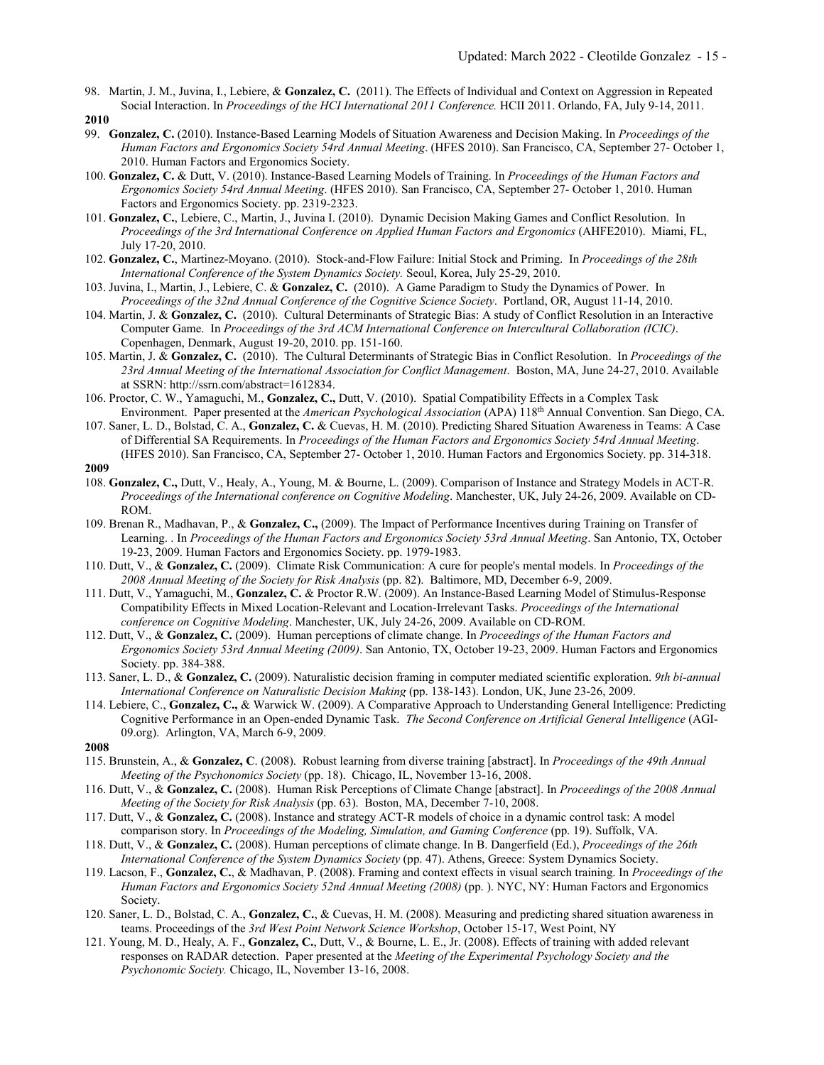98. Martin, J. M., Juvina, I., Lebiere, & **Gonzalez, C.** (2011). The Effects of Individual and Context on Aggression in Repeated Social Interaction. In *Proceedings of the HCI International 2011 Conference*. HCII 2011. Orlando, FA, July 9-14, 2011.

- 99. **Gonzalez, C.** (2010). Instance-Based Learning Models of Situation Awareness and Decision Making. In *Proceedings of the Human Factors and Ergonomics Society 54rd Annual Meeting*. (HFES 2010). San Francisco, CA, September 27- October 1, 2010. Human Factors and Ergonomics Society.
- 100. **Gonzalez, C.** & Dutt, V. (2010). Instance-Based Learning Models of Training. In *Proceedings of the Human Factors and Ergonomics Society 54rd Annual Meeting*. (HFES 2010). San Francisco, CA, September 27- October 1, 2010. Human Factors and Ergonomics Society. pp. 2319-2323.
- 101. **Gonzalez, C.**, Lebiere, C., Martin, J., Juvina I. (2010). Dynamic Decision Making Games and Conflict Resolution. In *Proceedings of the 3rd International Conference on Applied Human Factors and Ergonomics* (AHFE2010). Miami, FL, July 17-20, 2010.
- 102. **Gonzalez, C.**, Martinez-Moyano. (2010). Stock-and-Flow Failure: Initial Stock and Priming. In *Proceedings of the 28th International Conference of the System Dynamics Society.* Seoul, Korea, July 25-29, 2010.
- 103. Juvina, I., Martin, J., Lebiere, C. & **Gonzalez, C.** (2010). A Game Paradigm to Study the Dynamics of Power. In *Proceedings of the 32nd Annual Conference of the Cognitive Science Society*. Portland, OR, August 11-14, 2010.
- 104. Martin, J. & **Gonzalez, C.** (2010). Cultural Determinants of Strategic Bias: A study of Conflict Resolution in an Interactive Computer Game. In *Proceedings of the 3rd ACM International Conference on Intercultural Collaboration (ICIC)*. Copenhagen, Denmark, August 19-20, 2010. pp. 151-160.
- 105. Martin, J. & **Gonzalez, C.** (2010). The Cultural Determinants of Strategic Bias in Conflict Resolution. In *Proceedings of the 23rd Annual Meeting of the International Association for Conflict Management*. Boston, MA, June 24-27, 2010. Available at SSRN: http://ssrn.com/abstract=1612834.
- 106. Proctor, C. W., Yamaguchi, M., **Gonzalez, C.,** Dutt, V. (2010). Spatial Compatibility Effects in a Complex Task Environment. Paper presented at the *American Psychological Association* (APA) 118th Annual Convention. San Diego, CA.
- 107. Saner, L. D., Bolstad, C. A., **Gonzalez, C.** & Cuevas, H. M. (2010). Predicting Shared Situation Awareness in Teams: A Case of Differential SA Requirements. In *Proceedings of the Human Factors and Ergonomics Society 54rd Annual Meeting*. (HFES 2010). San Francisco, CA, September 27- October 1, 2010. Human Factors and Ergonomics Society. pp. 314-318.
- **2009**
- 108. **Gonzalez, C.,** Dutt, V., Healy, A., Young, M. & Bourne, L. (2009). Comparison of Instance and Strategy Models in ACT-R. *Proceedings of the International conference on Cognitive Modeling*. Manchester, UK, July 24-26, 2009. Available on CD-ROM.
- 109. Brenan R., Madhavan, P., & **Gonzalez, C.,** (2009). The Impact of Performance Incentives during Training on Transfer of Learning. . In *Proceedings of the Human Factors and Ergonomics Society 53rd Annual Meeting*. San Antonio, TX, October 19-23, 2009. Human Factors and Ergonomics Society. pp. 1979-1983.
- 110. Dutt, V., & **Gonzalez, C.** (2009). Climate Risk Communication: A cure for people's mental models. In *Proceedings of the 2008 Annual Meeting of the Society for Risk Analysis* (pp. 82). Baltimore, MD, December 6-9, 2009.
- 111. Dutt, V., Yamaguchi, M., **Gonzalez, C.** & Proctor R.W. (2009). An Instance-Based Learning Model of Stimulus-Response Compatibility Effects in Mixed Location-Relevant and Location-Irrelevant Tasks. *Proceedings of the International conference on Cognitive Modeling*. Manchester, UK, July 24-26, 2009. Available on CD-ROM.
- 112. Dutt, V., & **Gonzalez, C.** (2009). Human perceptions of climate change. In *Proceedings of the Human Factors and Ergonomics Society 53rd Annual Meeting (2009)*. San Antonio, TX, October 19-23, 2009. Human Factors and Ergonomics Society. pp. 384-388.
- 113. Saner, L. D., & **Gonzalez, C.** (2009). Naturalistic decision framing in computer mediated scientific exploration. *9th bi-annual International Conference on Naturalistic Decision Making* (pp. 138-143). London, UK, June 23-26, 2009.
- 114. Lebiere, C., **Gonzalez, C.,** & Warwick W. (2009). A Comparative Approach to Understanding General Intelligence: Predicting Cognitive Performance in an Open-ended Dynamic Task. *The Second Conference on Artificial General Intelligence* (AGI-09.org). Arlington, VA, March 6-9, 2009.
- **2008**
- 115. Brunstein, A., & **Gonzalez, C**. (2008). Robust learning from diverse training [abstract]. In *Proceedings of the 49th Annual Meeting of the Psychonomics Society* (pp. 18). Chicago, IL, November 13-16, 2008.
- 116. Dutt, V., & **Gonzalez, C.** (2008). Human Risk Perceptions of Climate Change [abstract]. In *Proceedings of the 2008 Annual Meeting of the Society for Risk Analysis* (pp. 63). Boston, MA, December 7-10, 2008.
- 117. Dutt, V., & **Gonzalez, C.** (2008). Instance and strategy ACT-R models of choice in a dynamic control task: A model comparison story. In *Proceedings of the Modeling, Simulation, and Gaming Conference* (pp. 19). Suffolk, VA.
- 118. Dutt, V., & **Gonzalez, C.** (2008). Human perceptions of climate change. In B. Dangerfield (Ed.), *Proceedings of the 26th International Conference of the System Dynamics Society* (pp. 47). Athens, Greece: System Dynamics Society.
- 119. Lacson, F., **Gonzalez, C.**, & Madhavan, P. (2008). Framing and context effects in visual search training. In *Proceedings of the Human Factors and Ergonomics Society 52nd Annual Meeting (2008)* (pp. ). NYC, NY: Human Factors and Ergonomics Society.
- 120. Saner, L. D., Bolstad, C. A., **Gonzalez, C.**, & Cuevas, H. M. (2008). Measuring and predicting shared situation awareness in teams. Proceedings of the *3rd West Point Network Science Workshop*, October 15-17, West Point, NY
- 121. Young, M. D., Healy, A. F., **Gonzalez, C.**, Dutt, V., & Bourne, L. E., Jr. (2008). Effects of training with added relevant responses on RADAR detection. Paper presented at the *Meeting of the Experimental Psychology Society and the Psychonomic Society.* Chicago, IL, November 13-16, 2008.

**<sup>2010</sup>**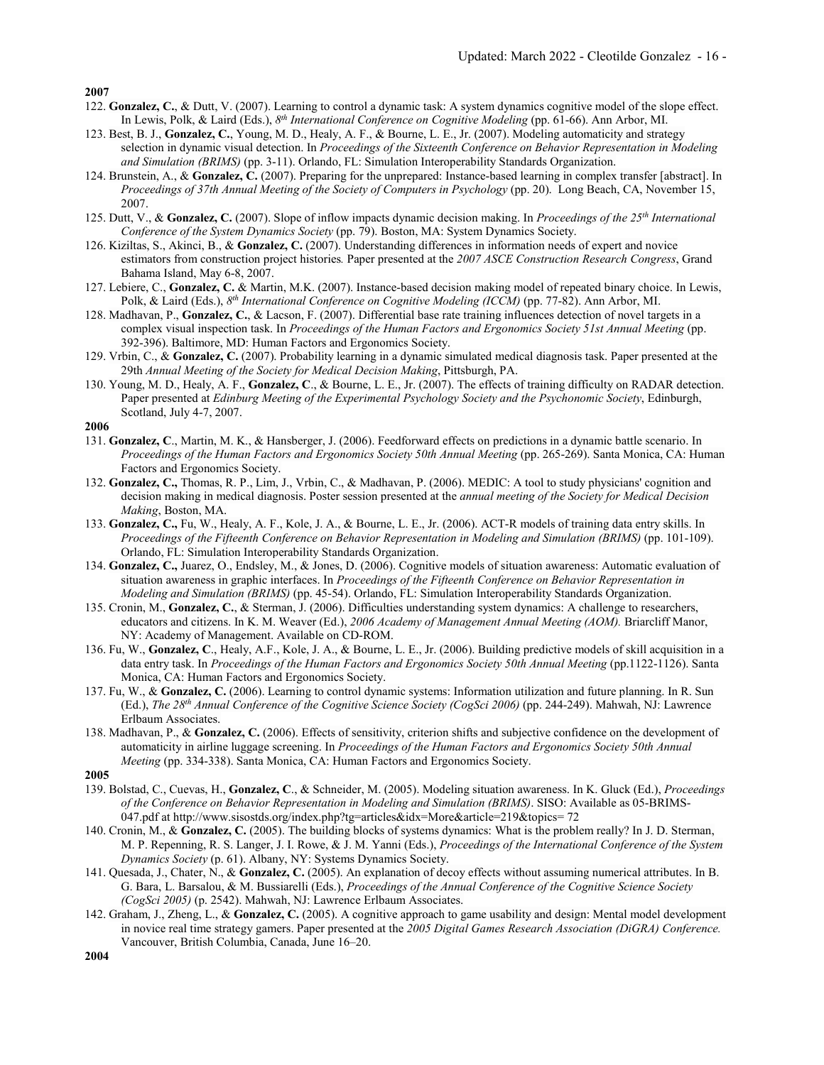- 122. **Gonzalez, C.**, & Dutt, V. (2007). Learning to control a dynamic task: A system dynamics cognitive model of the slope effect. In Lewis, Polk, & Laird (Eds.), *8th International Conference on Cognitive Modeling* (pp. 61-66). Ann Arbor, MI.
- 123. Best, B. J., **Gonzalez, C.**, Young, M. D., Healy, A. F., & Bourne, L. E., Jr. (2007). Modeling automaticity and strategy selection in dynamic visual detection. In *Proceedings of the Sixteenth Conference on Behavior Representation in Modeling and Simulation (BRIMS)* (pp. 3-11). Orlando, FL: Simulation Interoperability Standards Organization.
- 124. Brunstein, A., & **Gonzalez, C.** (2007). Preparing for the unprepared: Instance-based learning in complex transfer [abstract]. In *Proceedings of 37th Annual Meeting of the Society of Computers in Psychology* (pp. 20). Long Beach, CA, November 15, 2007.
- 125. Dutt, V., & **Gonzalez, C.** (2007). Slope of inflow impacts dynamic decision making. In *Proceedings of the 25th International Conference of the System Dynamics Society* (pp. 79). Boston, MA: System Dynamics Society.
- 126. Kiziltas, S., Akinci, B., & **Gonzalez, C.** (2007). Understanding differences in information needs of expert and novice estimators from construction project histories*.* Paper presented at the *2007 ASCE Construction Research Congress*, Grand Bahama Island, May 6-8, 2007.
- 127. Lebiere, C., **Gonzalez, C.** & Martin, M.K. (2007). Instance-based decision making model of repeated binary choice. In Lewis, Polk, & Laird (Eds.), *8th International Conference on Cognitive Modeling (ICCM)* (pp. 77-82). Ann Arbor, MI.
- 128. Madhavan, P., **Gonzalez, C.**, & Lacson, F. (2007). Differential base rate training influences detection of novel targets in a complex visual inspection task. In *Proceedings of the Human Factors and Ergonomics Society 51st Annual Meeting* (pp. 392-396). Baltimore, MD: Human Factors and Ergonomics Society.
- 129. Vrbin, C., & **Gonzalez, C.** (2007). Probability learning in a dynamic simulated medical diagnosis task. Paper presented at the 29th *Annual Meeting of the Society for Medical Decision Making*, Pittsburgh, PA.
- 130. Young, M. D., Healy, A. F., **Gonzalez, C**., & Bourne, L. E., Jr. (2007). The effects of training difficulty on RADAR detection. Paper presented at *Edinburg Meeting of the Experimental Psychology Society and the Psychonomic Society*, Edinburgh, Scotland, July 4-7, 2007.

**2006**

- 131. **Gonzalez, C**., Martin, M. K., & Hansberger, J. (2006). Feedforward effects on predictions in a dynamic battle scenario. In *Proceedings of the Human Factors and Ergonomics Society 50th Annual Meeting (pp. 265-269).* Santa Monica, CA: Human Factors and Ergonomics Society.
- 132. **Gonzalez, C.,** Thomas, R. P., Lim, J., Vrbin, C., & Madhavan, P. (2006). MEDIC: A tool to study physicians' cognition and decision making in medical diagnosis. Poster session presented at the *annual meeting of the Society for Medical Decision Making*, Boston, MA.
- 133. **Gonzalez, C.,** Fu, W., Healy, A. F., Kole, J. A., & Bourne, L. E., Jr. (2006). ACT-R models of training data entry skills. In *Proceedings of the Fifteenth Conference on Behavior Representation in Modeling and Simulation (BRIMS)* (pp. 101-109). Orlando, FL: Simulation Interoperability Standards Organization.
- 134. **Gonzalez, C.,** Juarez, O., Endsley, M., & Jones, D. (2006). Cognitive models of situation awareness: Automatic evaluation of situation awareness in graphic interfaces. In *Proceedings of the Fifteenth Conference on Behavior Representation in Modeling and Simulation (BRIMS)* (pp. 45-54). Orlando, FL: Simulation Interoperability Standards Organization.
- 135. Cronin, M., **Gonzalez, C.**, & Sterman, J. (2006). Difficulties understanding system dynamics: A challenge to researchers, educators and citizens. In K. M. Weaver (Ed.), *2006 Academy of Management Annual Meeting (AOM).* Briarcliff Manor, NY: Academy of Management. Available on CD-ROM.
- 136. Fu, W., **Gonzalez, C**., Healy, A.F., Kole, J. A., & Bourne, L. E., Jr. (2006). Building predictive models of skill acquisition in a data entry task. In *Proceedings of the Human Factors and Ergonomics Society 50th Annual Meeting* (pp.1122-1126). Santa Monica, CA: Human Factors and Ergonomics Society.
- 137. Fu, W., & **Gonzalez, C.** (2006). Learning to control dynamic systems: Information utilization and future planning. In R. Sun (Ed.), *The 28th Annual Conference of the Cognitive Science Society (CogSci 2006)* (pp. 244-249). Mahwah, NJ: Lawrence Erlbaum Associates.
- 138. Madhavan, P., & **Gonzalez, C.** (2006). Effects of sensitivity, criterion shifts and subjective confidence on the development of automaticity in airline luggage screening. In *Proceedings of the Human Factors and Ergonomics Society 50th Annual Meeting* (pp. 334-338). Santa Monica, CA: Human Factors and Ergonomics Society.

- 139. Bolstad, C., Cuevas, H., **Gonzalez, C**., & Schneider, M. (2005). Modeling situation awareness. In K. Gluck (Ed.), *Proceedings of the Conference on Behavior Representation in Modeling and Simulation (BRIMS)*. SISO: Available as 05-BRIMS-047.pdf a[t http://www.sisostds.org/index.php?tg=articles&idx=More&article=219&topics=](http://www.sisostds.org/index.php?tg=articles&idx=More&article=219&topics) 72
- 140. Cronin, M., & **Gonzalez, C.** (2005). The building blocks of systems dynamics: What is the problem really? In J. D. Sterman, M. P. Repenning, R. S. Langer, J. I. Rowe, & J. M. Yanni (Eds.), *Proceedings of the International Conference of the System Dynamics Society* (p. 61). Albany, NY: Systems Dynamics Society.
- 141. Quesada, J., Chater, N., & **Gonzalez, C.** (2005). An explanation of decoy effects without assuming numerical attributes. In B. G. Bara, L. Barsalou, & M. Bussiarelli (Eds.), *Proceedings of the Annual Conference of the Cognitive Science Society (CogSci 2005)* (p. 2542). Mahwah, NJ: Lawrence Erlbaum Associates.
- 142. Graham, J., Zheng, L., & **Gonzalez, C.** (2005). A cognitive approach to game usability and design: Mental model development in novice real time strategy gamers. Paper presented at the *2005 Digital Games Research Association (DiGRA) Conference.* Vancouver, British Columbia, Canada, June 16–20.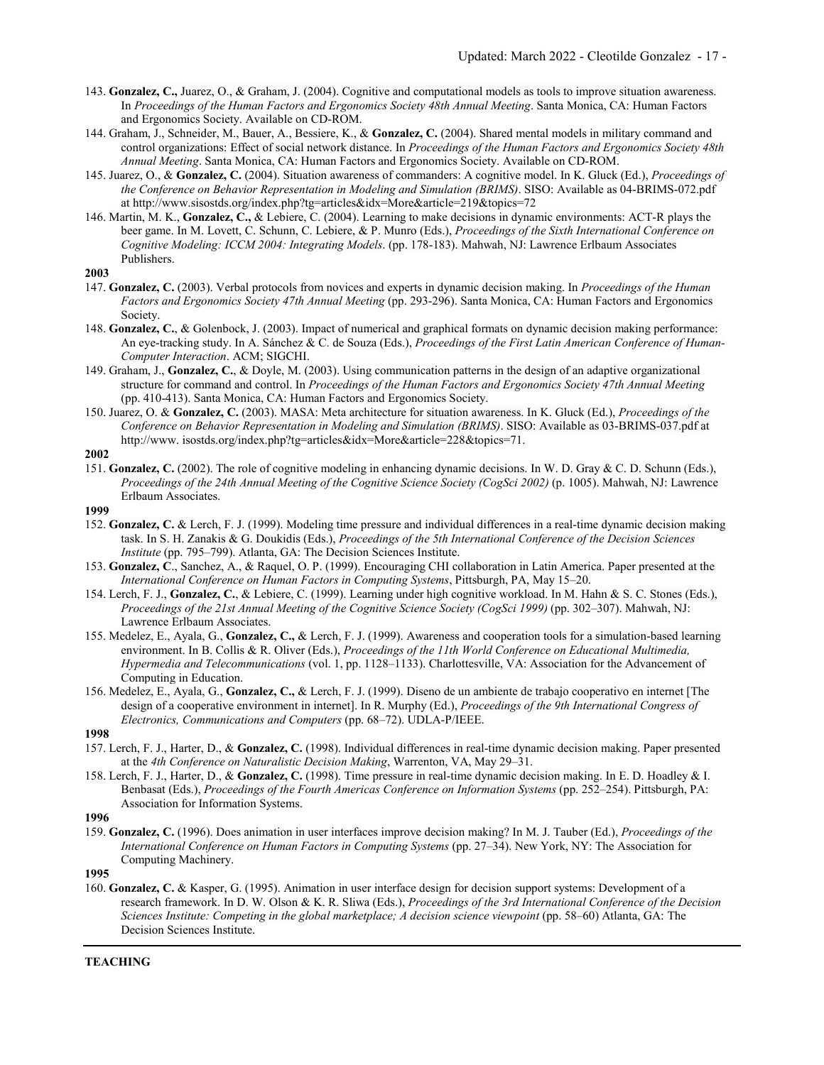- 143. **Gonzalez, C.,** Juarez, O., & Graham, J. (2004). Cognitive and computational models as tools to improve situation awareness. In *Proceedings of the Human Factors and Ergonomics Society 48th Annual Meeting*. Santa Monica, CA: Human Factors and Ergonomics Society. Available on CD-ROM.
- 144. Graham, J., Schneider, M., Bauer, A., Bessiere, K., & **Gonzalez, C.** (2004). Shared mental models in military command and control organizations: Effect of social network distance. In *Proceedings of the Human Factors and Ergonomics Society 48th Annual Meeting*. Santa Monica, CA: Human Factors and Ergonomics Society. Available on CD-ROM.
- 145. Juarez, O., & **Gonzalez, C.** (2004). Situation awareness of commanders: A cognitive model. In K. Gluck (Ed.), *Proceedings of the Conference on Behavior Representation in Modeling and Simulation (BRIMS)*. SISO: Available as 04-BRIMS-072.pdf at http://www.sisostds.org/index.php?tg=articles&idx=More&article=219&topics=72
- 146. Martin, M. K., **Gonzalez, C.,** & Lebiere, C. (2004). Learning to make decisions in dynamic environments: ACT-R plays the beer game. In M. Lovett, C. Schunn, C. Lebiere, & P. Munro (Eds.), *Proceedings of the Sixth International Conference on Cognitive Modeling: ICCM 2004: Integrating Models*. (pp. 178-183). Mahwah, NJ: Lawrence Erlbaum Associates Publishers.

- 147. **Gonzalez, C.** (2003). Verbal protocols from novices and experts in dynamic decision making. In *Proceedings of the Human Factors and Ergonomics Society 47th Annual Meeting* (pp. 293-296). Santa Monica, CA: Human Factors and Ergonomics Society.
- 148. **Gonzalez, C.**, & Golenbock, J. (2003). Impact of numerical and graphical formats on dynamic decision making performance: An eye-tracking study. In A. Sánchez & C. de Souza (Eds.), *Proceedings of the First Latin American Conference of Human-Computer Interaction*. ACM; SIGCHI.
- 149. Graham, J., **Gonzalez, C.**, & Doyle, M. (2003). Using communication patterns in the design of an adaptive organizational structure for command and control. In *Proceedings of the Human Factors and Ergonomics Society 47th Annual Meeting*  (pp. 410-413). Santa Monica, CA: Human Factors and Ergonomics Society.
- 150. Juarez, O. & **Gonzalez, C.** (2003). MASA: Meta architecture for situation awareness. In K. Gluck (Ed.), *Proceedings of the Conference on Behavior Representation in Modeling and Simulation (BRIMS)*. SISO: Available as 03-BRIMS-037.pdf at [http://www.](http://www/) isostds.org/index.php?tg=articles&idx=More&article=228&topics=71.

### **2002**

151. **Gonzalez, C.** (2002). The role of cognitive modeling in enhancing dynamic decisions. In W. D. Gray & C. D. Schunn (Eds.), *Proceedings of the 24th Annual Meeting of the Cognitive Science Society (CogSci 2002)* (p. 1005). Mahwah, NJ: Lawrence Erlbaum Associates.

#### **1999**

- 152. **Gonzalez, C.** & Lerch, F. J. (1999). Modeling time pressure and individual differences in a real-time dynamic decision making task. In S. H. Zanakis & G. Doukidis (Eds.), *Proceedings of the 5th International Conference of the Decision Sciences Institute* (pp. 795–799). Atlanta, GA: The Decision Sciences Institute.
- 153. **Gonzalez, C**., Sanchez, A., & Raquel, O. P. (1999). Encouraging CHI collaboration in Latin America. Paper presented at the *International Conference on Human Factors in Computing Systems*, Pittsburgh, PA, May 15–20.
- 154. Lerch, F. J., **Gonzalez, C.**, & Lebiere, C. (1999). Learning under high cognitive workload. In M. Hahn & S. C. Stones (Eds.), *Proceedings of the 21st Annual Meeting of the Cognitive Science Society (CogSci 1999)* (pp. 302–307). Mahwah, NJ: Lawrence Erlbaum Associates.
- 155. Medelez, E., Ayala, G., **Gonzalez, C.,** & Lerch, F. J. (1999). Awareness and cooperation tools for a simulation-based learning environment. In B. Collis & R. Oliver (Eds.), *Proceedings of the 11th World Conference on Educational Multimedia, Hypermedia and Telecommunications* (vol. 1, pp. 1128–1133). Charlottesville, VA: Association for the Advancement of Computing in Education.
- 156. Medelez, E., Ayala, G., **Gonzalez, C.,** & Lerch, F. J. (1999). Diseno de un ambiente de trabajo cooperativo en internet [The design of a cooperative environment in internet]. In R. Murphy (Ed.), *Proceedings of the 9th International Congress of Electronics, Communications and Computers* (pp. 68–72). UDLA-P/IEEE.

### **1998**

- 157. Lerch, F. J., Harter, D., & **Gonzalez, C.** (1998). Individual differences in real-time dynamic decision making. Paper presented at the *4th Conference on Naturalistic Decision Making*, Warrenton, VA, May 29–31.
- 158. Lerch, F. J., Harter, D., & **Gonzalez, C.** (1998). Time pressure in real-time dynamic decision making. In E. D. Hoadley & I. Benbasat (Eds.), *Proceedings of the Fourth Americas Conference on Information Systems* (pp. 252–254). Pittsburgh, PA: Association for Information Systems.

#### **1996**

159. **Gonzalez, C.** (1996). Does animation in user interfaces improve decision making? In M. J. Tauber (Ed.), *Proceedings of the International Conference on Human Factors in Computing Systems* (pp. 27–34). New York, NY: The Association for Computing Machinery.

**1995**

160. **Gonzalez, C.** & Kasper, G. (1995). Animation in user interface design for decision support systems: Development of a research framework. In D. W. Olson & K. R. Sliwa (Eds.), *Proceedings of the 3rd International Conference of the Decision Sciences Institute: Competing in the global marketplace; A decision science viewpoint* (pp. 58–60) Atlanta, GA: The Decision Sciences Institute.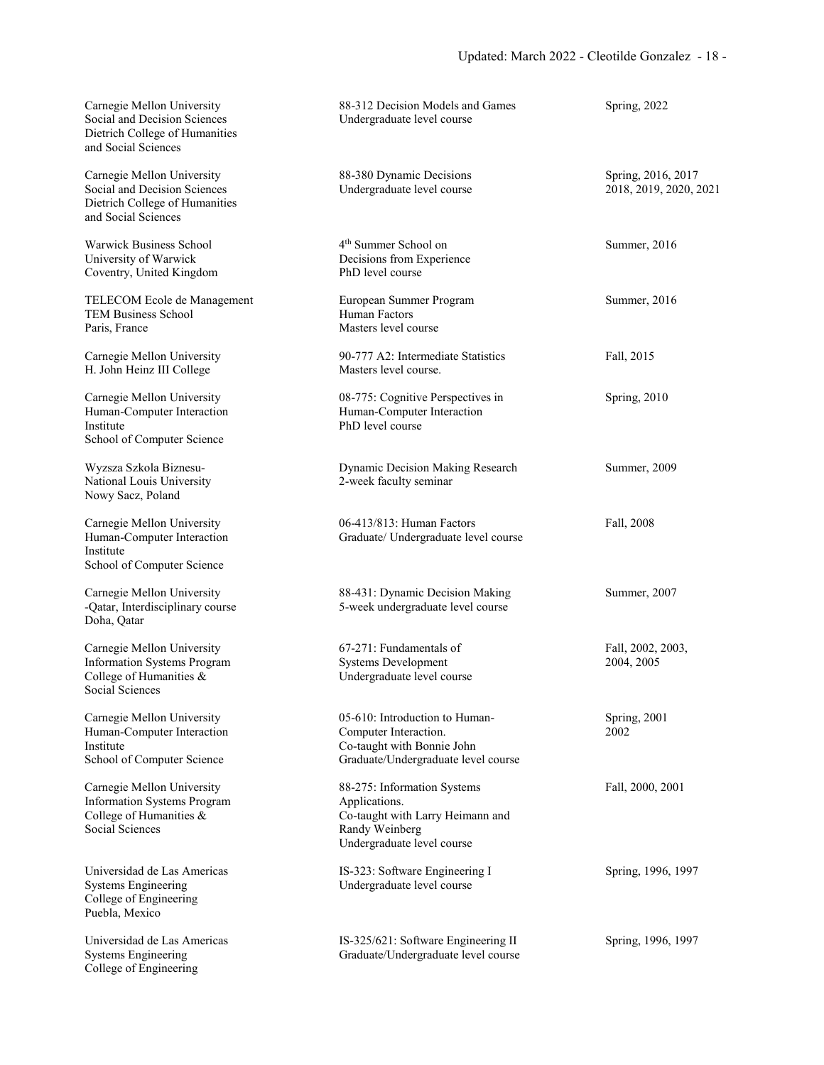| Carnegie Mellon University<br>Social and Decision Sciences<br>Dietrich College of Humanities<br>and Social Sciences | 88-312 Decision Models and Games<br>Undergraduate level course                                                                   | Spring, 2022                                 |
|---------------------------------------------------------------------------------------------------------------------|----------------------------------------------------------------------------------------------------------------------------------|----------------------------------------------|
| Carnegie Mellon University<br>Social and Decision Sciences<br>Dietrich College of Humanities<br>and Social Sciences | 88-380 Dynamic Decisions<br>Undergraduate level course                                                                           | Spring, 2016, 2017<br>2018, 2019, 2020, 2021 |
| Warwick Business School<br>University of Warwick<br>Coventry, United Kingdom                                        | 4 <sup>th</sup> Summer School on<br>Decisions from Experience<br>PhD level course                                                | Summer, 2016                                 |
| TELECOM Ecole de Management<br><b>TEM Business School</b><br>Paris, France                                          | European Summer Program<br>Human Factors<br>Masters level course                                                                 | Summer, 2016                                 |
| Carnegie Mellon University<br>H. John Heinz III College                                                             | 90-777 A2: Intermediate Statistics<br>Masters level course.                                                                      | Fall, 2015                                   |
| Carnegie Mellon University<br>Human-Computer Interaction<br>Institute<br>School of Computer Science                 | 08-775: Cognitive Perspectives in<br>Human-Computer Interaction<br>PhD level course                                              | Spring, 2010                                 |
| Wyzsza Szkola Biznesu-<br>National Louis University<br>Nowy Sacz, Poland                                            | Dynamic Decision Making Research<br>2-week faculty seminar                                                                       | Summer, 2009                                 |
| Carnegie Mellon University<br>Human-Computer Interaction<br>Institute<br>School of Computer Science                 | 06-413/813: Human Factors<br>Graduate/ Undergraduate level course                                                                | Fall, 2008                                   |
| Carnegie Mellon University<br>-Qatar, Interdisciplinary course<br>Doha, Qatar                                       | 88-431: Dynamic Decision Making<br>5-week undergraduate level course                                                             | Summer, 2007                                 |
| Carnegie Mellon University<br><b>Information Systems Program</b><br>College of Humanities &<br>Social Sciences      | 67-271: Fundamentals of<br><b>Systems Development</b><br>Undergraduate level course                                              | Fall, 2002, 2003,<br>2004, 2005              |
| Carnegie Mellon University<br>Human-Computer Interaction<br>Institute<br>School of Computer Science                 | 05-610: Introduction to Human-<br>Computer Interaction.<br>Co-taught with Bonnie John<br>Graduate/Undergraduate level course     | Spring, 2001<br>2002                         |
| Carnegie Mellon University<br><b>Information Systems Program</b><br>College of Humanities &<br>Social Sciences      | 88-275: Information Systems<br>Applications.<br>Co-taught with Larry Heimann and<br>Randy Weinberg<br>Undergraduate level course | Fall, 2000, 2001                             |
| Universidad de Las Americas<br><b>Systems Engineering</b><br>College of Engineering<br>Puebla, Mexico               | IS-323: Software Engineering I<br>Undergraduate level course                                                                     | Spring, 1996, 1997                           |
| Universidad de Las Americas<br><b>Systems Engineering</b><br>College of Engineering                                 | IS-325/621: Software Engineering II<br>Graduate/Undergraduate level course                                                       | Spring, 1996, 1997                           |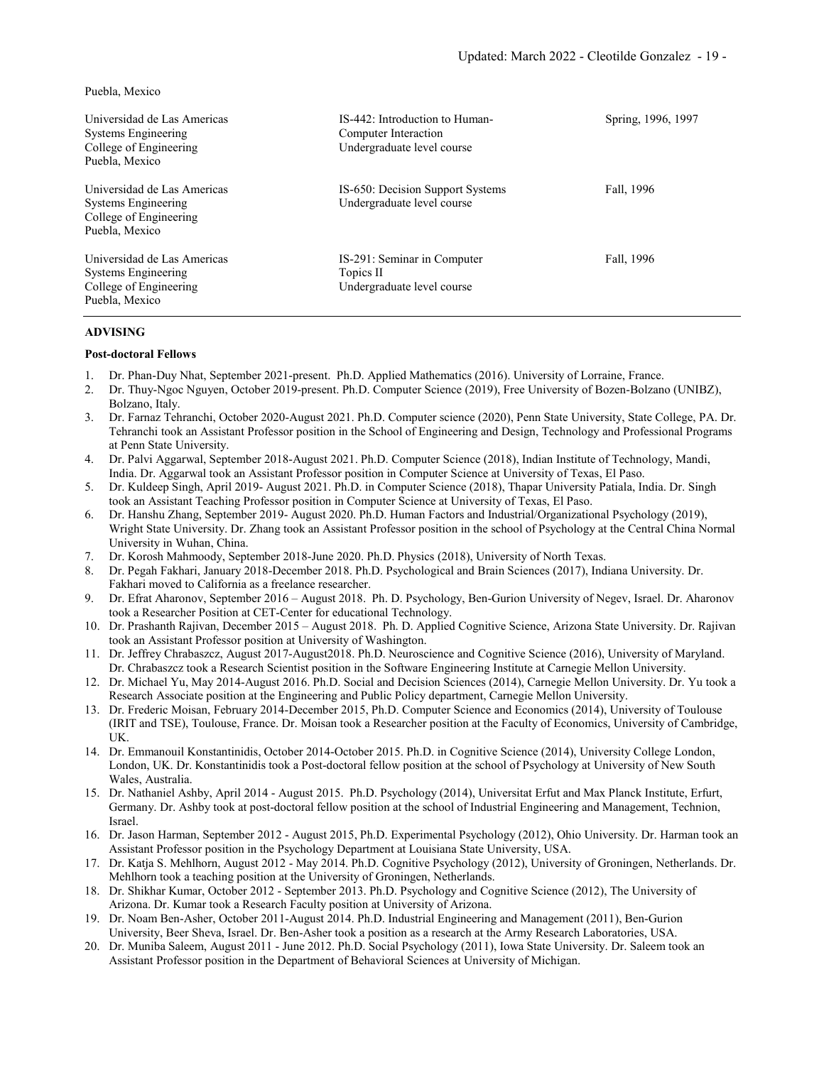Puebla, Mexico

| Universidad de Las Americas<br>Systems Engineering<br>College of Engineering<br>Puebla, Mexico | IS-442: Introduction to Human-<br>Computer Interaction<br>Undergraduate level course | Spring, 1996, 1997 |
|------------------------------------------------------------------------------------------------|--------------------------------------------------------------------------------------|--------------------|
| Universidad de Las Americas<br>Systems Engineering<br>College of Engineering<br>Puebla, Mexico | IS-650: Decision Support Systems<br>Undergraduate level course                       | Fall, 1996         |
| Universidad de Las Americas<br>Systems Engineering<br>College of Engineering<br>Puebla, Mexico | IS-291: Seminar in Computer<br>Topics II<br>Undergraduate level course               | Fall, 1996         |

## **ADVISING**

## **Post-doctoral Fellows**

- 1. Dr. Phan-Duy Nhat, September 2021-present. Ph.D. Applied Mathematics (2016). University of Lorraine, France.
- 2. Dr. Thuy-Ngoc Nguyen, October 2019-present. Ph.D. Computer Science (2019), Free University of Bozen-Bolzano (UNIBZ), Bolzano, Italy.
- 3. Dr. Farnaz Tehranchi, October 2020-August 2021. Ph.D. Computer science (2020), Penn State University, State College, PA. Dr. Tehranchi took an Assistant Professor position in the School of Engineering and Design, Technology and Professional Programs at Penn State University.
- 4. Dr. Palvi Aggarwal, September 2018-August 2021. Ph.D. Computer Science (2018), Indian Institute of Technology, Mandi, India. Dr. Aggarwal took an Assistant Professor position in Computer Science at University of Texas, El Paso.
- 5. Dr. Kuldeep Singh, April 2019- August 2021. Ph.D. in Computer Science (2018), Thapar University Patiala, India. Dr. Singh took an Assistant Teaching Professor position in Computer Science at University of Texas, El Paso.
- 6. Dr. Hanshu Zhang, September 2019- August 2020. Ph.D. Human Factors and Industrial/Organizational Psychology (2019), Wright State University. Dr. Zhang took an Assistant Professor position in the school of Psychology at the Central China Normal University in Wuhan, China.
- 7. Dr. Korosh Mahmoody, September 2018-June 2020. Ph.D. Physics (2018), University of North Texas.
- 8. Dr. Pegah Fakhari, January 2018-December 2018. Ph.D. Psychological and Brain Sciences (2017), Indiana University. Dr. Fakhari moved to California as a freelance researcher.
- 9. Dr. Efrat Aharonov, September 2016 August 2018. Ph. D. Psychology, Ben-Gurion University of Negev, Israel. Dr. Aharonov took a Researcher Position at CET-Center for educational Technology.
- 10. Dr. Prashanth Rajivan, December 2015 August 2018. Ph. D. Applied Cognitive Science, Arizona State University. Dr. Rajivan took an Assistant Professor position at University of Washington.
- 11. Dr. Jeffrey Chrabaszcz, August 2017-August2018. Ph.D. Neuroscience and Cognitive Science (2016), University of Maryland. Dr. Chrabaszcz took a Research Scientist position in the Software Engineering Institute at Carnegie Mellon University.
- 12. Dr. Michael Yu, May 2014-August 2016. Ph.D. Social and Decision Sciences (2014), Carnegie Mellon University. Dr. Yu took a Research Associate position at the Engineering and Public Policy department, Carnegie Mellon University.
- 13. Dr. Frederic Moisan, February 2014-December 2015, Ph.D. Computer Science and Economics (2014), University of Toulouse (IRIT and TSE), Toulouse, France. Dr. Moisan took a Researcher position at the Faculty of Economics, University of Cambridge, UK.
- 14. Dr. Emmanouil Konstantinidis, October 2014-October 2015. Ph.D. in Cognitive Science (2014), University College London, London, UK. Dr. Konstantinidis took a Post-doctoral fellow position at the school of Psychology at University of New South Wales, Australia.
- 15. Dr. Nathaniel Ashby, April 2014 August 2015. Ph.D. Psychology (2014), Universitat Erfut and Max Planck Institute, Erfurt, Germany. Dr. Ashby took at post-doctoral fellow position at the school of Industrial Engineering and Management, Technion, Israel.
- 16. Dr. Jason Harman, September 2012 August 2015, Ph.D. Experimental Psychology (2012), Ohio University. Dr. Harman took an Assistant Professor position in the Psychology Department at Louisiana State University, USA.
- 17. Dr. Katja S. Mehlhorn, August 2012 May 2014. Ph.D. Cognitive Psychology (2012), University of Groningen, Netherlands. Dr. Mehlhorn took a teaching position at the University of Groningen, Netherlands.
- 18. Dr. Shikhar Kumar, October 2012 September 2013. Ph.D. Psychology and Cognitive Science (2012), The University of Arizona. Dr. Kumar took a Research Faculty position at University of Arizona.
- 19. Dr. Noam Ben-Asher, October 2011-August 2014. Ph.D. Industrial Engineering and Management (2011), Ben-Gurion University, Beer Sheva, Israel. Dr. Ben-Asher took a position as a research at the Army Research Laboratories, USA.
- 20. Dr. Muniba Saleem, August 2011 June 2012. Ph.D. Social Psychology (2011), Iowa State University. Dr. Saleem took an Assistant Professor position in the Department of Behavioral Sciences at University of Michigan.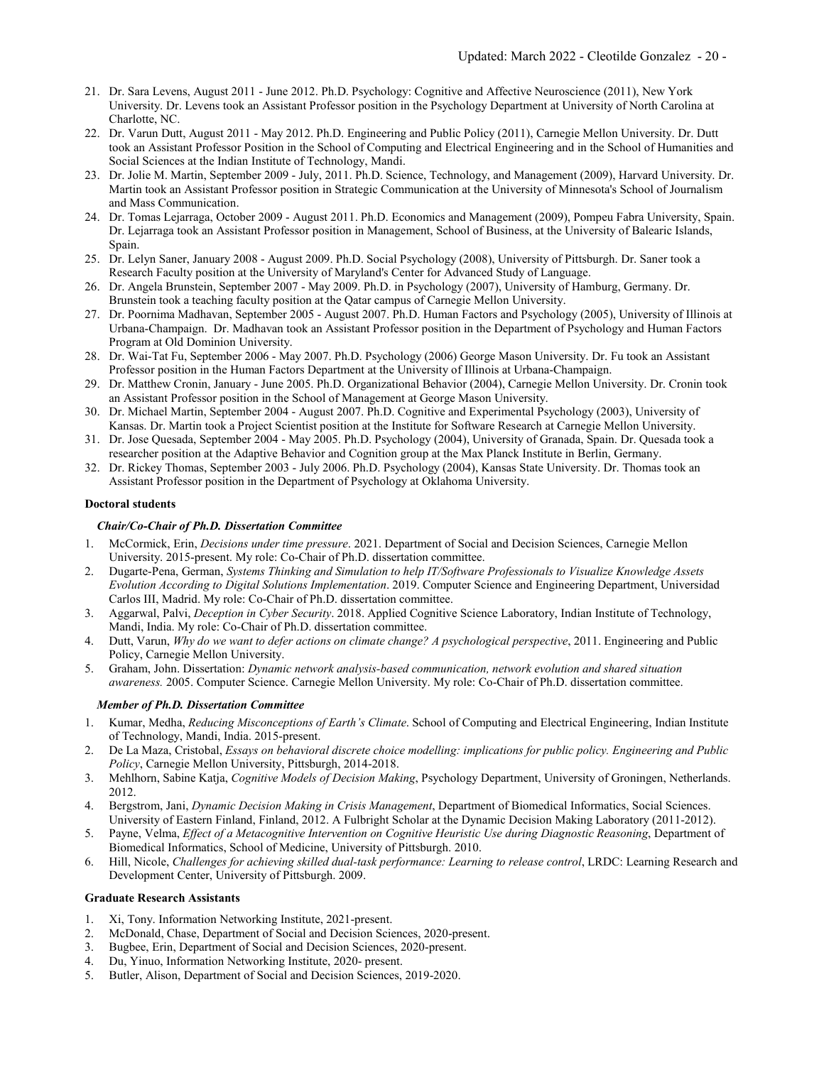- 21. Dr. Sara Levens, August 2011 June 2012. Ph.D. Psychology: Cognitive and Affective Neuroscience (2011), New York University. Dr. Levens took an Assistant Professor position in the Psychology Department at University of North Carolina at Charlotte, NC.
- 22. Dr. Varun Dutt, August 2011 May 2012. Ph.D. Engineering and Public Policy (2011), Carnegie Mellon University. Dr. Dutt took an Assistant Professor Position in the School of Computing and Electrical Engineering and in the School of Humanities and Social Sciences at the Indian Institute of Technology, Mandi.
- 23. Dr. Jolie M. Martin, September 2009 July, 2011. Ph.D. Science, Technology, and Management (2009), Harvard University. Dr. Martin took an Assistant Professor position in Strategic Communication at the University of Minnesota's School of Journalism and Mass Communication.
- 24. Dr. Tomas Lejarraga, October 2009 August 2011. Ph.D. Economics and Management (2009), Pompeu Fabra University, Spain. Dr. Lejarraga took an Assistant Professor position in Management, School of Business, at the University of Balearic Islands, Spain.
- 25. Dr. Lelyn Saner, January 2008 August 2009. Ph.D. Social Psychology (2008), University of Pittsburgh. Dr. Saner took a Research Faculty position at the University of Maryland's Center for Advanced Study of Language.
- 26. Dr. Angela Brunstein, September 2007 May 2009. Ph.D. in Psychology (2007), University of Hamburg, Germany. Dr. Brunstein took a teaching faculty position at the Qatar campus of Carnegie Mellon University.
- 27. Dr. Poornima Madhavan, September 2005 August 2007. Ph.D. Human Factors and Psychology (2005), University of Illinois at Urbana-Champaign. Dr. Madhavan took an Assistant Professor position in the Department of Psychology and Human Factors Program at Old Dominion University.
- 28. Dr. Wai-Tat Fu, September 2006 May 2007. Ph.D. Psychology (2006) George Mason University. Dr. Fu took an Assistant Professor position in the Human Factors Department at the University of Illinois at Urbana-Champaign.
- 29. Dr. Matthew Cronin, January June 2005. Ph.D. Organizational Behavior (2004), Carnegie Mellon University. Dr. Cronin took an Assistant Professor position in the School of Management at George Mason University.
- 30. Dr. Michael Martin, September 2004 August 2007. Ph.D. Cognitive and Experimental Psychology (2003), University of Kansas. Dr. Martin took a Project Scientist position at the Institute for Software Research at Carnegie Mellon University.
- 31. Dr. Jose Quesada, September 2004 May 2005. Ph.D. Psychology (2004), University of Granada, Spain. Dr. Quesada took a researcher position at the Adaptive Behavior and Cognition group at the Max Planck Institute in Berlin, Germany.
- 32. Dr. Rickey Thomas, September 2003 July 2006. Ph.D. Psychology (2004), Kansas State University. Dr. Thomas took an Assistant Professor position in the Department of Psychology at Oklahoma University.

## **Doctoral students**

## *Chair/Co-Chair of Ph.D. Dissertation Committee*

- 1. McCormick, Erin, *Decisions under time pressure*. 2021. Department of Social and Decision Sciences, Carnegie Mellon University. 2015-present. My role: Co-Chair of Ph.D. dissertation committee.
- 2. Dugarte-Pena, German, *Systems Thinking and Simulation to help IT/Software Professionals to Visualize Knowledge Assets Evolution According to Digital Solutions Implementation*. 2019. Computer Science and Engineering Department, Universidad Carlos III, Madrid. My role: Co-Chair of Ph.D. dissertation committee.
- 3. Aggarwal, Palvi, *Deception in Cyber Security*. 2018. Applied Cognitive Science Laboratory, Indian Institute of Technology, Mandi, India. My role: Co-Chair of Ph.D. dissertation committee.
- 4. Dutt, Varun, *Why do we want to defer actions on climate change? A psychological perspective*, 2011. Engineering and Public Policy, Carnegie Mellon University.
- 5. Graham, John. Dissertation: *Dynamic network analysis-based communication, network evolution and shared situation awareness.* 2005. Computer Science. Carnegie Mellon University. My role: Co-Chair of Ph.D. dissertation committee.

### *Member of Ph.D. Dissertation Committee*

- 1. Kumar, Medha, *Reducing Misconceptions of Earth's Climate*. School of Computing and Electrical Engineering, Indian Institute of Technology, Mandi, India. 2015-present.
- 2. De La Maza, Cristobal, *Essays on behavioral discrete choice modelling: implications for public policy. Engineering and Public Policy*, Carnegie Mellon University, Pittsburgh, 2014-2018.
- 3. Mehlhorn, Sabine Katja, *Cognitive Models of Decision Making*, Psychology Department, University of Groningen, Netherlands. 2012.
- 4. Bergstrom, Jani, *Dynamic Decision Making in Crisis Management*, Department of Biomedical Informatics, Social Sciences. University of Eastern Finland, Finland, 2012. A Fulbright Scholar at the Dynamic Decision Making Laboratory (2011-2012).
- 5. Payne, Velma, *Effect of a Metacognitive Intervention on Cognitive Heuristic Use during Diagnostic Reasoning*, Department of Biomedical Informatics, School of Medicine, University of Pittsburgh. 2010.
- 6. Hill, Nicole, *Challenges for achieving skilled dual-task performance: Learning to release control*, LRDC: Learning Research and Development Center, University of Pittsburgh. 2009.

### **Graduate Research Assistants**

- 1. Xi, Tony. Information Networking Institute, 2021-present.
- 2. McDonald, Chase, Department of Social and Decision Sciences, 2020-present.
- 3. Bugbee, Erin, Department of Social and Decision Sciences, 2020-present.
- 4. Du, Yinuo, Information Networking Institute, 2020- present.
- 5. Butler, Alison, Department of Social and Decision Sciences, 2019-2020.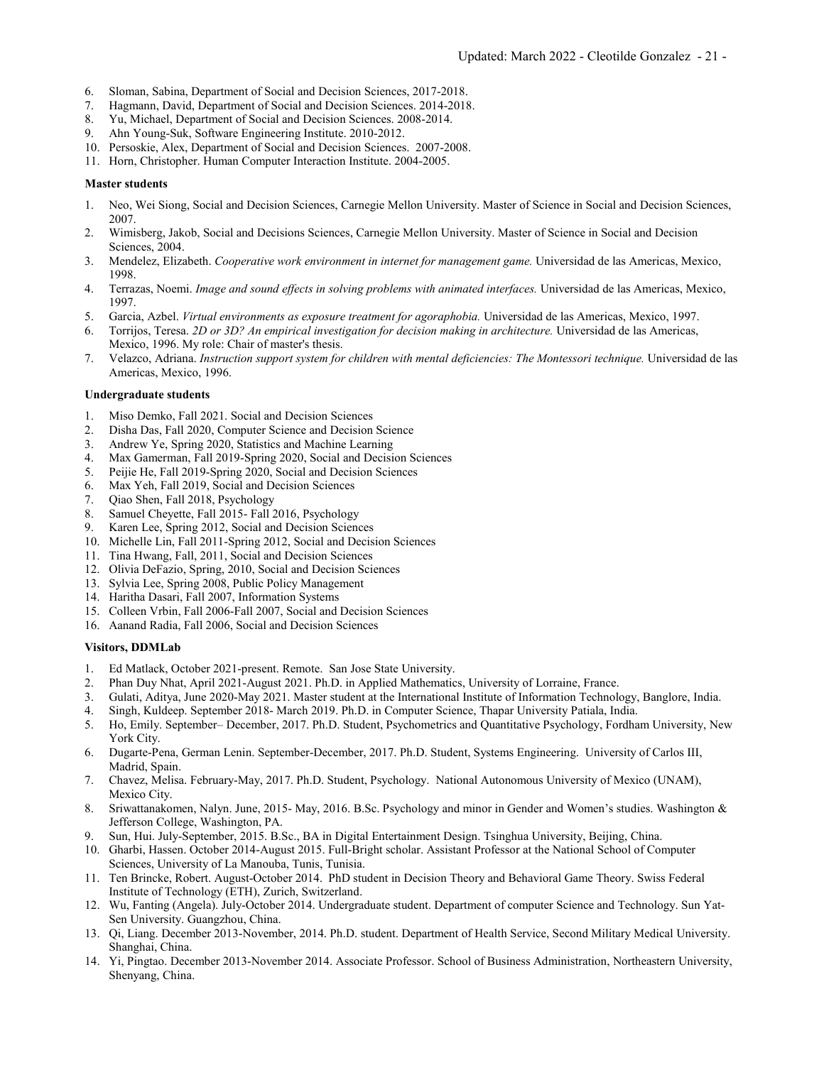- 6. Sloman, Sabina, Department of Social and Decision Sciences, 2017-2018.
- 7. Hagmann, David, Department of Social and Decision Sciences. 2014-2018.
- 8. Yu, Michael, Department of Social and Decision Sciences. 2008-2014.<br>9. Ahn Young-Suk. Software Engineering Institute. 2010-2012.
- 9. Ahn Young-Suk, Software Engineering Institute. 2010-2012.
- 10. Persoskie, Alex, Department of Social and Decision Sciences. 2007-2008.
- 11. Horn, Christopher. Human Computer Interaction Institute. 2004-2005.

## **Master students**

- 1. Neo, Wei Siong, Social and Decision Sciences, Carnegie Mellon University. Master of Science in Social and Decision Sciences, 2007.
- 2. Wimisberg, Jakob, Social and Decisions Sciences, Carnegie Mellon University. Master of Science in Social and Decision Sciences, 2004.
- 3. Mendelez, Elizabeth. *Cooperative work environment in internet for management game.* Universidad de las Americas, Mexico, 1998.
- 4. Terrazas, Noemi. *Image and sound effects in solving problems with animated interfaces.* Universidad de las Americas, Mexico, 1997.
- 5. Garcia, Azbel. *Virtual environments as exposure treatment for agoraphobia.* Universidad de las Americas, Mexico, 1997.
- 6. Torrijos, Teresa. *2D or 3D? An empirical investigation for decision making in architecture.* Universidad de las Americas, Mexico, 1996. My role: Chair of master's thesis.
- 7. Velazco, Adriana. *Instruction support system for children with mental deficiencies: The Montessori technique.* Universidad de las Americas, Mexico, 1996.

## **Undergraduate students**

- 1. Miso Demko, Fall 2021. Social and Decision Sciences
- 2. Disha Das, Fall 2020, Computer Science and Decision Science
- 3. Andrew Ye, Spring 2020, Statistics and Machine Learning
- 4. Max Gamerman, Fall 2019-Spring 2020, Social and Decision Sciences
- 5. Peijie He, Fall 2019-Spring 2020, Social and Decision Sciences
- 6. Max Yeh, Fall 2019, Social and Decision Sciences
- 7. Qiao Shen, Fall 2018, Psychology
- 
- 8. Samuel Cheyette, Fall 2015- Fall 2016, Psychology<br>9. Karen Lee, Spring 2012, Social and Decision Scienc Karen Lee, Spring 2012, Social and Decision Sciences
- 10. Michelle Lin, Fall 2011-Spring 2012, Social and Decision Sciences
- 11. Tina Hwang, Fall, 2011, Social and Decision Sciences
- 12. Olivia DeFazio, Spring, 2010, Social and Decision Sciences
- 13. Sylvia Lee, Spring 2008, Public Policy Management
- 14. Haritha Dasari, Fall 2007, Information Systems
- 15. Colleen Vrbin, Fall 2006-Fall 2007, Social and Decision Sciences
- 16. Aanand Radia, Fall 2006, Social and Decision Sciences

## **Visitors, DDMLab**

- 1. Ed Matlack, October 2021-present. Remote. San Jose State University.<br>2. Phan Duv Nhat. April 2021-August 2021. Ph.D. in Applied Mathematic
- 2. Phan Duy Nhat, April 2021-August 2021. Ph.D. in Applied Mathematics, University of Lorraine, France.
- 3. Gulati, Aditya, June 2020-May 2021. Master student at the International Institute of Information Technology, Banglore, India.
- 4. Singh, Kuldeep. September 2018- March 2019. Ph.D. in Computer Science, Thapar University Patiala, India.
- 5. Ho, Emily. September– December, 2017. Ph.D. Student, Psychometrics and Quantitative Psychology, Fordham University, New York City.
- 6. Dugarte-Pena, German Lenin. September-December, 2017. Ph.D. Student, Systems Engineering. University of Carlos III, Madrid, Spain.
- 7. Chavez, Melisa. February-May, 2017. Ph.D. Student, Psychology. National Autonomous University of Mexico (UNAM), Mexico City.
- 8. Sriwattanakomen, Nalyn. June, 2015- May, 2016. B.Sc. Psychology and minor in Gender and Women's studies. Washington & Jefferson College, Washington, PA.
- 9. Sun, Hui. July-September, 2015. B.Sc., BA in Digital Entertainment Design. Tsinghua University, Beijing, China.
- 10. Gharbi, Hassen. October 2014-August 2015. Full-Bright scholar. Assistant Professor at the National School of Computer Sciences, University of La Manouba, Tunis, Tunisia.
- 11. Ten Brincke, Robert. August-October 2014. PhD student in Decision Theory and Behavioral Game Theory. Swiss Federal Institute of Technology (ETH), Zurich, Switzerland.
- 12. Wu, Fanting (Angela). July-October 2014. Undergraduate student. Department of computer Science and Technology. Sun Yat-Sen University. Guangzhou, China.
- 13. Qi, Liang. December 2013-November, 2014. Ph.D. student. Department of Health Service, Second Military Medical University. Shanghai, China.
- 14. Yi, Pingtao. December 2013-November 2014. Associate Professor. School of Business Administration, Northeastern University, Shenyang, China.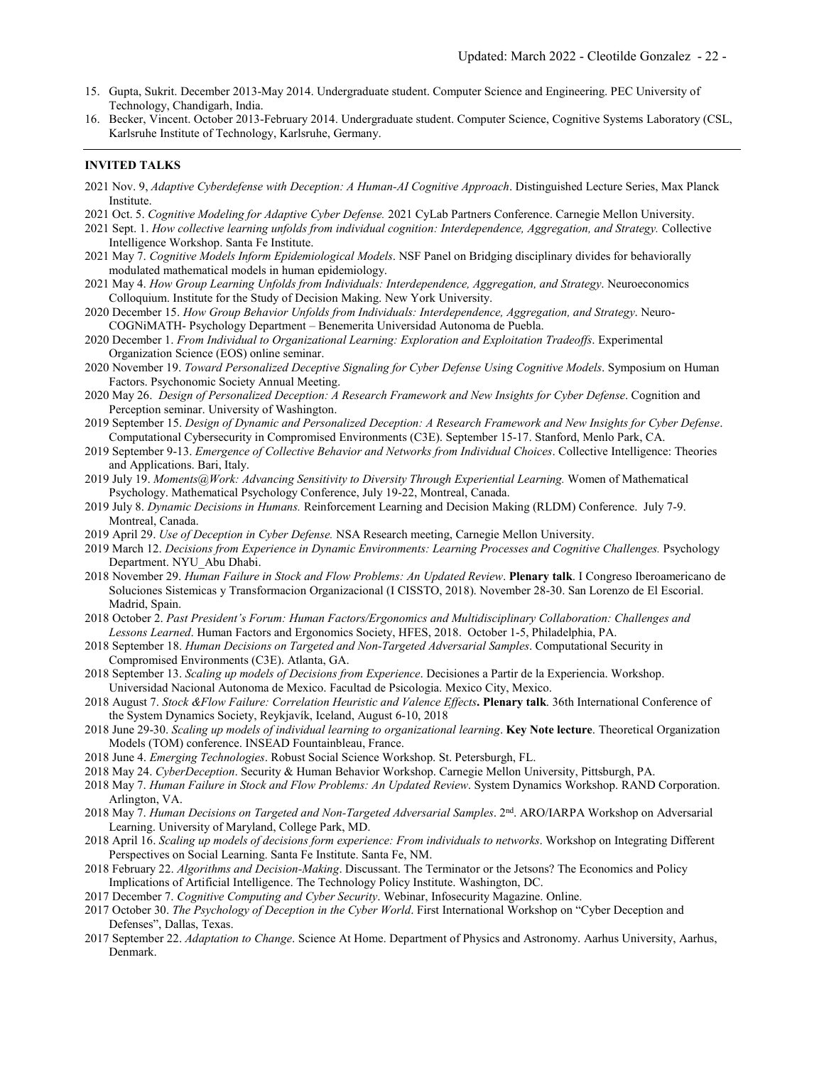- 15. Gupta, Sukrit. December 2013-May 2014. Undergraduate student. Computer Science and Engineering. PEC University of Technology, Chandigarh, India.
- 16. Becker, Vincent. October 2013-February 2014. Undergraduate student. Computer Science, Cognitive Systems Laboratory (CSL, Karlsruhe Institute of Technology, Karlsruhe, Germany.

### **INVITED TALKS**

- 2021 Nov. 9, *Adaptive Cyberdefense with Deception: A Human-AI Cognitive Approach*. Distinguished Lecture Series, Max Planck Institute.
- 2021 Oct. 5. *Cognitive Modeling for Adaptive Cyber Defense.* 2021 CyLab Partners Conference. Carnegie Mellon University.
- 2021 Sept. 1. *How collective learning unfolds from individual cognition: Interdependence, Aggregation, and Strategy.* Collective Intelligence Workshop. Santa Fe Institute.
- 2021 May 7. *Cognitive Models Inform Epidemiological Models*. NSF Panel on Bridging disciplinary divides for behaviorally modulated mathematical models in human epidemiology.
- 2021 May 4. *How Group Learning Unfolds from Individuals: Interdependence, Aggregation, and Strategy*. Neuroeconomics Colloquium. Institute for the Study of Decision Making. New York University.
- 2020 December 15. *How Group Behavior Unfolds from Individuals: Interdependence, Aggregation, and Strategy*. Neuro-COGNiMATH- Psychology Department – Benemerita Universidad Autonoma de Puebla.
- 2020 December 1. *From Individual to Organizational Learning: Exploration and Exploitation Tradeoffs*. Experimental Organization Science (EOS) online seminar.
- 2020 November 19. *Toward Personalized Deceptive Signaling for Cyber Defense Using Cognitive Models*. Symposium on Human Factors. Psychonomic Society Annual Meeting.
- 2020 May 26. *Design of Personalized Deception: A Research Framework and New Insights for Cyber Defense*. Cognition and Perception seminar. University of Washington.
- 2019 September 15. *Design of Dynamic and Personalized Deception: A Research Framework and New Insights for Cyber Defense*. Computational Cybersecurity in Compromised Environments (C3E). September 15-17. Stanford, Menlo Park, CA.
- 2019 September 9-13. *Emergence of Collective Behavior and Networks from Individual Choices*. Collective Intelligence: Theories and Applications. Bari, Italy.
- 2019 July 19. *Moments@Work: Advancing Sensitivity to Diversity Through Experiential Learning.* Women of Mathematical Psychology. Mathematical Psychology Conference, July 19-22, Montreal, Canada.
- 2019 July 8. *Dynamic Decisions in Humans.* Reinforcement Learning and Decision Making (RLDM) Conference. July 7-9. Montreal, Canada.
- 2019 April 29. *Use of Deception in Cyber Defense.* NSA Research meeting, Carnegie Mellon University.
- 2019 March 12. *Decisions from Experience in Dynamic Environments: Learning Processes and Cognitive Challenges.* Psychology Department. NYU\_Abu Dhabi.
- 2018 November 29. *Human Failure in Stock and Flow Problems: An Updated Review*. **Plenary talk**. I Congreso Iberoamericano de Soluciones Sistemicas y Transformacion Organizacional (I CISSTO, 2018). November 28-30. San Lorenzo de El Escorial. Madrid, Spain.
- 2018 October 2. *Past President's Forum: Human Factors/Ergonomics and Multidisciplinary Collaboration: Challenges and Lessons Learned*. Human Factors and Ergonomics Society, HFES, 2018. October 1-5, Philadelphia, PA.
- 2018 September 18. *Human Decisions on Targeted and Non-Targeted Adversarial Samples*. Computational Security in Compromised Environments (C3E). Atlanta, GA.
- 2018 September 13. *Scaling up models of Decisions from Experience*. Decisiones a Partir de la Experiencia. Workshop. Universidad Nacional Autonoma de Mexico. Facultad de Psicologia. Mexico City, Mexico.
- 2018 August 7. *Stock &Flow Failure: Correlation Heuristic and Valence Effects***. Plenary talk**. 36th International Conference of the System Dynamics Society, Reykjavík, Iceland, August 6-10, 2018
- 2018 June 29-30. *Scaling up models of individual learning to organizational learning*. **Key Note lecture**. Theoretical Organization Models (TOM) conference. INSEAD Fountainbleau, France.
- 2018 June 4. *Emerging Technologies*. Robust Social Science Workshop. St. Petersburgh, FL.
- 2018 May 24. *CyberDeception*. Security & Human Behavior Workshop. Carnegie Mellon University, Pittsburgh, PA.
- 2018 May 7. *Human Failure in Stock and Flow Problems: An Updated Review*. System Dynamics Workshop. RAND Corporation. Arlington, VA.
- 2018 May 7. *Human Decisions on Targeted and Non-Targeted Adversarial Samples*. 2nd. ARO/IARPA Workshop on Adversarial Learning. University of Maryland, College Park, MD.
- 2018 April 16. *Scaling up models of decisions form experience: From individuals to networks*. Workshop on Integrating Different Perspectives on Social Learning. Santa Fe Institute. Santa Fe, NM.
- 2018 February 22. *Algorithms and Decision-Making*. Discussant. The Terminator or the Jetsons? The Economics and Policy Implications of Artificial Intelligence. The Technology Policy Institute. Washington, DC.
- 2017 December 7. *Cognitive Computing and Cyber Security*. Webinar, Infosecurity Magazine. Online.
- 2017 October 30. *The Psychology of Deception in the Cyber World*. First International Workshop on "Cyber Deception and Defenses", Dallas, Texas.
- 2017 September 22. *Adaptation to Change*. Science At Home. Department of Physics and Astronomy. Aarhus University, Aarhus, Denmark.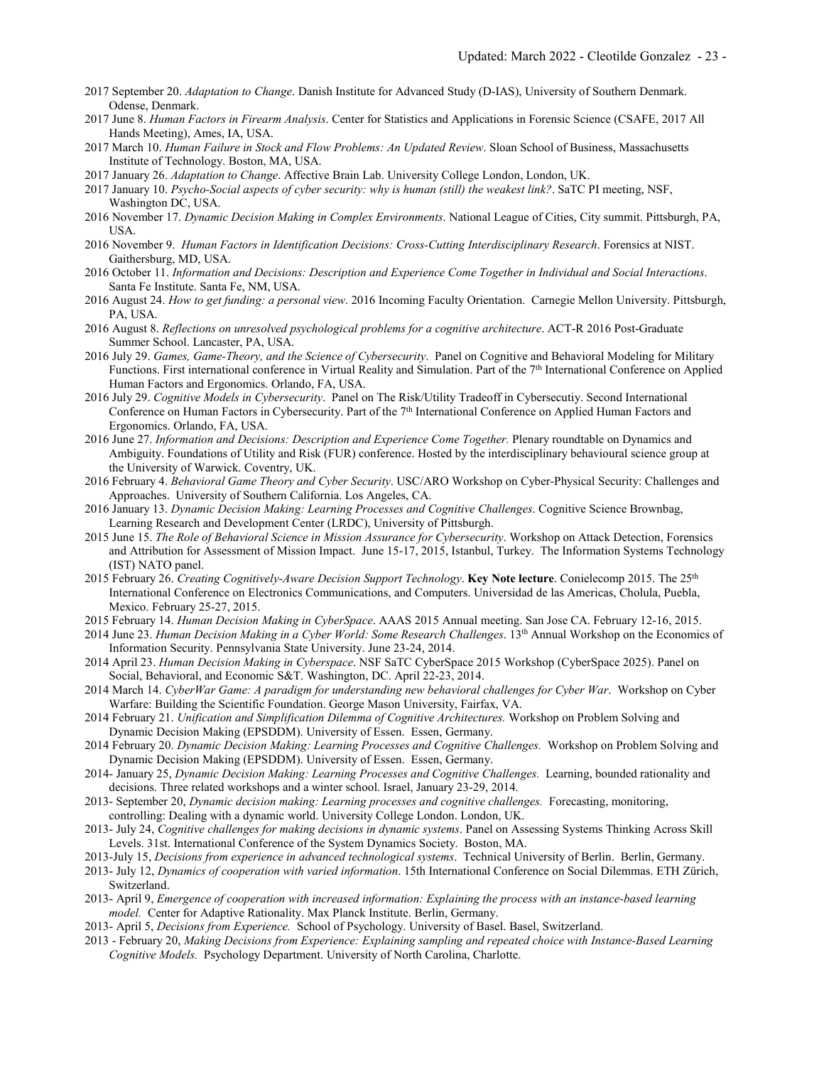- 2017 September 20. *Adaptation to Change*. Danish Institute for Advanced Study (D-IAS), University of Southern Denmark. Odense, Denmark.
- 2017 June 8. *Human Factors in Firearm Analysis*. Center for Statistics and Applications in Forensic Science (CSAFE, 2017 All Hands Meeting), Ames, IA, USA.
- 2017 March 10. *Human Failure in Stock and Flow Problems: An Updated Review*. Sloan School of Business, Massachusetts Institute of Technology. Boston, MA, USA.
- 2017 January 26. *Adaptation to Change*. Affective Brain Lab. University College London, London, UK.
- 2017 January 10. *Psycho-Social aspects of cyber security: why is human (still) the weakest link?*. SaTC PI meeting, NSF, Washington DC, USA.
- 2016 November 17. *Dynamic Decision Making in Complex Environments*. National League of Cities, City summit. Pittsburgh, PA, USA.
- 2016 November 9. *Human Factors in Identification Decisions: Cross-Cutting Interdisciplinary Research*. Forensics at NIST. Gaithersburg, MD, USA.
- 2016 October 11. *Information and Decisions: Description and Experience Come Together in Individual and Social Interactions*. Santa Fe Institute. Santa Fe, NM, USA.
- 2016 August 24. *How to get funding: a personal view*. 2016 Incoming Faculty Orientation. Carnegie Mellon University. Pittsburgh, PA, USA.
- 2016 August 8. *Reflections on unresolved psychological problems for a cognitive architecture*. ACT-R 2016 Post-Graduate Summer School. Lancaster, PA, USA.
- 2016 July 29. *Games, Game-Theory, and the Science of Cybersecurity*. Panel on Cognitive and Behavioral Modeling for Military Functions. First international conference in Virtual Reality and Simulation. Part of the 7<sup>th</sup> International Conference on Applied Human Factors and Ergonomics. Orlando, FA, USA.
- 2016 July 29. *Cognitive Models in Cybersecurity*. Panel on The Risk/Utility Tradeoff in Cybersecutiy. Second International Conference on Human Factors in Cybersecurity. Part of the 7<sup>th</sup> International Conference on Applied Human Factors and Ergonomics. Orlando, FA, USA.
- 2016 June 27. *Information and Decisions: Description and Experience Come Together.* Plenary roundtable on Dynamics and Ambiguity. Foundations of Utility and Risk (FUR) conference. Hosted by the interdisciplinary behavioural science group at the University of Warwick. Coventry, UK.
- 2016 February 4. *Behavioral Game Theory and Cyber Security*. USC/ARO Workshop on Cyber-Physical Security: Challenges and Approaches. University of Southern California. Los Angeles, CA.
- 2016 January 13. *Dynamic Decision Making: Learning Processes and Cognitive Challenges*. Cognitive Science Brownbag, Learning Research and Development Center (LRDC), University of Pittsburgh.
- 2015 June 15. *The Role of Behavioral Science in Mission Assurance for Cybersecurity*. Workshop on Attack Detection, Forensics and Attribution for Assessment of Mission Impact. June 15-17, 2015, Istanbul, Turkey. The Information Systems Technology (IST) NATO panel.
- 2015 February 26. *Creating Cognitively-Aware Decision Support Technology*. **Key Note lecture**. Conielecomp 2015. The 25th International Conference on Electronics Communications, and Computers. Universidad de las Americas, Cholula, Puebla, Mexico. February 25-27, 2015.
- 2015 February 14. *Human Decision Making in CyberSpace*. AAAS 2015 Annual meeting. San Jose CA. February 12-16, 2015.
- 2014 June 23. *Human Decision Making in a Cyber World: Some Research Challenges*. 13th Annual Workshop on the Economics of Information Security. Pennsylvania State University. June 23-24, 2014.
- 2014 April 23. *Human Decision Making in Cyberspace*. NSF SaTC CyberSpace 2015 Workshop (CyberSpace 2025). Panel on Social, Behavioral, and Economic S&T. Washington, DC. April 22-23, 2014.
- 2014 March 14. *CyberWar Game: A paradigm for understanding new behavioral challenges for Cyber War*. Workshop on Cyber Warfare: Building the Scientific Foundation. George Mason University, Fairfax, VA.
- 2014 February 21. *Unification and Simplification Dilemma of Cognitive Architectures.* Workshop on Problem Solving and Dynamic Decision Making (EPSDDM). University of Essen. Essen, Germany.
- 2014 February 20. *Dynamic Decision Making: Learning Processes and Cognitive Challenges.* Workshop on Problem Solving and Dynamic Decision Making (EPSDDM). University of Essen. Essen, Germany.
- 2014- January 25, *Dynamic Decision Making: Learning Processes and Cognitive Challenges.* Learning, bounded rationality and decisions. Three related workshops and a winter school. Israel, January 23-29, 2014.
- 2013- September 20, *Dynamic decision making: Learning processes and cognitive challenges.* Forecasting, monitoring, controlling: Dealing with a dynamic world. University College London. London, UK.
- 2013- July 24, *Cognitive challenges for making decisions in dynamic systems*. Panel on Assessing Systems Thinking Across Skill Levels. 31st. International Conference of the System Dynamics Society. Boston, MA.
- 2013-July 15, *Decisions from experience in advanced technological systems*. Technical University of Berlin. Berlin, Germany.
- 2013- July 12, *Dynamics of cooperation with varied information*. 15th International Conference on Social Dilemmas. ETH Zürich, Switzerland.
- 2013- April 9, *Emergence of cooperation with increased information: Explaining the process with an instance-based learning model.* Center for Adaptive Rationality. Max Planck Institute. Berlin, Germany.
- 2013- April 5, *Decisions from Experience.* School of Psychology. University of Basel. Basel, Switzerland.
- 2013 February 20, *Making Decisions from Experience: Explaining sampling and repeated choice with Instance-Based Learning Cognitive Models.* Psychology Department. University of North Carolina, Charlotte.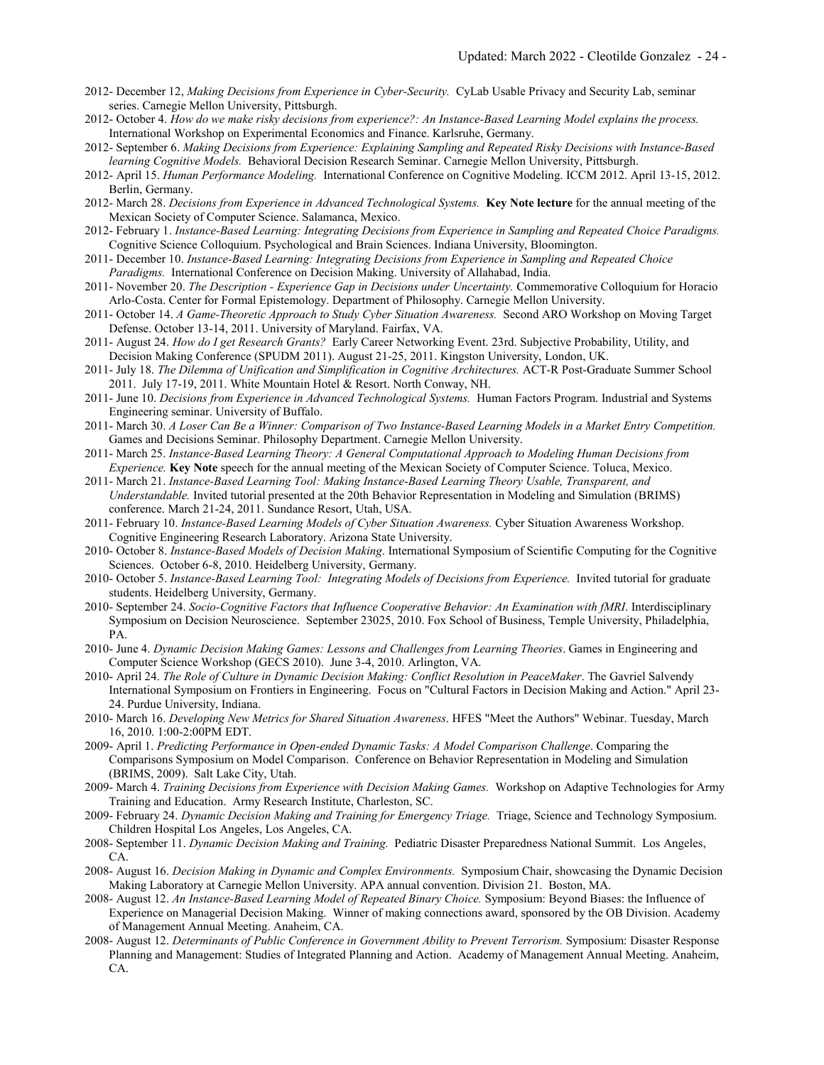- 2012- December 12, *Making Decisions from Experience in Cyber-Security.* CyLab Usable Privacy and Security Lab, seminar series. Carnegie Mellon University, Pittsburgh.
- 2012- October 4. *How do we make risky decisions from experience?: An Instance-Based Learning Model explains the process.*  International Workshop on Experimental Economics and Finance. Karlsruhe, Germany.
- 2012- September 6. *Making Decisions from Experience: Explaining Sampling and Repeated Risky Decisions with Instance-Based learning Cognitive Models.* Behavioral Decision Research Seminar. Carnegie Mellon University, Pittsburgh.
- 2012- April 15. *Human Performance Modeling.* International Conference on Cognitive Modeling. ICCM 2012. April 13-15, 2012. Berlin, Germany.
- 2012- March 28. *Decisions from Experience in Advanced Technological Systems.* **Key Note lecture** for the annual meeting of the Mexican Society of Computer Science. Salamanca, Mexico.
- 2012- February 1. *Instance-Based Learning: Integrating Decisions from Experience in Sampling and Repeated Choice Paradigms.*  Cognitive Science Colloquium. Psychological and Brain Sciences. Indiana University, Bloomington.
- 2011- December 10. *Instance-Based Learning: Integrating Decisions from Experience in Sampling and Repeated Choice Paradigms.* International Conference on Decision Making. University of Allahabad, India.
- 2011- November 20. *The Description - Experience Gap in Decisions under Uncertainty.* Commemorative Colloquium for Horacio Arlo-Costa. Center for Formal Epistemology. Department of Philosophy. Carnegie Mellon University.
- 2011- October 14. *A Game-Theoretic Approach to Study Cyber Situation Awareness.* Second ARO Workshop on Moving Target Defense. October 13-14, 2011. University of Maryland. Fairfax, VA.
- 2011- August 24. *How do I get Research Grants?* Early Career Networking Event. 23rd. Subjective Probability, Utility, and Decision Making Conference (SPUDM 2011). August 21-25, 2011. Kingston University, London, UK.
- 2011- July 18. *The Dilemma of Unification and Simplification in Cognitive Architectures.* ACT-R Post-Graduate Summer School 2011. July 17-19, 2011. White Mountain Hotel & Resort. North Conway, NH.
- 2011- June 10. *Decisions from Experience in Advanced Technological Systems.* Human Factors Program. Industrial and Systems Engineering seminar. University of Buffalo.
- 2011- March 30. *A Loser Can Be a Winner: Comparison of Two Instance-Based Learning Models in a Market Entry Competition.* Games and Decisions Seminar. Philosophy Department. Carnegie Mellon University.
- 2011- March 25. *Instance-Based Learning Theory: A General Computational Approach to Modeling Human Decisions from Experience.* **Key Note** speech for the annual meeting of the Mexican Society of Computer Science. Toluca, Mexico.
- 2011- March 21. *Instance-Based Learning Tool: Making Instance-Based Learning Theory Usable, Transparent, and Understandable.* Invited tutorial presented at the 20th Behavior Representation in Modeling and Simulation (BRIMS) conference. March 21-24, 2011. Sundance Resort, Utah, USA.
- 2011- February 10. *Instance-Based Learning Models of Cyber Situation Awareness.* Cyber Situation Awareness Workshop. Cognitive Engineering Research Laboratory. Arizona State University.
- 2010- October 8. *Instance-Based Models of Decision Making*. International Symposium of Scientific Computing for the Cognitive Sciences. October 6-8, 2010. Heidelberg University, Germany.
- 2010- October 5. *Instance-Based Learning Tool: Integrating Models of Decisions from Experience.* Invited tutorial for graduate students. Heidelberg University, Germany.
- 2010- September 24. *Socio-Cognitive Factors that Influence Cooperative Behavior: An Examination with fMRI*. Interdisciplinary Symposium on Decision Neuroscience. September 23025, 2010. Fox School of Business, Temple University, Philadelphia, PA.
- 2010- June 4. *Dynamic Decision Making Games: Lessons and Challenges from Learning Theories*. Games in Engineering and Computer Science Workshop (GECS 2010). June 3-4, 2010. Arlington, VA.
- 2010- April 24. *The Role of Culture in Dynamic Decision Making: Conflict Resolution in PeaceMaker*. The Gavriel Salvendy International Symposium on Frontiers in Engineering. Focus on "Cultural Factors in Decision Making and Action." April 23- 24. Purdue University, Indiana.
- 2010- March 16. *Developing New Metrics for Shared Situation Awareness*. HFES "Meet the Authors" Webinar. Tuesday, March 16, 2010. 1:00-2:00PM EDT.
- 2009- April 1. *Predicting Performance in Open-ended Dynamic Tasks: A Model Comparison Challenge*. Comparing the Comparisons Symposium on Model Comparison. Conference on Behavior Representation in Modeling and Simulation (BRIMS, 2009). Salt Lake City, Utah.
- 2009- March 4. *Training Decisions from Experience with Decision Making Games.* Workshop on Adaptive Technologies for Army Training and Education. Army Research Institute, Charleston, SC.
- 2009- February 24. *Dynamic Decision Making and Training for Emergency Triage.* Triage, Science and Technology Symposium. Children Hospital Los Angeles, Los Angeles, CA.
- 2008- September 11. *Dynamic Decision Making and Training.* Pediatric Disaster Preparedness National Summit. Los Angeles, CA.
- 2008- August 16. *Decision Making in Dynamic and Complex Environments.* Symposium Chair, showcasing the Dynamic Decision Making Laboratory at Carnegie Mellon University. APA annual convention. Division 21. Boston, MA.
- 2008- August 12. *An Instance-Based Learning Model of Repeated Binary Choice.* Symposium: Beyond Biases: the Influence of Experience on Managerial Decision Making. Winner of making connections award, sponsored by the OB Division. Academy of Management Annual Meeting. Anaheim, CA.
- 2008- August 12. *Determinants of Public Conference in Government Ability to Prevent Terrorism.* Symposium: Disaster Response Planning and Management: Studies of Integrated Planning and Action. Academy of Management Annual Meeting. Anaheim, CA.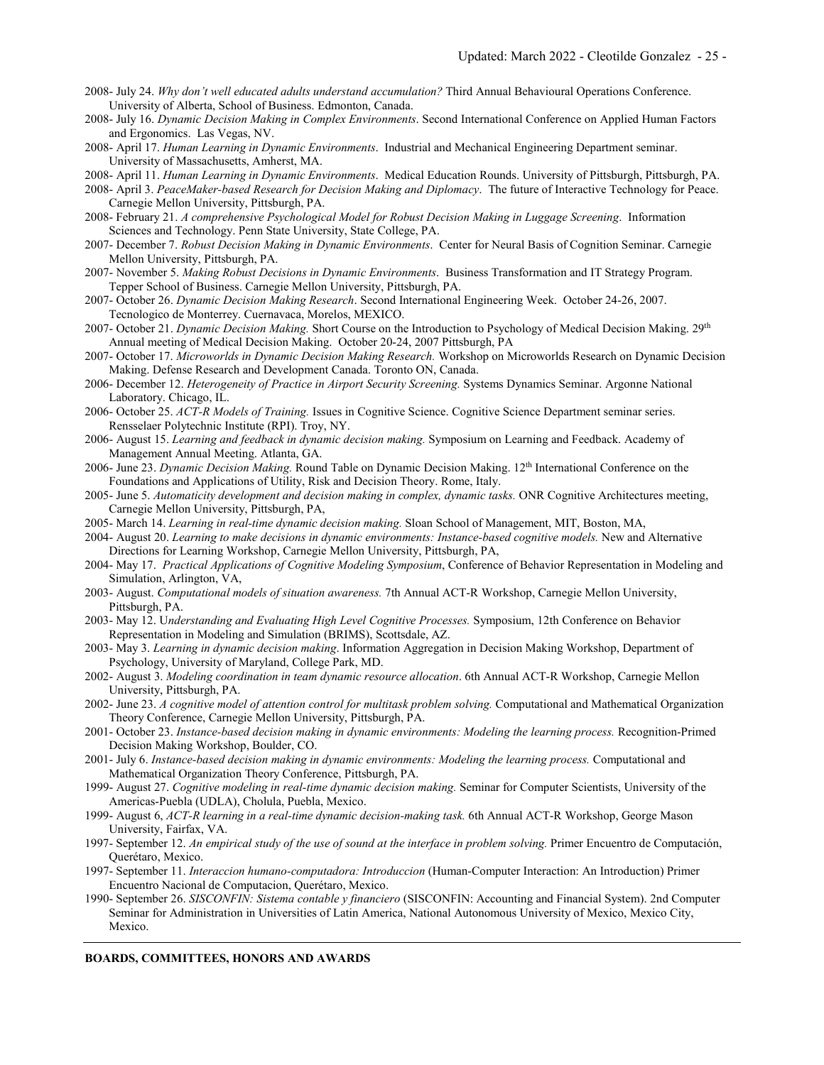- 2008- July 24. *Why don't well educated adults understand accumulation?* Third Annual Behavioural Operations Conference. University of Alberta, School of Business. Edmonton, Canada.
- 2008- July 16. *Dynamic Decision Making in Complex Environments*. Second International Conference on Applied Human Factors and Ergonomics. Las Vegas, NV.
- 2008- April 17. *Human Learning in Dynamic Environments*. Industrial and Mechanical Engineering Department seminar. University of Massachusetts, Amherst, MA.
- 2008- April 11. *Human Learning in Dynamic Environments*. Medical Education Rounds. University of Pittsburgh, Pittsburgh, PA.
- 2008- April 3. *PeaceMaker-based Research for Decision Making and Diplomacy*. The future of Interactive Technology for Peace. Carnegie Mellon University, Pittsburgh, PA.
- 2008- February 21. *A comprehensive Psychological Model for Robust Decision Making in Luggage Screening*. Information Sciences and Technology. Penn State University, State College, PA.
- 2007- December 7. *Robust Decision Making in Dynamic Environments*. Center for Neural Basis of Cognition Seminar. Carnegie Mellon University, Pittsburgh, PA.
- 2007- November 5. *Making Robust Decisions in Dynamic Environments*. Business Transformation and IT Strategy Program. Tepper School of Business. Carnegie Mellon University, Pittsburgh, PA.

2007- October 26. *Dynamic Decision Making Research*. Second International Engineering Week. October 24-26, 2007. Tecnologico de Monterrey. Cuernavaca, Morelos, MEXICO.

- 2007- October 21. *Dynamic Decision Making.* Short Course on the Introduction to Psychology of Medical Decision Making. 29th Annual meeting of Medical Decision Making. October 20-24, 2007 Pittsburgh, PA
- 2007- October 17. *Microworlds in Dynamic Decision Making Research.* Workshop on Microworlds Research on Dynamic Decision Making. Defense Research and Development Canada. Toronto ON, Canada.
- 2006- December 12. *Heterogeneity of Practice in Airport Security Screening.* Systems Dynamics Seminar. Argonne National Laboratory. Chicago, IL.
- 2006- October 25. *ACT-R Models of Training.* Issues in Cognitive Science. Cognitive Science Department seminar series. Rensselaer Polytechnic Institute (RPI). Troy, NY.
- 2006- August 15. *Learning and feedback in dynamic decision making.* Symposium on Learning and Feedback. Academy of Management Annual Meeting. Atlanta, GA.
- 2006- June 23. *Dynamic Decision Making.* Round Table on Dynamic Decision Making. 12th International Conference on the Foundations and Applications of Utility, Risk and Decision Theory. Rome, Italy.
- 2005- June 5. *Automaticity development and decision making in complex, dynamic tasks.* ONR Cognitive Architectures meeting, Carnegie Mellon University, Pittsburgh, PA,
- 2005- March 14. *Learning in real-time dynamic decision making.* Sloan School of Management, MIT, Boston, MA,
- 2004- August 20. *Learning to make decisions in dynamic environments: Instance-based cognitive models.* New and Alternative Directions for Learning Workshop, Carnegie Mellon University, Pittsburgh, PA,
- 2004- May 17. *Practical Applications of Cognitive Modeling Symposium*, Conference of Behavior Representation in Modeling and Simulation, Arlington, VA,
- 2003- August. *Computational models of situation awareness.* 7th Annual ACT-R Workshop, Carnegie Mellon University, Pittsburgh, PA.
- 2003- May 12. U*nderstanding and Evaluating High Level Cognitive Processes.* Symposium, 12th Conference on Behavior Representation in Modeling and Simulation (BRIMS), Scottsdale, AZ.
- 2003- May 3. *Learning in dynamic decision making*. Information Aggregation in Decision Making Workshop, Department of Psychology, University of Maryland, College Park, MD.
- 2002- August 3. *Modeling coordination in team dynamic resource allocation*. 6th Annual ACT-R Workshop, Carnegie Mellon University, Pittsburgh, PA.
- 2002- June 23. *A cognitive model of attention control for multitask problem solving.* Computational and Mathematical Organization Theory Conference, Carnegie Mellon University, Pittsburgh, PA.
- 2001- October 23. *Instance-based decision making in dynamic environments: Modeling the learning process.* Recognition-Primed Decision Making Workshop, Boulder, CO.
- 2001- July 6. *Instance-based decision making in dynamic environments: Modeling the learning process.* Computational and Mathematical Organization Theory Conference, Pittsburgh, PA.
- 1999- August 27. *Cognitive modeling in real-time dynamic decision making.* Seminar for Computer Scientists, University of the Americas-Puebla (UDLA), Cholula, Puebla, Mexico.
- 1999- August 6, *ACT-R learning in a real-time dynamic decision-making task.* 6th Annual ACT-R Workshop, George Mason University, Fairfax, VA.
- 1997- September 12. *An empirical study of the use of sound at the interface in problem solving.* Primer Encuentro de Computación, Querétaro, Mexico.
- 1997- September 11. *Interaccion humano-computadora: Introduccion* (Human-Computer Interaction: An Introduction) Primer Encuentro Nacional de Computacion, Querétaro, Mexico.
- 1990- September 26. *SISCONFIN: Sistema contable y financiero* (SISCONFIN: Accounting and Financial System). 2nd Computer Seminar for Administration in Universities of Latin America, National Autonomous University of Mexico, Mexico City, Mexico.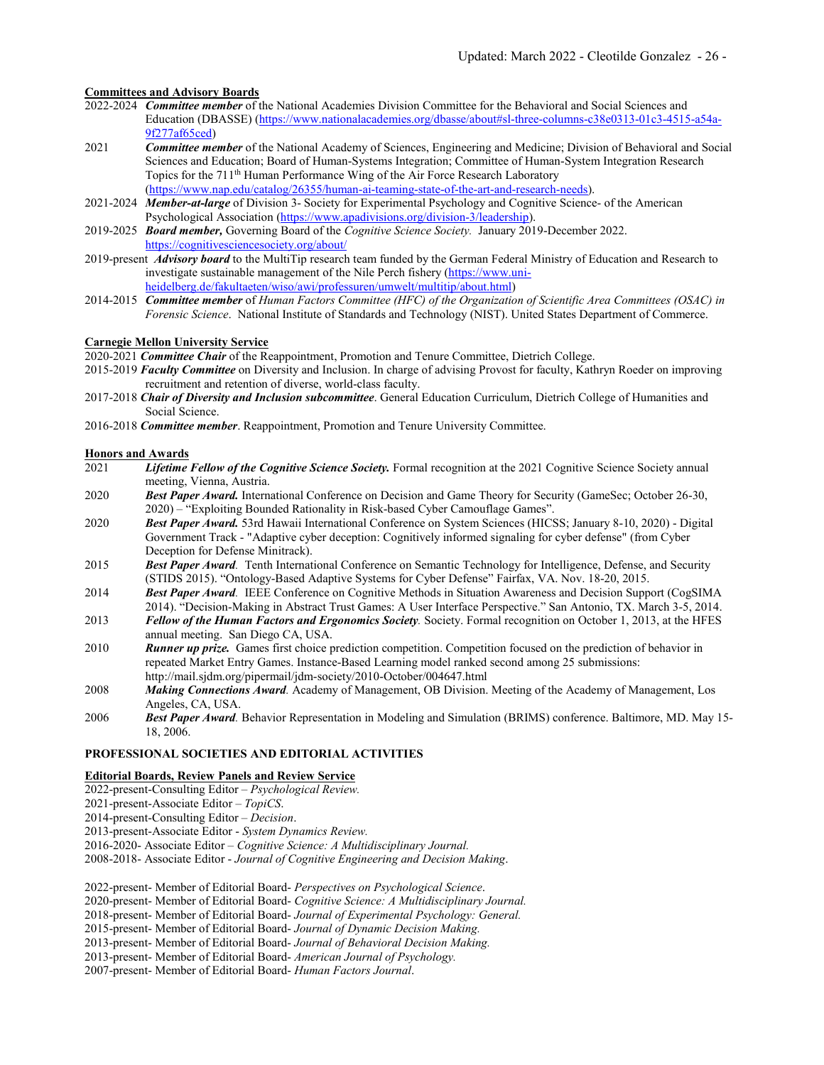## **Committees and Advisory Boards**

- 2022-2024 *Committee member* of the National Academies Division Committee for the Behavioral and Social Sciences and Education (DBASSE) [\(https://www.nationalacademies.org/dbasse/about#sl-three-columns-c38e0313-01c3-4515-a54a-](https://www.nationalacademies.org/dbasse/about#sl-three-columns-c38e0313-01c3-4515-a54a-9f277af65ced)[9f277af65ced\)](https://www.nationalacademies.org/dbasse/about#sl-three-columns-c38e0313-01c3-4515-a54a-9f277af65ced)
- 2021 *Committee member* of the National Academy of Sciences, Engineering and Medicine; Division of Behavioral and Social Sciences and Education; Board of Human-Systems Integration; Committee of Human-System Integration Research Topics for the 711th Human Performance Wing of the Air Force Research Laboratory [\(https://www.nap.edu/catalog/26355/human-ai-teaming-state-of-the-art-and-research-needs\)](https://www.nap.edu/catalog/26355/human-ai-teaming-state-of-the-art-and-research-needs).
- 2021-2024 *Member-at-large* of Division 3- Society for Experimental Psychology and Cognitive Science- of the American Psychological Association [\(https://www.apadivisions.org/division-3/leadership\)](https://www.apadivisions.org/division-3/leadership).
- 2019-2025 *Board member,* Governing Board of the *Cognitive Science Society.* January 2019-December 2022. <https://cognitivesciencesociety.org/about/>
- 2019-present *Advisory board* to the MultiTip research team funded by the German Federal Ministry of Education and Research to investigate sustainable management of the Nile Perch fishery [\(https://www.uni](https://www.uni-heidelberg.de/fakultaeten/wiso/awi/professuren/umwelt/multitip/about.html)[heidelberg.de/fakultaeten/wiso/awi/professuren/umwelt/multitip/about.html\)](https://www.uni-heidelberg.de/fakultaeten/wiso/awi/professuren/umwelt/multitip/about.html)
- 2014-2015 *Committee member* of *Human Factors Committee (HFC) of the Organization of Scientific Area Committees (OSAC) in Forensic Science*. National Institute of Standards and Technology (NIST). United States Department of Commerce.

## **Carnegie Mellon University Service**

- 2020-2021 *Committee Chair* of the Reappointment, Promotion and Tenure Committee, Dietrich College.
- 2015-2019 *Faculty Committee* on Diversity and Inclusion. In charge of advising Provost for faculty, Kathryn Roeder on improving recruitment and retention of diverse, world-class faculty.
- 2017-2018 *Chair of Diversity and Inclusion subcommittee*. General Education Curriculum, Dietrich College of Humanities and Social Science.
- 2016-2018 *Committee member*. Reappointment, Promotion and Tenure University Committee.

## **Honors and Awards**

- 2021 *Lifetime Fellow of the Cognitive Science Society.* Formal recognition at the 2021 Cognitive Science Society annual meeting, Vienna, Austria.
- 2020 *Best Paper Award.* International Conference on Decision and Game Theory for Security (GameSec; October 26-30, 2020) – "Exploiting Bounded Rationality in Risk-based Cyber Camouflage Games".
- 2020 *Best Paper Award.* 53rd Hawaii International Conference on System Sciences (HICSS; January 8-10, 2020) Digital Government Track - "Adaptive cyber deception: Cognitively informed signaling for cyber defense" (from Cyber Deception for Defense Minitrack).
- 2015 *Best Paper Award.* Tenth International Conference on Semantic Technology for Intelligence, Defense, and Security (STIDS 2015). "Ontology-Based Adaptive Systems for Cyber Defense" Fairfax, VA. Nov. 18-20, 2015.
- 2014 *Best Paper Award.* IEEE Conference on Cognitive Methods in Situation Awareness and Decision Support (CogSIMA 2014). "Decision-Making in Abstract Trust Games: A User Interface Perspective." San Antonio, TX. March 3-5, 2014.
- 2013 *Fellow of the Human Factors and Ergonomics Society.* Society. Formal recognition on October 1, 2013, at the HFES annual meeting. San Diego CA, USA.
- 2010 *Runner up prize.* Games first choice prediction competition. Competition focused on the prediction of behavior in repeated Market Entry Games. Instance-Based Learning model ranked second among 25 submissions: http://mail.sjdm.org/pipermail/jdm-society/2010-October/004647.html
- 2008 *Making Connections Award.* Academy of Management, OB Division. Meeting of the Academy of Management, Los Angeles, CA, USA.
- 2006 *Best Paper Award.* Behavior Representation in Modeling and Simulation (BRIMS) conference. Baltimore, MD. May 15- 18, 2006.

# **PROFESSIONAL SOCIETIES AND EDITORIAL ACTIVITIES**

### **Editorial Boards, Review Panels and Review Service**

- 2022-present-Consulting Editor *Psychological Review.*
- 2021-present-Associate Editor *TopiCS*.
- 2014-present-Consulting Editor *Decision*.
- 2013-present-Associate Editor *System Dynamics Review.*
- 2016-2020- Associate Editor *Cognitive Science: A Multidisciplinary Journal.*

2008-2018- Associate Editor - *Journal of Cognitive Engineering and Decision Making*.

2022-present- Member of Editorial Board- *Perspectives on Psychological Science*.

2020-present- Member of Editorial Board- *Cognitive Science: A Multidisciplinary Journal.*

2018-present- Member of Editorial Board- *Journal of Experimental Psychology: General.*

2015-present- Member of Editorial Board- *Journal of Dynamic Decision Making.*

2013-present- Member of Editorial Board- *Journal of Behavioral Decision Making.*

2013-present- Member of Editorial Board- *American Journal of Psychology.*

2007-present- Member of Editorial Board- *Human Factors Journal*.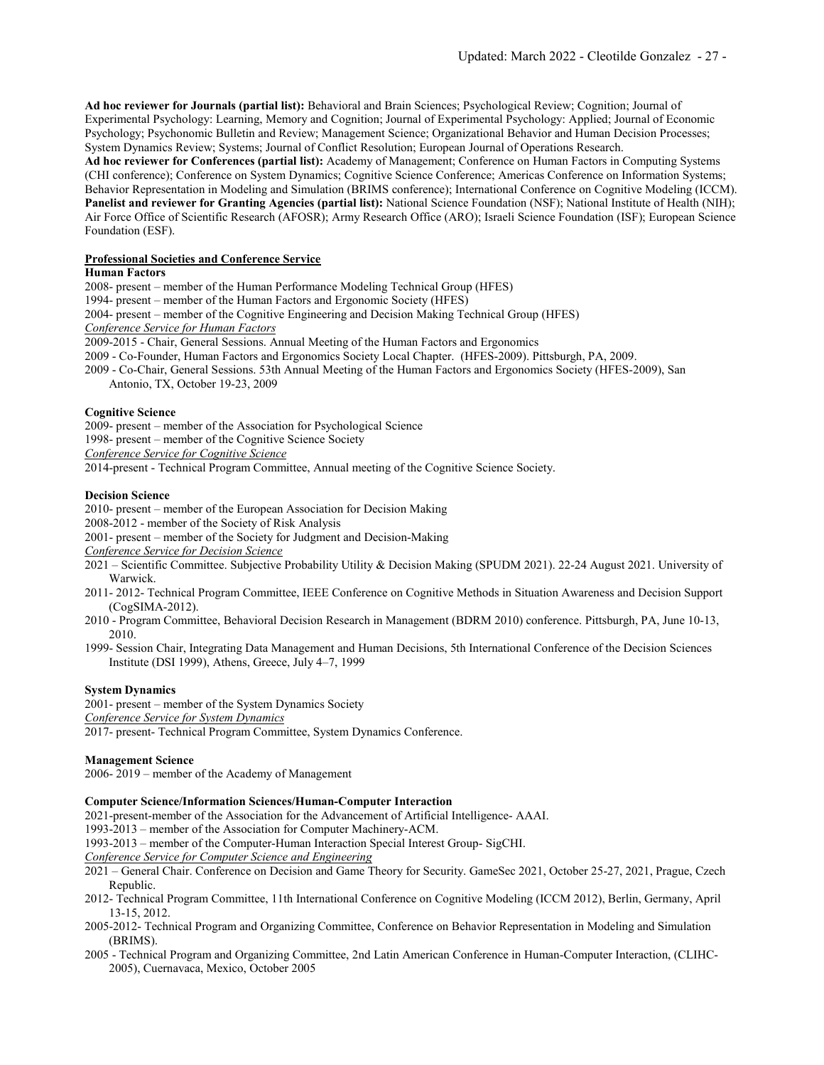**Ad hoc reviewer for Journals (partial list):** Behavioral and Brain Sciences; Psychological Review; Cognition; Journal of Experimental Psychology: Learning, Memory and Cognition; Journal of Experimental Psychology: Applied; Journal of Economic Psychology; Psychonomic Bulletin and Review; Management Science; Organizational Behavior and Human Decision Processes; System Dynamics Review; Systems; Journal of Conflict Resolution; European Journal of Operations Research.

**Ad hoc reviewer for Conferences (partial list):** Academy of Management; Conference on Human Factors in Computing Systems (CHI conference); Conference on System Dynamics; Cognitive Science Conference; Americas Conference on Information Systems; Behavior Representation in Modeling and Simulation (BRIMS conference); International Conference on Cognitive Modeling (ICCM). **Panelist and reviewer for Granting Agencies (partial list):** National Science Foundation (NSF); National Institute of Health (NIH); Air Force Office of Scientific Research (AFOSR); Army Research Office (ARO); Israeli Science Foundation (ISF); European Science Foundation (ESF).

## **Professional Societies and Conference Service**

## **Human Factors**

2008- present – member of the Human Performance Modeling Technical Group (HFES) 1994- present – member of the Human Factors and Ergonomic Society (HFES) 2004- present – member of the Cognitive Engineering and Decision Making Technical Group (HFES) *Conference Service for Human Factors* 2009-2015 - Chair, General Sessions. Annual Meeting of the Human Factors and Ergonomics 2009 - Co-Founder, Human Factors and Ergonomics Society Local Chapter. (HFES-2009). Pittsburgh, PA, 2009. 2009 - Co-Chair, General Sessions. 53th Annual Meeting of the Human Factors and Ergonomics Society (HFES-2009), San Antonio, TX, October 19-23, 2009

# **Cognitive Science**

2009- present – member of the Association for Psychological Science 1998- present – member of the Cognitive Science Society

*Conference Service for Cognitive Science*

2014-present - Technical Program Committee, Annual meeting of the Cognitive Science Society.

# **Decision Science**

2010- present – member of the European Association for Decision Making

2008-2012 - member of the Society of Risk Analysis

2001- present – member of the Society for Judgment and Decision-Making

*Conference Service for Decision Science*

2021 – Scientific Committee. Subjective Probability Utility & Decision Making (SPUDM 2021). 22-24 August 2021. University of Warwick.

- 2011- 2012- Technical Program Committee, IEEE Conference on Cognitive Methods in Situation Awareness and Decision Support (CogSIMA-2012).
- 2010 Program Committee, Behavioral Decision Research in Management (BDRM 2010) conference. Pittsburgh, PA, June 10-13, 2010.
- 1999- Session Chair, Integrating Data Management and Human Decisions, 5th International Conference of the Decision Sciences Institute (DSI 1999), Athens, Greece, July 4–7, 1999

## **System Dynamics**

2001- present – member of the System Dynamics Society *Conference Service for System Dynamics*

2017- present- Technical Program Committee, System Dynamics Conference.

## **Management Science**

2006- 2019 – member of the Academy of Management

## **Computer Science/Information Sciences/Human-Computer Interaction**

2021-present-member of the Association for the Advancement of Artificial Intelligence- AAAI.

1993-2013 – member of the Association for Computer Machinery-ACM.

1993-2013 – member of the Computer-Human Interaction Special Interest Group- SigCHI.

*Conference Service for Computer Science and Engineering*

- 2021 General Chair. Conference on Decision and Game Theory for Security. GameSec 2021, October 25-27, 2021, Prague, Czech Republic.
- 2012- Technical Program Committee, 11th International Conference on Cognitive Modeling (ICCM 2012), Berlin, Germany, April 13-15, 2012.
- 2005-2012- Technical Program and Organizing Committee, Conference on Behavior Representation in Modeling and Simulation (BRIMS).
- 2005 Technical Program and Organizing Committee, 2nd Latin American Conference in Human-Computer Interaction, (CLIHC-2005), Cuernavaca, Mexico, October 2005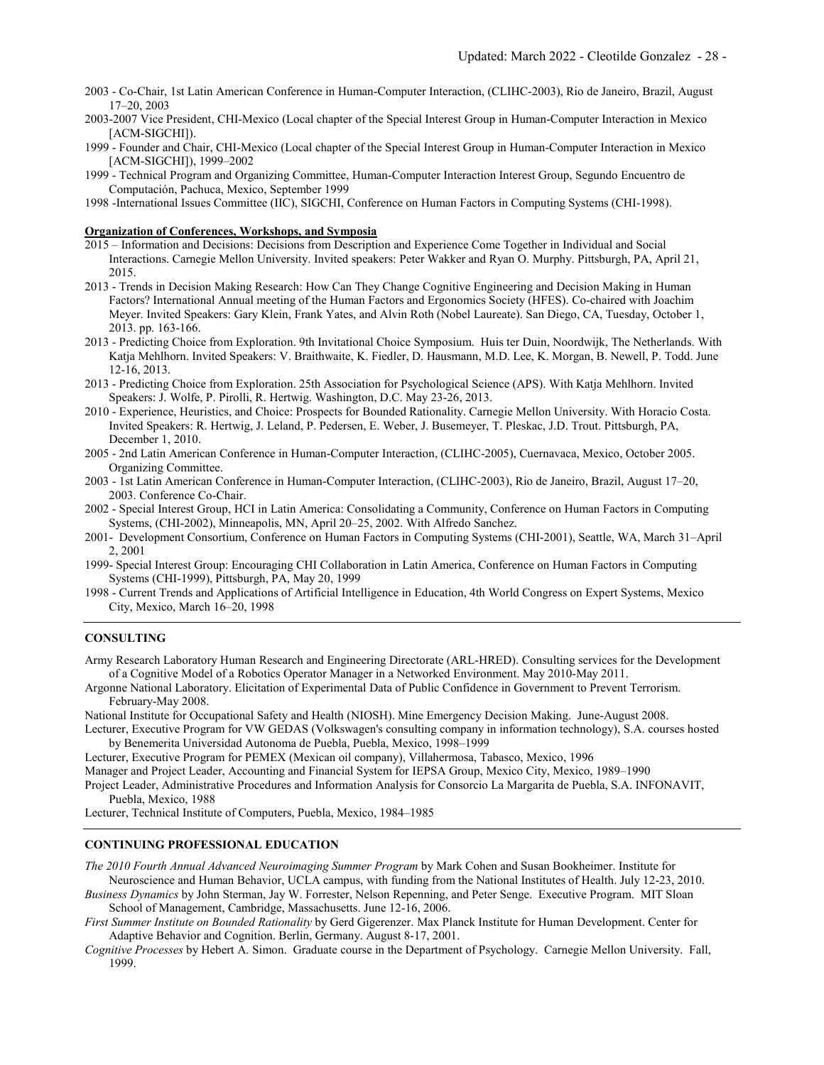- 2003 Co-Chair, 1st Latin American Conference in Human-Computer Interaction, (CLIHC-2003), Rio de Janeiro, Brazil, August 17–20, 2003
- 2003-2007 Vice President, CHI-Mexico (Local chapter of the Special Interest Group in Human-Computer Interaction in Mexico [ACM-SIGCHI]).
- 1999 Founder and Chair, CHI-Mexico (Local chapter of the Special Interest Group in Human-Computer Interaction in Mexico [ACM-SIGCHI]), 1999–2002
- 1999 Technical Program and Organizing Committee, Human-Computer Interaction Interest Group, Segundo Encuentro de Computación, Pachuca, Mexico, September 1999
- 1998 -International Issues Committee (IIC), SIGCHI, Conference on Human Factors in Computing Systems (CHI-1998).

#### **Organization of Conferences, Workshops, and Symposia**

- 2015 Information and Decisions: Decisions from Description and Experience Come Together in Individual and Social Interactions. Carnegie Mellon University. Invited speakers: Peter Wakker and Ryan O. Murphy. Pittsburgh, PA, April 21, 2015.
- 2013 Trends in Decision Making Research: How Can They Change Cognitive Engineering and Decision Making in Human Factors? International Annual meeting of the Human Factors and Ergonomics Society (HFES). Co-chaired with Joachim Meyer. Invited Speakers: Gary Klein, Frank Yates, and Alvin Roth (Nobel Laureate). San Diego, CA, Tuesday, October 1, 2013. pp. 163-166.
- 2013 Predicting Choice from Exploration. 9th Invitational Choice Symposium. Huis ter Duin, Noordwijk, The Netherlands. With Katja Mehlhorn. Invited Speakers: V. Braithwaite, K. Fiedler, D. Hausmann, M.D. Lee, K. Morgan, B. Newell, P. Todd. June 12-16, 2013.
- 2013 Predicting Choice from Exploration. 25th Association for Psychological Science (APS). With Katja Mehlhorn. Invited Speakers: J. Wolfe, P. Pirolli, R. Hertwig. Washington, D.C. May 23-26, 2013.
- 2010 Experience, Heuristics, and Choice: Prospects for Bounded Rationality. Carnegie Mellon University. With Horacio Costa. Invited Speakers: R. Hertwig, J. Leland, P. Pedersen, E. Weber, J. Busemeyer, T. Pleskac, J.D. Trout. Pittsburgh, PA, December 1, 2010.
- 2005 2nd Latin American Conference in Human-Computer Interaction, (CLIHC-2005), Cuernavaca, Mexico, October 2005. Organizing Committee.
- 2003 1st Latin American Conference in Human-Computer Interaction, (CLIHC-2003), Rio de Janeiro, Brazil, August 17–20, 2003. Conference Co-Chair.
- 2002 Special Interest Group, HCI in Latin America: Consolidating a Community, Conference on Human Factors in Computing Systems, (CHI-2002), Minneapolis, MN, April 20–25, 2002. With Alfredo Sanchez.
- 2001- Development Consortium, Conference on Human Factors in Computing Systems (CHI-2001), Seattle, WA, March 31–April 2, 2001
- 1999- Special Interest Group: Encouraging CHI Collaboration in Latin America, Conference on Human Factors in Computing Systems (CHI-1999), Pittsburgh, PA, May 20, 1999
- 1998 Current Trends and Applications of Artificial Intelligence in Education, 4th World Congress on Expert Systems, Mexico City, Mexico, March 16–20, 1998

#### **CONSULTING**

Army Research Laboratory Human Research and Engineering Directorate (ARL-HRED). Consulting services for the Development of a Cognitive Model of a Robotics Operator Manager in a Networked Environment. May 2010-May 2011.

Argonne National Laboratory. Elicitation of Experimental Data of Public Confidence in Government to Prevent Terrorism. February-May 2008.

National Institute for Occupational Safety and Health (NIOSH). Mine Emergency Decision Making. June-August 2008.

Lecturer, Executive Program for VW GEDAS (Volkswagen's consulting company in information technology), S.A. courses hosted by Benemerita Universidad Autonoma de Puebla, Puebla, Mexico, 1998–1999

Lecturer, Executive Program for PEMEX (Mexican oil company), Villahermosa, Tabasco, Mexico, 1996 Manager and Project Leader, Accounting and Financial System for IEPSA Group, Mexico City, Mexico, 1989–1990 Project Leader, Administrative Procedures and Information Analysis for Consorcio La Margarita de Puebla, S.A. INFONAVIT, Puebla, Mexico, 1988

Lecturer, Technical Institute of Computers, Puebla, Mexico, 1984–1985

#### **CONTINUING PROFESSIONAL EDUCATION**

*The 2010 Fourth Annual Advanced Neuroimaging Summer Program* by Mark Cohen and Susan Bookheimer. Institute for Neuroscience and Human Behavior, UCLA campus, with funding from the National Institutes of Health. July 12-23, 2010.

*Business Dynamics* by John Sterman, Jay W. Forrester, Nelson Repenning, and Peter Senge. Executive Program. MIT Sloan School of Management, Cambridge, Massachusetts. June 12-16, 2006.

*First Summer Institute on Bounded Rationality* by Gerd Gigerenzer. Max Planck Institute for Human Development. Center for Adaptive Behavior and Cognition. Berlin, Germany. August 8-17, 2001.

*Cognitive Processes* by Hebert A. Simon. Graduate course in the Department of Psychology. Carnegie Mellon University. Fall, 1999.